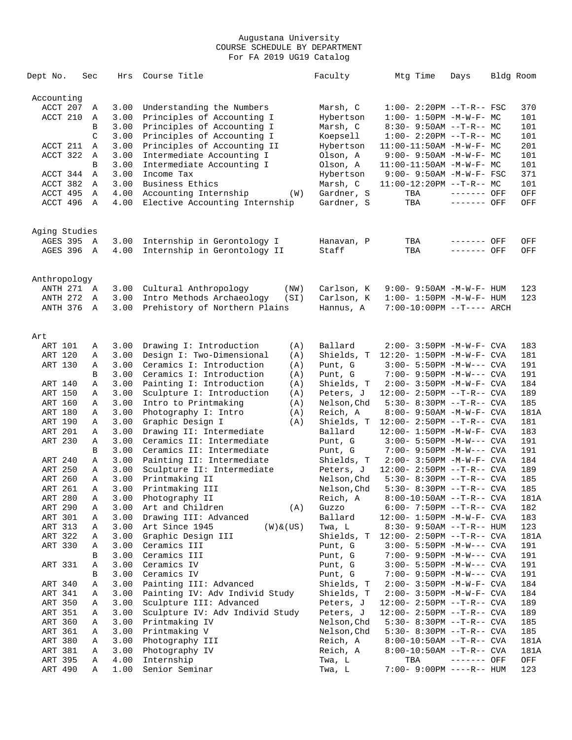| Dept No.        | Sec | Hrs  | Course Title                      | Faculty     | Mtg Time                           | Days         | Bldg Room |      |
|-----------------|-----|------|-----------------------------------|-------------|------------------------------------|--------------|-----------|------|
| Accounting      |     |      |                                   |             |                                    |              |           |      |
| ACCT 207        | Α   | 3.00 | Understanding the Numbers         | Marsh, C    | $1:00 - 2:20PM -T-R--FSC$          |              |           | 370  |
| ACCT 210        | Α   | 3.00 | Principles of Accounting I        | Hybertson   | $1:00 - 1:50PM - M - W - F - MC$   |              |           | 101  |
|                 | B   | 3.00 | Principles of Accounting I        | Marsh, C    | $8:30 - 9:50AM -T-R-- MC$          |              |           | 101  |
|                 | C   | 3.00 | Principles of Accounting I        | Koepsell    | $1:00-2:20PM -T-R--MC$             |              |           | 101  |
| ACCT 211        | Α   | 3.00 | Principles of Accounting II       | Hybertson   | $11:00-11:50AM$ -M-W-F- MC         |              |           | 201  |
| ACCT 322        | Α   | 3.00 | Intermediate Accounting I         | Olson, A    | $9:00 - 9:50AM - M - W - F - MC$   |              |           | 101  |
|                 | B   | 3.00 | Intermediate Accounting I         | Olson, A    | $11:00-11:50AM$ -M-W-F- MC         |              |           | 101  |
| ACCT 344        | Α   | 3.00 | Income Tax                        | Hybertson   | 9:00- 9:50AM -M-W-F- FSC           |              |           | 371  |
| ACCT 382        | A   | 3.00 | Business Ethics                   | Marsh, C    | $11:00-12:20PM$ --T-R-- MC         |              |           | 101  |
| ACCT 495        | Α   | 4.00 | Accounting Internship<br>(W)      | Gardner, S  | TBA                                | ------- OFF  |           | OFF  |
| ACCT 496        | Α   | 4.00 | Elective Accounting Internship    | Gardner, S  | TBA                                | ------- OFF  |           | OFF  |
| Aging Studies   |     |      |                                   |             |                                    |              |           |      |
| AGES 395        | A   | 3.00 | Internship in Gerontology I       | Hanavan, P  | TBA                                | ------- OFF  |           | OFF  |
| AGES 396        | A   | 4.00 | Internship in Gerontology II      | Staff       | TBA                                | ------- OFF  |           | OFF  |
|                 |     |      |                                   |             |                                    |              |           |      |
| Anthropology    |     |      |                                   |             |                                    |              |           |      |
| ANTH 271 A      |     | 3.00 | Cultural Anthropology<br>(NW)     | Carlson, K  | 9:00- 9:50AM -M-W-F- HUM           |              |           | 123  |
| <b>ANTH 272</b> | A   | 3.00 | Intro Methods Archaeology<br>(SI) | Carlson, K  | $1:00 - 1:50PM -M-W-F - HUM$       |              |           | 123  |
| ANTH 376        | A   | 3.00 | Prehistory of Northern Plains     | Hannus, A   | 7:00-10:00PM --T---- ARCH          |              |           |      |
| Art             |     |      |                                   |             |                                    |              |           |      |
| ART 101         | Α   | 3.00 | Drawing I: Introduction<br>(A)    | Ballard     | 2:00- 3:50PM -M-W-F- CVA           |              |           | 183  |
| ART 120         | Α   | 3.00 | Design I: Two-Dimensional<br>(A)  | Shields, T  | $12:20 - 1:50PM - M - W - F - CVA$ |              |           | 181  |
| ART 130         | Α   | 3.00 | Ceramics I: Introduction<br>(A)   | Punt, G     | $3:00 - 5:50PM -M-W---$ CVA        |              |           | 191  |
|                 | B   | 3.00 | Ceramics I: Introduction<br>(A)   | Punt, G     | $7:00 - 9:50PM -M-W---$ CVA        |              |           | 191  |
| ART 140         | Α   | 3.00 | Painting I: Introduction<br>(A)   | Shields, T  | 2:00- 3:50PM -M-W-F- CVA           |              |           | 184  |
| ART 150         | Α   | 3.00 | Sculpture I: Introduction<br>(A)  | Peters, J   | $12:00 - 2:50PM -T-R--CVA$         |              |           | 189  |
| ART 160         | Α   | 3.00 | Intro to Printmaking<br>(A)       | Nelson,Chd  | 5:30- 8:30PM --T-R-- CVA           |              |           | 185  |
| ART 180         | Α   | 3.00 | Photography I: Intro<br>(A)       | Reich, A    | 8:00- 9:50AM -M-W-F- CVA           |              |           | 181A |
| ART 190         | Α   | 3.00 | Graphic Design I<br>(A)           | Shields, T  | $12:00 - 2:50PM -T-R--CVA$         |              |           | 181  |
| ART 201         | Α   | 3.00 | Drawing II: Intermediate          | Ballard     | $12:00 - 1:50PM - M - W - F - CVA$ |              |           | 183  |
| ART 230         | Α   | 3.00 | Ceramics II: Intermediate         | Punt, G     | $3:00 - 5:50PM -M-W---$ CVA        |              |           | 191  |
|                 | B   | 3.00 | Ceramics II: Intermediate         | Punt, G     | $7:00 - 9:50PM -M-W---$ CVA        |              |           | 191  |
| ART 240         | Α   | 3.00 | Painting II: Intermediate         | Shields, T  | 2:00- 3:50PM -M-W-F- CVA           |              |           | 184  |
| ART 250         | Α   | 3.00 | Sculpture II: Intermediate        | Peters, J   | $12:00 - 2:50PM -T-R--CVA$         |              |           | 189  |
| ART 260         | Α   | 3.00 | Printmaking II                    | Nelson, Chd | 5:30- 8:30PM --T-R-- CVA           |              |           | 185  |
| ART 261         | Α   | 3.00 | Printmaking III                   | Nelson, Chd | $5:30 - 8:30PM -T-R - CVA$         |              |           | 185  |
| ART 280         | А   | 3.00 | Photography II                    | Reich, A    | $8:00-10:50AM$ --T-R-- CVA         |              |           | 181A |
| ART 290         | Α   | 3.00 | Art and Children<br>(A)           | Guzzo       | $6:00 - 7:50PM -T-R--CVA$          |              |           | 182  |
| ART 301         | Α   | 3.00 | Drawing III: Advanced             | Ballard     | $12:00 - 1:50PM - M - W - F - CVA$ |              |           | 183  |
| ART 313         | Α   | 3.00 | Art Since 1945<br>$(W)$ & $(US)$  | Twa, L      | 8:30- 9:50AM --T-R-- HUM           |              |           | 123  |
| ART 322         | Α   | 3.00 | Graphic Design III                | Shields, T  | $12:00 - 2:50PM -T-R--CVA$         |              |           | 181A |
| ART 330         | Α   | 3.00 | Ceramics III                      | Punt, G     | 3:00- 5:50PM -M-W--- CVA           |              |           | 191  |
|                 | В   | 3.00 | Ceramics III                      | Punt, G     | $7:00-9:50PM -M-W---$ CVA          |              |           | 191  |
| ART 331         | Α   | 3.00 | Ceramics IV                       | Punt, G     | 3:00- 5:50PM -M-W--- CVA           |              |           | 191  |
|                 | В   | 3.00 | Ceramics IV                       | Punt, G     | 7:00- 9:50PM -M-W--- CVA           |              |           | 191  |
| ART 340         | Α   | 3.00 | Painting III: Advanced            | Shields, T  | 2:00- 3:50PM -M-W-F- CVA           |              |           | 184  |
| ART 341         | Α   | 3.00 | Painting IV: Adv Individ Study    | Shields, T  | 2:00- 3:50PM -M-W-F- CVA           |              |           | 184  |
| ART 350         | Α   | 3.00 | Sculpture III: Advanced           | Peters, J   | $12:00 - 2:50PM -T-R--CVA$         |              |           | 189  |
| ART 351         | Α   | 3.00 | Sculpture IV: Adv Individ Study   | Peters, J   | $12:00 - 2:50PM -T-R--CVA$         |              |           | 189  |
| ART 360         | Α   | 3.00 | Printmaking IV                    | Nelson, Chd | 5:30- 8:30PM --T-R-- CVA           |              |           | 185  |
| ART 361         | Α   | 3.00 | Printmaking V                     | Nelson,Chd  | 5:30- 8:30PM --T-R-- CVA           |              |           | 185  |
| ART 380         | Α   | 3.00 | Photography III                   | Reich, A    | $8:00-10:50AM$ --T-R-- CVA         |              |           | 181A |
| ART 381         | Α   | 3.00 | Photography IV                    | Reich, A    | $8:00-10:50AM$ --T-R-- CVA         |              |           | 181A |
| ART 395         | Α   | 4.00 | Internship                        | Twa, L      | TBA                                | $------$ OFF |           | OFF  |
| ART 490         | Α   | 1.00 | Senior Seminar                    | Twa, L      | 7:00- 9:00PM ----R-- HUM           |              |           | 123  |
|                 |     |      |                                   |             |                                    |              |           |      |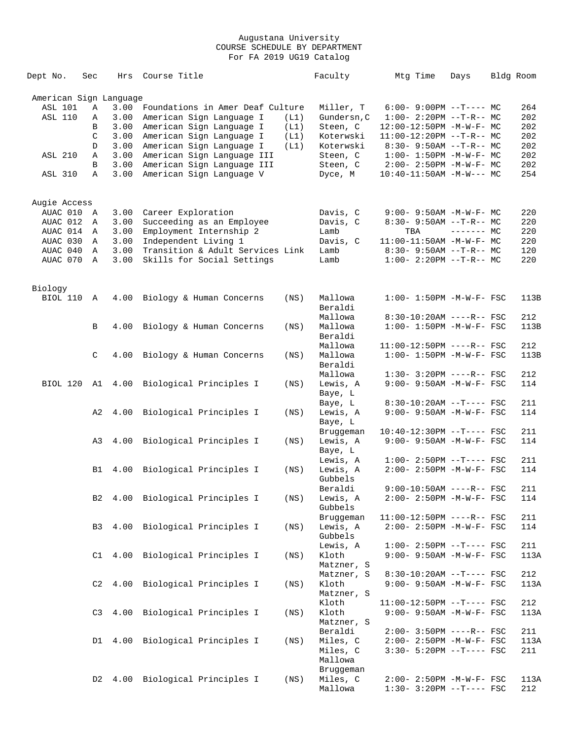| Dept No.               | Sec            | Hrs  | Course Title                                           |      | Faculty     | Mtg Time                          | Days        | Bldg Room |
|------------------------|----------------|------|--------------------------------------------------------|------|-------------|-----------------------------------|-------------|-----------|
| American Sign Language |                |      |                                                        |      |             |                                   |             |           |
| <b>ASL 101</b>         | Α              | 3.00 | Foundations in Amer Deaf Culture                       |      | Miller, T   | $6:00-9:00PM --T---MC$            |             | 264       |
| <b>ASL 110</b>         | Α              | 3.00 | American Sign Language I                               | (L1) | Gundersn, C | $1:00-2:20PM -T-R--MC$            |             | 202       |
|                        | B              | 3.00 | American Sign Language I                               | (L1) | Steen, C    | 12:00-12:50PM -M-W-F- MC          |             | 202       |
|                        | C              | 3.00 | American Sign Language I                               | (L1) | Koterwski   | $11:00-12:20PM$ --T-R-- MC        |             | 202       |
|                        | D              | 3.00 | American Sign Language I                               | (L1) | Koterwski   | $8:30 - 9:50AM -T-R-- MC$         |             | 202       |
| <b>ASL 210</b>         | Α              | 3.00 | American Sign Language III                             |      | Steen, C    | $1:00 - 1:50PM - M - W - F - MC$  |             | 202       |
|                        | B              | 3.00 |                                                        |      |             | $2:00 - 2:50PM -M-W-F - MC$       |             | 202       |
| <b>ASL 310</b>         | Α              |      | American Sign Language III<br>American Sign Language V |      | Steen, C    |                                   |             | 254       |
|                        |                | 3.00 |                                                        |      | Dyce, M     | $10:40-11:50AM$ -M-W--- MC        |             |           |
| Augie Access           |                |      |                                                        |      |             |                                   |             |           |
| AUAC 010               | A              | 3.00 | Career Exploration                                     |      | Davis, C    | $9:00 - 9:50AM - M - W - F - MC$  |             | 220       |
| AUAC 012               | Α              | 3.00 | Succeeding as an Employee                              |      | Davis, C    | $8:30 - 9:50AM -T-R-- MC$         |             | 220       |
| AUAC 014               | $\mathbb A$    | 3.00 | Employment Internship 2                                |      | Lamb        | TBA                               | $------$ MC | 220       |
| AUAC 030               | Α              | 3.00 | Independent Living 1                                   |      | Davis, C    | 11:00-11:50AM -M-W-F- MC          |             | 220       |
|                        |                |      |                                                        |      |             |                                   |             |           |
| AUAC 040               | Α              | 3.00 | Transition & Adult Services Link                       |      | Lamb        | $8:30 - 9:50AM -T-R-- MC$         |             | 120       |
| AUAC 070               | Α              | 3.00 | Skills for Social Settings                             |      | Lamb        | $1:00-2:20PM -T-R--MC$            |             | 220       |
| Biology                |                |      |                                                        |      |             |                                   |             |           |
| <b>BIOL 110</b>        | Α              | 4.00 | Biology & Human Concerns                               | (NS) | Mallowa     | $1:00 - 1:50PM -M-W-F - FSC$      |             | 113B      |
|                        |                |      |                                                        |      | Beraldi     |                                   |             |           |
|                        |                |      |                                                        |      | Mallowa     | $8:30-10:20AM$ ----R-- FSC        |             | 212       |
|                        | В              | 4.00 | Biology & Human Concerns                               | (NS) | Mallowa     | $1:00 - 1:50PM -M-W-F- FSC$       |             | 113B      |
|                        |                |      |                                                        |      | Beraldi     |                                   |             |           |
|                        |                |      |                                                        |      | Mallowa     | 11:00-12:50PM ----R-- FSC         |             | 212       |
|                        | C              | 4.00 | Biology & Human Concerns                               | (NS) | Mallowa     | $1:00 - 1:50PM - M - W - F - FSC$ |             | 113B      |
|                        |                |      |                                                        |      | Beraldi     |                                   |             |           |
|                        |                |      |                                                        |      | Mallowa     | $1:30 - 3:20PM$ ----R-- FSC       |             | 212       |
| BIOL 120               | A1             | 4.00 | Biological Principles I                                | (NS) | Lewis, A    | 9:00- 9:50AM -M-W-F- FSC          |             | 114       |
|                        |                |      |                                                        |      | Baye, L     |                                   |             |           |
|                        |                |      |                                                        |      | Baye, L     | $8:30-10:20AM$ --T---- FSC        |             | 211       |
|                        | A2             | 4.00 | Biological Principles I                                | (NS) | Lewis, A    | $9:00 - 9:50AM - M - W - F - FSC$ |             | 114       |
|                        |                |      |                                                        |      | Baye, L     |                                   |             |           |
|                        |                |      |                                                        |      | Bruggeman   | $10:40-12:30PM$ --T---- FSC       |             | 211       |
|                        |                |      |                                                        |      | Lewis, A    | 9:00- 9:50AM -M-W-F- FSC          |             | 114       |
|                        | A3             | 4.00 | Biological Principles I                                | (NS) |             |                                   |             |           |
|                        |                |      |                                                        |      | Baye, L     |                                   |             |           |
|                        |                |      |                                                        |      | Lewis, A    | $1:00-2:50PM -T---FSC$            |             | 211       |
|                        | B1             | 4.00 | Biological Principles I                                | (NS) | Lewis, A    | $2:00 - 2:50PM - M - W - F - FSC$ |             | 114       |
|                        |                |      |                                                        |      | Gubbels     |                                   |             |           |
|                        |                |      |                                                        |      | Beraldi     | $9:00-10:50AM$ ----R-- FSC        |             | 211       |
|                        | B <sub>2</sub> |      | 4.00 Biological Principles I                           | (NS) | Lewis, A    | 2:00- 2:50PM -M-W-F- FSC          |             | 114       |
|                        |                |      |                                                        |      | Gubbels     |                                   |             |           |
|                        |                |      |                                                        |      | Bruggeman   | $11:00-12:50PM$ ----R-- FSC       |             | 211       |
|                        | B3             | 4.00 | Biological Principles I                                | (NS) | Lewis, A    | 2:00- 2:50PM -M-W-F- FSC          |             | 114       |
|                        |                |      |                                                        |      | Gubbels     |                                   |             |           |
|                        |                |      |                                                        |      | Lewis, A    | $1:00-2:50PM -T---FSC$            |             | 211       |
|                        | C1             | 4.00 | Biological Principles I                                | (NS) | Kloth       | $9:00 - 9:50AM - M - W - F - FSC$ |             | 113A      |
|                        |                |      |                                                        |      | Matzner, S  |                                   |             |           |
|                        |                |      |                                                        |      | Matzner, S  | $8:30-10:20AM$ --T---- FSC        |             | 212       |
|                        | C2             | 4.00 | Biological Principles I                                | (NS) | Kloth       | 9:00- 9:50AM -M-W-F- FSC          |             | 113A      |
|                        |                |      |                                                        |      | Matzner, S  |                                   |             |           |
|                        |                |      |                                                        |      |             | $11:00-12:50PM$ --T---- FSC       |             |           |
|                        |                |      |                                                        |      | Kloth       |                                   |             | 212       |
|                        | C <sub>3</sub> | 4.00 | Biological Principles I                                | (NS) | Kloth       | $9:00 - 9:50AM - M - W - F - FSC$ |             | 113A      |
|                        |                |      |                                                        |      | Matzner, S  |                                   |             |           |
|                        |                |      |                                                        |      | Beraldi     | $2:00 - 3:50PM$ ----R-- FSC       |             | 211       |
|                        | D1             | 4.00 | Biological Principles I                                | (NS) | Miles, C    | $2:00 - 2:50PM - M - W - F - FSC$ |             | 113A      |
|                        |                |      |                                                        |      | Miles, C    | $3:30 - 5:20PM -T--- FSC$         |             | 211       |
|                        |                |      |                                                        |      | Mallowa     |                                   |             |           |
|                        |                |      |                                                        |      | Bruggeman   |                                   |             |           |
|                        | D2             | 4.00 | Biological Principles I                                | (NS) | Miles, C    | 2:00- 2:50PM -M-W-F- FSC          |             | 113A      |
|                        |                |      |                                                        |      | Mallowa     | $1:30-3:20PM --T---FSC$           |             | 212       |
|                        |                |      |                                                        |      |             |                                   |             |           |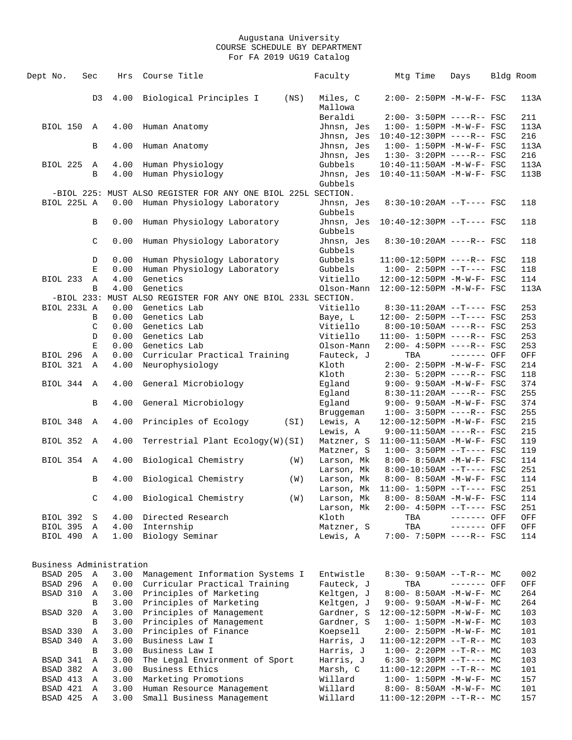| 4.00<br>Biological Principles I<br>(NS)<br>Miles, C<br>$2:00 - 2:50PM -M-W-F - FSC$<br>D3<br>Mallowa<br>Beraldi<br>$2:00 - 3:50PM$ ----R-- FSC<br>BIOL 150 A<br>4.00<br>Jhnsn, Jes<br>$1:00 - 1:50PM - M - W - F - FSC$<br>Human Anatomy<br>Jhnsn, Jes<br>$10:40-12:30PM$ ----R-- FSC<br>4.00<br>Jhnsn, Jes<br>$1:00 - 1:50PM - M - W - F - FSC$<br>B<br>Human Anatomy<br>Jhnsn, Jes<br>$1:30 - 3:20PM$ ----R-- FSC<br><b>BIOL 225</b><br>4.00<br>Human Physiology<br>Gubbels<br>10:40-11:50AM -M-W-F- FSC<br>Α<br>4.00<br>Human Physiology<br>Jhnsn, Jes<br>10:40-11:50AM -M-W-F- FSC<br>B<br>Gubbels<br>-BIOL 225: MUST ALSO REGISTER FOR ANY ONE BIOL 225L SECTION.<br>BIOL 225L A<br>0.00<br>Human Physiology Laboratory<br>Jhnsn, Jes<br>8:30-10:20AM --T---- FSC<br>Gubbels<br>0.00<br>Human Physiology Laboratory<br>Jhnsn, Jes<br>10:40-12:30PM --T---- FSC<br>B<br>Gubbels<br>C<br>0.00<br>Human Physiology Laboratory<br>Jhnsn, Jes<br>$8:30-10:20AM$ ----R-- FSC<br>Gubbels<br>Gubbels<br>0.00<br>Human Physiology Laboratory<br>$11:00-12:50PM$ ----R-- FSC<br>D<br>Human Physiology Laboratory<br>0.00<br>Gubbels<br>$1:00-2:50PM$ --T---- FSC<br>Е<br>BIOL 233<br>Α<br>4.00<br>Genetics<br>Vitiello<br>12:00-12:50PM -M-W-F- FSC<br>4.00<br>Genetics<br>B<br>Olson-Mann<br>12:00-12:50PM -M-W-F- FSC<br>-BIOL 233: MUST ALSO REGISTER FOR ANY ONE BIOL 233L SECTION.<br>Vitiello<br>BIOL 233L A<br>Genetics Lab<br>$8:30-11:20AM$ --T---- FSC<br>0.00<br>0.00<br>Genetics Lab<br>Baye, L<br>12:00- 2:50PM --T---- FSC<br>В<br>0.00<br>Genetics Lab<br>Vitiello<br>$8:00-10:50AM$ ----R-- FSC<br>C<br>0.00<br>Genetics Lab<br>Vitiello<br>$11:00 - 1:50PM$ ----R-- FSC<br>D<br>$\mathbf E$<br>Genetics Lab<br>$2:00 - 4:50PM$ ----R-- FSC<br>0.00<br>Olson-Mann<br>BIOL 296<br>0.00<br>Curricular Practical Training<br>Fauteck, J<br>TBA<br>------- OFF<br>Α<br>BIOL 321<br>4.00<br>Neurophysiology<br>Kloth<br>2:00- 2:50PM -M-W-F- FSC<br>$\mathbb{A}$<br>Kloth<br>$2:30-5:20PM$ ----R-- FSC<br>BIOL 344<br>4.00<br>General Microbiology<br>Egland<br>9:00- 9:50AM -M-W-F- FSC<br>$\mathbb A$<br>Eqland<br>$8:30-11:20AM$ ----R-- FSC<br>4.00<br>General Microbiology<br>Eqland<br>$9:00 - 9:50AM - M - W - F - FSC$<br>B<br>$1:00-3:50PM$ ----R-- FSC<br>Bruggeman<br>BIOL 348<br>4.00<br>Principles of Ecology<br>12:00-12:50PM -M-W-F- FSC<br>Α<br>(SI)<br>Lewis, A<br>Lewis, A<br>$9:00-11:50AM$ ----R-- FSC<br>BIOL 352<br>4.00<br>Terrestrial Plant Ecology(W)(SI)<br>Matzner, S<br>$11:00-11:50AM$ -M-W-F- FSC<br>A<br>Matzner, S<br>$1:00-3:50PM -T---FSC$<br>4.00<br>BIOL 354<br>Biological Chemistry<br>Larson, Mk<br>8:00- 8:50AM -M-W-F- FSC<br>$\mathbb A$<br>(W)<br>Larson, Mk<br>$8:00-10:50AM$ --T---- FSC<br>Biological Chemistry<br>Larson, Mk<br>8:00- 8:50AM -M-W-F- FSC<br>B<br>4.00<br>(W)<br>$11:00 - 1:50PM -T--- FSC$<br>Larson, Mk<br>Biological Chemistry<br>C<br>4.00<br>(W)<br>Larson, Mk<br>8:00- 8:50AM -M-W-F- FSC<br>Larson, Mk<br>2:00- 4:50PM --T---- FSC<br>4.00<br>Directed Research<br>Kloth<br><b>BIOL 392</b><br>TBA<br>------- OFF<br>S<br>BIOL 395<br>4.00<br>Internship<br>TBA<br>------- OFF<br>Matzner, S<br>Α<br>1.00<br>Biology Seminar<br>7:00- 7:50PM ----R-- FSC<br>BIOL 490<br>$\mathbb{A}$<br>Lewis, A<br>Business Administration<br>BSAD 205<br>3.00<br>Management Information Systems I<br>Α<br>Entwistle<br>$8:30 - 9:50AM -T-R-- MC$<br>Curricular Practical Training<br>BSAD 296<br>0.00<br>Fauteck, J<br>------- OFF<br>Α<br>TBA<br>BSAD 310<br>3.00<br>Principles of Marketing<br>Keltgen, J<br>Α<br>8:00- 8:50AM -M-W-F- MC<br>3.00<br>Principles of Marketing<br>B<br>Keltgen, J<br>$9:00 - 9:50AM - M - W - F - MC$<br>Principles of Management<br>BSAD 320<br>3.00<br>Gardner, S<br>12:00-12:50PM -M-W-F- MC<br>Α<br>3.00<br>Principles of Management<br>Gardner, S<br>B<br>$1:00 - 1:50PM - M - W - F - MC$<br>BSAD 330<br>3.00<br>Principles of Finance<br>Α<br>Koepsell<br>$2:00 - 2:50PM -M-W-F - MC$<br>3.00<br>Business Law I<br>BSAD 340<br>Harris, J<br>Α<br>$11:00-12:20PM --T-R-- MC$<br>3.00<br>Business Law I<br>B<br>Harris, J<br>$1:00-2:20PM -T-R--MC$<br>BSAD 341<br>3.00<br>The Legal Environment of Sport<br>Harris, J<br>A<br>$6:30-9:30PM --T---MC$<br>BSAD 382<br>3.00<br>Business Ethics<br>Marsh, C<br>$11:00-12:20PM$ --T-R-- MC<br>Α<br>Marketing Promotions<br>BSAD 413<br>3.00<br>Willard<br>$1:00 - 1:50PM -M-W-F - MC$<br>Α<br>BSAD 421<br>3.00<br>Human Resource Management<br>Willard<br>Α<br>$8:00-8:50AM$ -M-W-F- MC<br>BSAD 425<br>3.00<br>Small Business Management<br>Willard<br>11:00-12:20PM --T-R-- MC<br>Α | Dept No. | Sec | Hrs | Course Title | Faculty | Mtg Time | Days | Bldg Room  |
|-----------------------------------------------------------------------------------------------------------------------------------------------------------------------------------------------------------------------------------------------------------------------------------------------------------------------------------------------------------------------------------------------------------------------------------------------------------------------------------------------------------------------------------------------------------------------------------------------------------------------------------------------------------------------------------------------------------------------------------------------------------------------------------------------------------------------------------------------------------------------------------------------------------------------------------------------------------------------------------------------------------------------------------------------------------------------------------------------------------------------------------------------------------------------------------------------------------------------------------------------------------------------------------------------------------------------------------------------------------------------------------------------------------------------------------------------------------------------------------------------------------------------------------------------------------------------------------------------------------------------------------------------------------------------------------------------------------------------------------------------------------------------------------------------------------------------------------------------------------------------------------------------------------------------------------------------------------------------------------------------------------------------------------------------------------------------------------------------------------------------------------------------------------------------------------------------------------------------------------------------------------------------------------------------------------------------------------------------------------------------------------------------------------------------------------------------------------------------------------------------------------------------------------------------------------------------------------------------------------------------------------------------------------------------------------------------------------------------------------------------------------------------------------------------------------------------------------------------------------------------------------------------------------------------------------------------------------------------------------------------------------------------------------------------------------------------------------------------------------------------------------------------------------------------------------------------------------------------------------------------------------------------------------------------------------------------------------------------------------------------------------------------------------------------------------------------------------------------------------------------------------------------------------------------------------------------------------------------------------------------------------------------------------------------------------------------------------------------------------------------------------------------------------------------------------------------------------------------------------------------------------------------------------------------------------------------------------------------------------------------------------------------------------------------------------------------------------------------------------------------------------------------------------------------------------------------------------------------------------------------------------------------------------------------------------------------------------------------------------------------------------------------------------------------------------------------------------------------------------------------------------------------------------------------------------------------------------------------------------------------------------|----------|-----|-----|--------------|---------|----------|------|------------|
|                                                                                                                                                                                                                                                                                                                                                                                                                                                                                                                                                                                                                                                                                                                                                                                                                                                                                                                                                                                                                                                                                                                                                                                                                                                                                                                                                                                                                                                                                                                                                                                                                                                                                                                                                                                                                                                                                                                                                                                                                                                                                                                                                                                                                                                                                                                                                                                                                                                                                                                                                                                                                                                                                                                                                                                                                                                                                                                                                                                                                                                                                                                                                                                                                                                                                                                                                                                                                                                                                                                                                                                                                                                                                                                                                                                                                                                                                                                                                                                                                                                                                                                                                                                                                                                                                                                                                                                                                                                                                                                                                                                                                                   |          |     |     |              |         |          |      | 113A       |
|                                                                                                                                                                                                                                                                                                                                                                                                                                                                                                                                                                                                                                                                                                                                                                                                                                                                                                                                                                                                                                                                                                                                                                                                                                                                                                                                                                                                                                                                                                                                                                                                                                                                                                                                                                                                                                                                                                                                                                                                                                                                                                                                                                                                                                                                                                                                                                                                                                                                                                                                                                                                                                                                                                                                                                                                                                                                                                                                                                                                                                                                                                                                                                                                                                                                                                                                                                                                                                                                                                                                                                                                                                                                                                                                                                                                                                                                                                                                                                                                                                                                                                                                                                                                                                                                                                                                                                                                                                                                                                                                                                                                                                   |          |     |     |              |         |          |      |            |
|                                                                                                                                                                                                                                                                                                                                                                                                                                                                                                                                                                                                                                                                                                                                                                                                                                                                                                                                                                                                                                                                                                                                                                                                                                                                                                                                                                                                                                                                                                                                                                                                                                                                                                                                                                                                                                                                                                                                                                                                                                                                                                                                                                                                                                                                                                                                                                                                                                                                                                                                                                                                                                                                                                                                                                                                                                                                                                                                                                                                                                                                                                                                                                                                                                                                                                                                                                                                                                                                                                                                                                                                                                                                                                                                                                                                                                                                                                                                                                                                                                                                                                                                                                                                                                                                                                                                                                                                                                                                                                                                                                                                                                   |          |     |     |              |         |          |      | 211        |
|                                                                                                                                                                                                                                                                                                                                                                                                                                                                                                                                                                                                                                                                                                                                                                                                                                                                                                                                                                                                                                                                                                                                                                                                                                                                                                                                                                                                                                                                                                                                                                                                                                                                                                                                                                                                                                                                                                                                                                                                                                                                                                                                                                                                                                                                                                                                                                                                                                                                                                                                                                                                                                                                                                                                                                                                                                                                                                                                                                                                                                                                                                                                                                                                                                                                                                                                                                                                                                                                                                                                                                                                                                                                                                                                                                                                                                                                                                                                                                                                                                                                                                                                                                                                                                                                                                                                                                                                                                                                                                                                                                                                                                   |          |     |     |              |         |          |      | 113A       |
|                                                                                                                                                                                                                                                                                                                                                                                                                                                                                                                                                                                                                                                                                                                                                                                                                                                                                                                                                                                                                                                                                                                                                                                                                                                                                                                                                                                                                                                                                                                                                                                                                                                                                                                                                                                                                                                                                                                                                                                                                                                                                                                                                                                                                                                                                                                                                                                                                                                                                                                                                                                                                                                                                                                                                                                                                                                                                                                                                                                                                                                                                                                                                                                                                                                                                                                                                                                                                                                                                                                                                                                                                                                                                                                                                                                                                                                                                                                                                                                                                                                                                                                                                                                                                                                                                                                                                                                                                                                                                                                                                                                                                                   |          |     |     |              |         |          |      | 216        |
|                                                                                                                                                                                                                                                                                                                                                                                                                                                                                                                                                                                                                                                                                                                                                                                                                                                                                                                                                                                                                                                                                                                                                                                                                                                                                                                                                                                                                                                                                                                                                                                                                                                                                                                                                                                                                                                                                                                                                                                                                                                                                                                                                                                                                                                                                                                                                                                                                                                                                                                                                                                                                                                                                                                                                                                                                                                                                                                                                                                                                                                                                                                                                                                                                                                                                                                                                                                                                                                                                                                                                                                                                                                                                                                                                                                                                                                                                                                                                                                                                                                                                                                                                                                                                                                                                                                                                                                                                                                                                                                                                                                                                                   |          |     |     |              |         |          |      | 113A       |
|                                                                                                                                                                                                                                                                                                                                                                                                                                                                                                                                                                                                                                                                                                                                                                                                                                                                                                                                                                                                                                                                                                                                                                                                                                                                                                                                                                                                                                                                                                                                                                                                                                                                                                                                                                                                                                                                                                                                                                                                                                                                                                                                                                                                                                                                                                                                                                                                                                                                                                                                                                                                                                                                                                                                                                                                                                                                                                                                                                                                                                                                                                                                                                                                                                                                                                                                                                                                                                                                                                                                                                                                                                                                                                                                                                                                                                                                                                                                                                                                                                                                                                                                                                                                                                                                                                                                                                                                                                                                                                                                                                                                                                   |          |     |     |              |         |          |      | 216        |
|                                                                                                                                                                                                                                                                                                                                                                                                                                                                                                                                                                                                                                                                                                                                                                                                                                                                                                                                                                                                                                                                                                                                                                                                                                                                                                                                                                                                                                                                                                                                                                                                                                                                                                                                                                                                                                                                                                                                                                                                                                                                                                                                                                                                                                                                                                                                                                                                                                                                                                                                                                                                                                                                                                                                                                                                                                                                                                                                                                                                                                                                                                                                                                                                                                                                                                                                                                                                                                                                                                                                                                                                                                                                                                                                                                                                                                                                                                                                                                                                                                                                                                                                                                                                                                                                                                                                                                                                                                                                                                                                                                                                                                   |          |     |     |              |         |          |      | 113A       |
|                                                                                                                                                                                                                                                                                                                                                                                                                                                                                                                                                                                                                                                                                                                                                                                                                                                                                                                                                                                                                                                                                                                                                                                                                                                                                                                                                                                                                                                                                                                                                                                                                                                                                                                                                                                                                                                                                                                                                                                                                                                                                                                                                                                                                                                                                                                                                                                                                                                                                                                                                                                                                                                                                                                                                                                                                                                                                                                                                                                                                                                                                                                                                                                                                                                                                                                                                                                                                                                                                                                                                                                                                                                                                                                                                                                                                                                                                                                                                                                                                                                                                                                                                                                                                                                                                                                                                                                                                                                                                                                                                                                                                                   |          |     |     |              |         |          |      | 113B       |
|                                                                                                                                                                                                                                                                                                                                                                                                                                                                                                                                                                                                                                                                                                                                                                                                                                                                                                                                                                                                                                                                                                                                                                                                                                                                                                                                                                                                                                                                                                                                                                                                                                                                                                                                                                                                                                                                                                                                                                                                                                                                                                                                                                                                                                                                                                                                                                                                                                                                                                                                                                                                                                                                                                                                                                                                                                                                                                                                                                                                                                                                                                                                                                                                                                                                                                                                                                                                                                                                                                                                                                                                                                                                                                                                                                                                                                                                                                                                                                                                                                                                                                                                                                                                                                                                                                                                                                                                                                                                                                                                                                                                                                   |          |     |     |              |         |          |      |            |
|                                                                                                                                                                                                                                                                                                                                                                                                                                                                                                                                                                                                                                                                                                                                                                                                                                                                                                                                                                                                                                                                                                                                                                                                                                                                                                                                                                                                                                                                                                                                                                                                                                                                                                                                                                                                                                                                                                                                                                                                                                                                                                                                                                                                                                                                                                                                                                                                                                                                                                                                                                                                                                                                                                                                                                                                                                                                                                                                                                                                                                                                                                                                                                                                                                                                                                                                                                                                                                                                                                                                                                                                                                                                                                                                                                                                                                                                                                                                                                                                                                                                                                                                                                                                                                                                                                                                                                                                                                                                                                                                                                                                                                   |          |     |     |              |         |          |      |            |
|                                                                                                                                                                                                                                                                                                                                                                                                                                                                                                                                                                                                                                                                                                                                                                                                                                                                                                                                                                                                                                                                                                                                                                                                                                                                                                                                                                                                                                                                                                                                                                                                                                                                                                                                                                                                                                                                                                                                                                                                                                                                                                                                                                                                                                                                                                                                                                                                                                                                                                                                                                                                                                                                                                                                                                                                                                                                                                                                                                                                                                                                                                                                                                                                                                                                                                                                                                                                                                                                                                                                                                                                                                                                                                                                                                                                                                                                                                                                                                                                                                                                                                                                                                                                                                                                                                                                                                                                                                                                                                                                                                                                                                   |          |     |     |              |         |          |      | 118        |
|                                                                                                                                                                                                                                                                                                                                                                                                                                                                                                                                                                                                                                                                                                                                                                                                                                                                                                                                                                                                                                                                                                                                                                                                                                                                                                                                                                                                                                                                                                                                                                                                                                                                                                                                                                                                                                                                                                                                                                                                                                                                                                                                                                                                                                                                                                                                                                                                                                                                                                                                                                                                                                                                                                                                                                                                                                                                                                                                                                                                                                                                                                                                                                                                                                                                                                                                                                                                                                                                                                                                                                                                                                                                                                                                                                                                                                                                                                                                                                                                                                                                                                                                                                                                                                                                                                                                                                                                                                                                                                                                                                                                                                   |          |     |     |              |         |          |      |            |
|                                                                                                                                                                                                                                                                                                                                                                                                                                                                                                                                                                                                                                                                                                                                                                                                                                                                                                                                                                                                                                                                                                                                                                                                                                                                                                                                                                                                                                                                                                                                                                                                                                                                                                                                                                                                                                                                                                                                                                                                                                                                                                                                                                                                                                                                                                                                                                                                                                                                                                                                                                                                                                                                                                                                                                                                                                                                                                                                                                                                                                                                                                                                                                                                                                                                                                                                                                                                                                                                                                                                                                                                                                                                                                                                                                                                                                                                                                                                                                                                                                                                                                                                                                                                                                                                                                                                                                                                                                                                                                                                                                                                                                   |          |     |     |              |         |          |      | 118        |
|                                                                                                                                                                                                                                                                                                                                                                                                                                                                                                                                                                                                                                                                                                                                                                                                                                                                                                                                                                                                                                                                                                                                                                                                                                                                                                                                                                                                                                                                                                                                                                                                                                                                                                                                                                                                                                                                                                                                                                                                                                                                                                                                                                                                                                                                                                                                                                                                                                                                                                                                                                                                                                                                                                                                                                                                                                                                                                                                                                                                                                                                                                                                                                                                                                                                                                                                                                                                                                                                                                                                                                                                                                                                                                                                                                                                                                                                                                                                                                                                                                                                                                                                                                                                                                                                                                                                                                                                                                                                                                                                                                                                                                   |          |     |     |              |         |          |      |            |
|                                                                                                                                                                                                                                                                                                                                                                                                                                                                                                                                                                                                                                                                                                                                                                                                                                                                                                                                                                                                                                                                                                                                                                                                                                                                                                                                                                                                                                                                                                                                                                                                                                                                                                                                                                                                                                                                                                                                                                                                                                                                                                                                                                                                                                                                                                                                                                                                                                                                                                                                                                                                                                                                                                                                                                                                                                                                                                                                                                                                                                                                                                                                                                                                                                                                                                                                                                                                                                                                                                                                                                                                                                                                                                                                                                                                                                                                                                                                                                                                                                                                                                                                                                                                                                                                                                                                                                                                                                                                                                                                                                                                                                   |          |     |     |              |         |          |      | 118        |
|                                                                                                                                                                                                                                                                                                                                                                                                                                                                                                                                                                                                                                                                                                                                                                                                                                                                                                                                                                                                                                                                                                                                                                                                                                                                                                                                                                                                                                                                                                                                                                                                                                                                                                                                                                                                                                                                                                                                                                                                                                                                                                                                                                                                                                                                                                                                                                                                                                                                                                                                                                                                                                                                                                                                                                                                                                                                                                                                                                                                                                                                                                                                                                                                                                                                                                                                                                                                                                                                                                                                                                                                                                                                                                                                                                                                                                                                                                                                                                                                                                                                                                                                                                                                                                                                                                                                                                                                                                                                                                                                                                                                                                   |          |     |     |              |         |          |      |            |
|                                                                                                                                                                                                                                                                                                                                                                                                                                                                                                                                                                                                                                                                                                                                                                                                                                                                                                                                                                                                                                                                                                                                                                                                                                                                                                                                                                                                                                                                                                                                                                                                                                                                                                                                                                                                                                                                                                                                                                                                                                                                                                                                                                                                                                                                                                                                                                                                                                                                                                                                                                                                                                                                                                                                                                                                                                                                                                                                                                                                                                                                                                                                                                                                                                                                                                                                                                                                                                                                                                                                                                                                                                                                                                                                                                                                                                                                                                                                                                                                                                                                                                                                                                                                                                                                                                                                                                                                                                                                                                                                                                                                                                   |          |     |     |              |         |          |      | 118        |
|                                                                                                                                                                                                                                                                                                                                                                                                                                                                                                                                                                                                                                                                                                                                                                                                                                                                                                                                                                                                                                                                                                                                                                                                                                                                                                                                                                                                                                                                                                                                                                                                                                                                                                                                                                                                                                                                                                                                                                                                                                                                                                                                                                                                                                                                                                                                                                                                                                                                                                                                                                                                                                                                                                                                                                                                                                                                                                                                                                                                                                                                                                                                                                                                                                                                                                                                                                                                                                                                                                                                                                                                                                                                                                                                                                                                                                                                                                                                                                                                                                                                                                                                                                                                                                                                                                                                                                                                                                                                                                                                                                                                                                   |          |     |     |              |         |          |      | 118        |
|                                                                                                                                                                                                                                                                                                                                                                                                                                                                                                                                                                                                                                                                                                                                                                                                                                                                                                                                                                                                                                                                                                                                                                                                                                                                                                                                                                                                                                                                                                                                                                                                                                                                                                                                                                                                                                                                                                                                                                                                                                                                                                                                                                                                                                                                                                                                                                                                                                                                                                                                                                                                                                                                                                                                                                                                                                                                                                                                                                                                                                                                                                                                                                                                                                                                                                                                                                                                                                                                                                                                                                                                                                                                                                                                                                                                                                                                                                                                                                                                                                                                                                                                                                                                                                                                                                                                                                                                                                                                                                                                                                                                                                   |          |     |     |              |         |          |      | 114        |
|                                                                                                                                                                                                                                                                                                                                                                                                                                                                                                                                                                                                                                                                                                                                                                                                                                                                                                                                                                                                                                                                                                                                                                                                                                                                                                                                                                                                                                                                                                                                                                                                                                                                                                                                                                                                                                                                                                                                                                                                                                                                                                                                                                                                                                                                                                                                                                                                                                                                                                                                                                                                                                                                                                                                                                                                                                                                                                                                                                                                                                                                                                                                                                                                                                                                                                                                                                                                                                                                                                                                                                                                                                                                                                                                                                                                                                                                                                                                                                                                                                                                                                                                                                                                                                                                                                                                                                                                                                                                                                                                                                                                                                   |          |     |     |              |         |          |      |            |
|                                                                                                                                                                                                                                                                                                                                                                                                                                                                                                                                                                                                                                                                                                                                                                                                                                                                                                                                                                                                                                                                                                                                                                                                                                                                                                                                                                                                                                                                                                                                                                                                                                                                                                                                                                                                                                                                                                                                                                                                                                                                                                                                                                                                                                                                                                                                                                                                                                                                                                                                                                                                                                                                                                                                                                                                                                                                                                                                                                                                                                                                                                                                                                                                                                                                                                                                                                                                                                                                                                                                                                                                                                                                                                                                                                                                                                                                                                                                                                                                                                                                                                                                                                                                                                                                                                                                                                                                                                                                                                                                                                                                                                   |          |     |     |              |         |          |      | 113A       |
|                                                                                                                                                                                                                                                                                                                                                                                                                                                                                                                                                                                                                                                                                                                                                                                                                                                                                                                                                                                                                                                                                                                                                                                                                                                                                                                                                                                                                                                                                                                                                                                                                                                                                                                                                                                                                                                                                                                                                                                                                                                                                                                                                                                                                                                                                                                                                                                                                                                                                                                                                                                                                                                                                                                                                                                                                                                                                                                                                                                                                                                                                                                                                                                                                                                                                                                                                                                                                                                                                                                                                                                                                                                                                                                                                                                                                                                                                                                                                                                                                                                                                                                                                                                                                                                                                                                                                                                                                                                                                                                                                                                                                                   |          |     |     |              |         |          |      |            |
|                                                                                                                                                                                                                                                                                                                                                                                                                                                                                                                                                                                                                                                                                                                                                                                                                                                                                                                                                                                                                                                                                                                                                                                                                                                                                                                                                                                                                                                                                                                                                                                                                                                                                                                                                                                                                                                                                                                                                                                                                                                                                                                                                                                                                                                                                                                                                                                                                                                                                                                                                                                                                                                                                                                                                                                                                                                                                                                                                                                                                                                                                                                                                                                                                                                                                                                                                                                                                                                                                                                                                                                                                                                                                                                                                                                                                                                                                                                                                                                                                                                                                                                                                                                                                                                                                                                                                                                                                                                                                                                                                                                                                                   |          |     |     |              |         |          |      | 253        |
|                                                                                                                                                                                                                                                                                                                                                                                                                                                                                                                                                                                                                                                                                                                                                                                                                                                                                                                                                                                                                                                                                                                                                                                                                                                                                                                                                                                                                                                                                                                                                                                                                                                                                                                                                                                                                                                                                                                                                                                                                                                                                                                                                                                                                                                                                                                                                                                                                                                                                                                                                                                                                                                                                                                                                                                                                                                                                                                                                                                                                                                                                                                                                                                                                                                                                                                                                                                                                                                                                                                                                                                                                                                                                                                                                                                                                                                                                                                                                                                                                                                                                                                                                                                                                                                                                                                                                                                                                                                                                                                                                                                                                                   |          |     |     |              |         |          |      | 253        |
|                                                                                                                                                                                                                                                                                                                                                                                                                                                                                                                                                                                                                                                                                                                                                                                                                                                                                                                                                                                                                                                                                                                                                                                                                                                                                                                                                                                                                                                                                                                                                                                                                                                                                                                                                                                                                                                                                                                                                                                                                                                                                                                                                                                                                                                                                                                                                                                                                                                                                                                                                                                                                                                                                                                                                                                                                                                                                                                                                                                                                                                                                                                                                                                                                                                                                                                                                                                                                                                                                                                                                                                                                                                                                                                                                                                                                                                                                                                                                                                                                                                                                                                                                                                                                                                                                                                                                                                                                                                                                                                                                                                                                                   |          |     |     |              |         |          |      | 253        |
|                                                                                                                                                                                                                                                                                                                                                                                                                                                                                                                                                                                                                                                                                                                                                                                                                                                                                                                                                                                                                                                                                                                                                                                                                                                                                                                                                                                                                                                                                                                                                                                                                                                                                                                                                                                                                                                                                                                                                                                                                                                                                                                                                                                                                                                                                                                                                                                                                                                                                                                                                                                                                                                                                                                                                                                                                                                                                                                                                                                                                                                                                                                                                                                                                                                                                                                                                                                                                                                                                                                                                                                                                                                                                                                                                                                                                                                                                                                                                                                                                                                                                                                                                                                                                                                                                                                                                                                                                                                                                                                                                                                                                                   |          |     |     |              |         |          |      | 253        |
|                                                                                                                                                                                                                                                                                                                                                                                                                                                                                                                                                                                                                                                                                                                                                                                                                                                                                                                                                                                                                                                                                                                                                                                                                                                                                                                                                                                                                                                                                                                                                                                                                                                                                                                                                                                                                                                                                                                                                                                                                                                                                                                                                                                                                                                                                                                                                                                                                                                                                                                                                                                                                                                                                                                                                                                                                                                                                                                                                                                                                                                                                                                                                                                                                                                                                                                                                                                                                                                                                                                                                                                                                                                                                                                                                                                                                                                                                                                                                                                                                                                                                                                                                                                                                                                                                                                                                                                                                                                                                                                                                                                                                                   |          |     |     |              |         |          |      | 253        |
|                                                                                                                                                                                                                                                                                                                                                                                                                                                                                                                                                                                                                                                                                                                                                                                                                                                                                                                                                                                                                                                                                                                                                                                                                                                                                                                                                                                                                                                                                                                                                                                                                                                                                                                                                                                                                                                                                                                                                                                                                                                                                                                                                                                                                                                                                                                                                                                                                                                                                                                                                                                                                                                                                                                                                                                                                                                                                                                                                                                                                                                                                                                                                                                                                                                                                                                                                                                                                                                                                                                                                                                                                                                                                                                                                                                                                                                                                                                                                                                                                                                                                                                                                                                                                                                                                                                                                                                                                                                                                                                                                                                                                                   |          |     |     |              |         |          |      | OFF        |
|                                                                                                                                                                                                                                                                                                                                                                                                                                                                                                                                                                                                                                                                                                                                                                                                                                                                                                                                                                                                                                                                                                                                                                                                                                                                                                                                                                                                                                                                                                                                                                                                                                                                                                                                                                                                                                                                                                                                                                                                                                                                                                                                                                                                                                                                                                                                                                                                                                                                                                                                                                                                                                                                                                                                                                                                                                                                                                                                                                                                                                                                                                                                                                                                                                                                                                                                                                                                                                                                                                                                                                                                                                                                                                                                                                                                                                                                                                                                                                                                                                                                                                                                                                                                                                                                                                                                                                                                                                                                                                                                                                                                                                   |          |     |     |              |         |          |      | 214        |
|                                                                                                                                                                                                                                                                                                                                                                                                                                                                                                                                                                                                                                                                                                                                                                                                                                                                                                                                                                                                                                                                                                                                                                                                                                                                                                                                                                                                                                                                                                                                                                                                                                                                                                                                                                                                                                                                                                                                                                                                                                                                                                                                                                                                                                                                                                                                                                                                                                                                                                                                                                                                                                                                                                                                                                                                                                                                                                                                                                                                                                                                                                                                                                                                                                                                                                                                                                                                                                                                                                                                                                                                                                                                                                                                                                                                                                                                                                                                                                                                                                                                                                                                                                                                                                                                                                                                                                                                                                                                                                                                                                                                                                   |          |     |     |              |         |          |      | 118        |
|                                                                                                                                                                                                                                                                                                                                                                                                                                                                                                                                                                                                                                                                                                                                                                                                                                                                                                                                                                                                                                                                                                                                                                                                                                                                                                                                                                                                                                                                                                                                                                                                                                                                                                                                                                                                                                                                                                                                                                                                                                                                                                                                                                                                                                                                                                                                                                                                                                                                                                                                                                                                                                                                                                                                                                                                                                                                                                                                                                                                                                                                                                                                                                                                                                                                                                                                                                                                                                                                                                                                                                                                                                                                                                                                                                                                                                                                                                                                                                                                                                                                                                                                                                                                                                                                                                                                                                                                                                                                                                                                                                                                                                   |          |     |     |              |         |          |      | 374        |
|                                                                                                                                                                                                                                                                                                                                                                                                                                                                                                                                                                                                                                                                                                                                                                                                                                                                                                                                                                                                                                                                                                                                                                                                                                                                                                                                                                                                                                                                                                                                                                                                                                                                                                                                                                                                                                                                                                                                                                                                                                                                                                                                                                                                                                                                                                                                                                                                                                                                                                                                                                                                                                                                                                                                                                                                                                                                                                                                                                                                                                                                                                                                                                                                                                                                                                                                                                                                                                                                                                                                                                                                                                                                                                                                                                                                                                                                                                                                                                                                                                                                                                                                                                                                                                                                                                                                                                                                                                                                                                                                                                                                                                   |          |     |     |              |         |          |      | 255        |
|                                                                                                                                                                                                                                                                                                                                                                                                                                                                                                                                                                                                                                                                                                                                                                                                                                                                                                                                                                                                                                                                                                                                                                                                                                                                                                                                                                                                                                                                                                                                                                                                                                                                                                                                                                                                                                                                                                                                                                                                                                                                                                                                                                                                                                                                                                                                                                                                                                                                                                                                                                                                                                                                                                                                                                                                                                                                                                                                                                                                                                                                                                                                                                                                                                                                                                                                                                                                                                                                                                                                                                                                                                                                                                                                                                                                                                                                                                                                                                                                                                                                                                                                                                                                                                                                                                                                                                                                                                                                                                                                                                                                                                   |          |     |     |              |         |          |      | 374        |
|                                                                                                                                                                                                                                                                                                                                                                                                                                                                                                                                                                                                                                                                                                                                                                                                                                                                                                                                                                                                                                                                                                                                                                                                                                                                                                                                                                                                                                                                                                                                                                                                                                                                                                                                                                                                                                                                                                                                                                                                                                                                                                                                                                                                                                                                                                                                                                                                                                                                                                                                                                                                                                                                                                                                                                                                                                                                                                                                                                                                                                                                                                                                                                                                                                                                                                                                                                                                                                                                                                                                                                                                                                                                                                                                                                                                                                                                                                                                                                                                                                                                                                                                                                                                                                                                                                                                                                                                                                                                                                                                                                                                                                   |          |     |     |              |         |          |      | 255        |
|                                                                                                                                                                                                                                                                                                                                                                                                                                                                                                                                                                                                                                                                                                                                                                                                                                                                                                                                                                                                                                                                                                                                                                                                                                                                                                                                                                                                                                                                                                                                                                                                                                                                                                                                                                                                                                                                                                                                                                                                                                                                                                                                                                                                                                                                                                                                                                                                                                                                                                                                                                                                                                                                                                                                                                                                                                                                                                                                                                                                                                                                                                                                                                                                                                                                                                                                                                                                                                                                                                                                                                                                                                                                                                                                                                                                                                                                                                                                                                                                                                                                                                                                                                                                                                                                                                                                                                                                                                                                                                                                                                                                                                   |          |     |     |              |         |          |      | 215        |
|                                                                                                                                                                                                                                                                                                                                                                                                                                                                                                                                                                                                                                                                                                                                                                                                                                                                                                                                                                                                                                                                                                                                                                                                                                                                                                                                                                                                                                                                                                                                                                                                                                                                                                                                                                                                                                                                                                                                                                                                                                                                                                                                                                                                                                                                                                                                                                                                                                                                                                                                                                                                                                                                                                                                                                                                                                                                                                                                                                                                                                                                                                                                                                                                                                                                                                                                                                                                                                                                                                                                                                                                                                                                                                                                                                                                                                                                                                                                                                                                                                                                                                                                                                                                                                                                                                                                                                                                                                                                                                                                                                                                                                   |          |     |     |              |         |          |      | 215        |
|                                                                                                                                                                                                                                                                                                                                                                                                                                                                                                                                                                                                                                                                                                                                                                                                                                                                                                                                                                                                                                                                                                                                                                                                                                                                                                                                                                                                                                                                                                                                                                                                                                                                                                                                                                                                                                                                                                                                                                                                                                                                                                                                                                                                                                                                                                                                                                                                                                                                                                                                                                                                                                                                                                                                                                                                                                                                                                                                                                                                                                                                                                                                                                                                                                                                                                                                                                                                                                                                                                                                                                                                                                                                                                                                                                                                                                                                                                                                                                                                                                                                                                                                                                                                                                                                                                                                                                                                                                                                                                                                                                                                                                   |          |     |     |              |         |          |      | 119        |
|                                                                                                                                                                                                                                                                                                                                                                                                                                                                                                                                                                                                                                                                                                                                                                                                                                                                                                                                                                                                                                                                                                                                                                                                                                                                                                                                                                                                                                                                                                                                                                                                                                                                                                                                                                                                                                                                                                                                                                                                                                                                                                                                                                                                                                                                                                                                                                                                                                                                                                                                                                                                                                                                                                                                                                                                                                                                                                                                                                                                                                                                                                                                                                                                                                                                                                                                                                                                                                                                                                                                                                                                                                                                                                                                                                                                                                                                                                                                                                                                                                                                                                                                                                                                                                                                                                                                                                                                                                                                                                                                                                                                                                   |          |     |     |              |         |          |      | 119        |
|                                                                                                                                                                                                                                                                                                                                                                                                                                                                                                                                                                                                                                                                                                                                                                                                                                                                                                                                                                                                                                                                                                                                                                                                                                                                                                                                                                                                                                                                                                                                                                                                                                                                                                                                                                                                                                                                                                                                                                                                                                                                                                                                                                                                                                                                                                                                                                                                                                                                                                                                                                                                                                                                                                                                                                                                                                                                                                                                                                                                                                                                                                                                                                                                                                                                                                                                                                                                                                                                                                                                                                                                                                                                                                                                                                                                                                                                                                                                                                                                                                                                                                                                                                                                                                                                                                                                                                                                                                                                                                                                                                                                                                   |          |     |     |              |         |          |      | 114        |
|                                                                                                                                                                                                                                                                                                                                                                                                                                                                                                                                                                                                                                                                                                                                                                                                                                                                                                                                                                                                                                                                                                                                                                                                                                                                                                                                                                                                                                                                                                                                                                                                                                                                                                                                                                                                                                                                                                                                                                                                                                                                                                                                                                                                                                                                                                                                                                                                                                                                                                                                                                                                                                                                                                                                                                                                                                                                                                                                                                                                                                                                                                                                                                                                                                                                                                                                                                                                                                                                                                                                                                                                                                                                                                                                                                                                                                                                                                                                                                                                                                                                                                                                                                                                                                                                                                                                                                                                                                                                                                                                                                                                                                   |          |     |     |              |         |          |      | 251        |
|                                                                                                                                                                                                                                                                                                                                                                                                                                                                                                                                                                                                                                                                                                                                                                                                                                                                                                                                                                                                                                                                                                                                                                                                                                                                                                                                                                                                                                                                                                                                                                                                                                                                                                                                                                                                                                                                                                                                                                                                                                                                                                                                                                                                                                                                                                                                                                                                                                                                                                                                                                                                                                                                                                                                                                                                                                                                                                                                                                                                                                                                                                                                                                                                                                                                                                                                                                                                                                                                                                                                                                                                                                                                                                                                                                                                                                                                                                                                                                                                                                                                                                                                                                                                                                                                                                                                                                                                                                                                                                                                                                                                                                   |          |     |     |              |         |          |      | 114        |
|                                                                                                                                                                                                                                                                                                                                                                                                                                                                                                                                                                                                                                                                                                                                                                                                                                                                                                                                                                                                                                                                                                                                                                                                                                                                                                                                                                                                                                                                                                                                                                                                                                                                                                                                                                                                                                                                                                                                                                                                                                                                                                                                                                                                                                                                                                                                                                                                                                                                                                                                                                                                                                                                                                                                                                                                                                                                                                                                                                                                                                                                                                                                                                                                                                                                                                                                                                                                                                                                                                                                                                                                                                                                                                                                                                                                                                                                                                                                                                                                                                                                                                                                                                                                                                                                                                                                                                                                                                                                                                                                                                                                                                   |          |     |     |              |         |          |      | 251        |
|                                                                                                                                                                                                                                                                                                                                                                                                                                                                                                                                                                                                                                                                                                                                                                                                                                                                                                                                                                                                                                                                                                                                                                                                                                                                                                                                                                                                                                                                                                                                                                                                                                                                                                                                                                                                                                                                                                                                                                                                                                                                                                                                                                                                                                                                                                                                                                                                                                                                                                                                                                                                                                                                                                                                                                                                                                                                                                                                                                                                                                                                                                                                                                                                                                                                                                                                                                                                                                                                                                                                                                                                                                                                                                                                                                                                                                                                                                                                                                                                                                                                                                                                                                                                                                                                                                                                                                                                                                                                                                                                                                                                                                   |          |     |     |              |         |          |      |            |
|                                                                                                                                                                                                                                                                                                                                                                                                                                                                                                                                                                                                                                                                                                                                                                                                                                                                                                                                                                                                                                                                                                                                                                                                                                                                                                                                                                                                                                                                                                                                                                                                                                                                                                                                                                                                                                                                                                                                                                                                                                                                                                                                                                                                                                                                                                                                                                                                                                                                                                                                                                                                                                                                                                                                                                                                                                                                                                                                                                                                                                                                                                                                                                                                                                                                                                                                                                                                                                                                                                                                                                                                                                                                                                                                                                                                                                                                                                                                                                                                                                                                                                                                                                                                                                                                                                                                                                                                                                                                                                                                                                                                                                   |          |     |     |              |         |          |      | 114<br>251 |
|                                                                                                                                                                                                                                                                                                                                                                                                                                                                                                                                                                                                                                                                                                                                                                                                                                                                                                                                                                                                                                                                                                                                                                                                                                                                                                                                                                                                                                                                                                                                                                                                                                                                                                                                                                                                                                                                                                                                                                                                                                                                                                                                                                                                                                                                                                                                                                                                                                                                                                                                                                                                                                                                                                                                                                                                                                                                                                                                                                                                                                                                                                                                                                                                                                                                                                                                                                                                                                                                                                                                                                                                                                                                                                                                                                                                                                                                                                                                                                                                                                                                                                                                                                                                                                                                                                                                                                                                                                                                                                                                                                                                                                   |          |     |     |              |         |          |      |            |
|                                                                                                                                                                                                                                                                                                                                                                                                                                                                                                                                                                                                                                                                                                                                                                                                                                                                                                                                                                                                                                                                                                                                                                                                                                                                                                                                                                                                                                                                                                                                                                                                                                                                                                                                                                                                                                                                                                                                                                                                                                                                                                                                                                                                                                                                                                                                                                                                                                                                                                                                                                                                                                                                                                                                                                                                                                                                                                                                                                                                                                                                                                                                                                                                                                                                                                                                                                                                                                                                                                                                                                                                                                                                                                                                                                                                                                                                                                                                                                                                                                                                                                                                                                                                                                                                                                                                                                                                                                                                                                                                                                                                                                   |          |     |     |              |         |          |      | OFF        |
|                                                                                                                                                                                                                                                                                                                                                                                                                                                                                                                                                                                                                                                                                                                                                                                                                                                                                                                                                                                                                                                                                                                                                                                                                                                                                                                                                                                                                                                                                                                                                                                                                                                                                                                                                                                                                                                                                                                                                                                                                                                                                                                                                                                                                                                                                                                                                                                                                                                                                                                                                                                                                                                                                                                                                                                                                                                                                                                                                                                                                                                                                                                                                                                                                                                                                                                                                                                                                                                                                                                                                                                                                                                                                                                                                                                                                                                                                                                                                                                                                                                                                                                                                                                                                                                                                                                                                                                                                                                                                                                                                                                                                                   |          |     |     |              |         |          |      | OFF        |
|                                                                                                                                                                                                                                                                                                                                                                                                                                                                                                                                                                                                                                                                                                                                                                                                                                                                                                                                                                                                                                                                                                                                                                                                                                                                                                                                                                                                                                                                                                                                                                                                                                                                                                                                                                                                                                                                                                                                                                                                                                                                                                                                                                                                                                                                                                                                                                                                                                                                                                                                                                                                                                                                                                                                                                                                                                                                                                                                                                                                                                                                                                                                                                                                                                                                                                                                                                                                                                                                                                                                                                                                                                                                                                                                                                                                                                                                                                                                                                                                                                                                                                                                                                                                                                                                                                                                                                                                                                                                                                                                                                                                                                   |          |     |     |              |         |          |      | 114        |
|                                                                                                                                                                                                                                                                                                                                                                                                                                                                                                                                                                                                                                                                                                                                                                                                                                                                                                                                                                                                                                                                                                                                                                                                                                                                                                                                                                                                                                                                                                                                                                                                                                                                                                                                                                                                                                                                                                                                                                                                                                                                                                                                                                                                                                                                                                                                                                                                                                                                                                                                                                                                                                                                                                                                                                                                                                                                                                                                                                                                                                                                                                                                                                                                                                                                                                                                                                                                                                                                                                                                                                                                                                                                                                                                                                                                                                                                                                                                                                                                                                                                                                                                                                                                                                                                                                                                                                                                                                                                                                                                                                                                                                   |          |     |     |              |         |          |      |            |
|                                                                                                                                                                                                                                                                                                                                                                                                                                                                                                                                                                                                                                                                                                                                                                                                                                                                                                                                                                                                                                                                                                                                                                                                                                                                                                                                                                                                                                                                                                                                                                                                                                                                                                                                                                                                                                                                                                                                                                                                                                                                                                                                                                                                                                                                                                                                                                                                                                                                                                                                                                                                                                                                                                                                                                                                                                                                                                                                                                                                                                                                                                                                                                                                                                                                                                                                                                                                                                                                                                                                                                                                                                                                                                                                                                                                                                                                                                                                                                                                                                                                                                                                                                                                                                                                                                                                                                                                                                                                                                                                                                                                                                   |          |     |     |              |         |          |      | 002        |
|                                                                                                                                                                                                                                                                                                                                                                                                                                                                                                                                                                                                                                                                                                                                                                                                                                                                                                                                                                                                                                                                                                                                                                                                                                                                                                                                                                                                                                                                                                                                                                                                                                                                                                                                                                                                                                                                                                                                                                                                                                                                                                                                                                                                                                                                                                                                                                                                                                                                                                                                                                                                                                                                                                                                                                                                                                                                                                                                                                                                                                                                                                                                                                                                                                                                                                                                                                                                                                                                                                                                                                                                                                                                                                                                                                                                                                                                                                                                                                                                                                                                                                                                                                                                                                                                                                                                                                                                                                                                                                                                                                                                                                   |          |     |     |              |         |          |      | OFF        |
|                                                                                                                                                                                                                                                                                                                                                                                                                                                                                                                                                                                                                                                                                                                                                                                                                                                                                                                                                                                                                                                                                                                                                                                                                                                                                                                                                                                                                                                                                                                                                                                                                                                                                                                                                                                                                                                                                                                                                                                                                                                                                                                                                                                                                                                                                                                                                                                                                                                                                                                                                                                                                                                                                                                                                                                                                                                                                                                                                                                                                                                                                                                                                                                                                                                                                                                                                                                                                                                                                                                                                                                                                                                                                                                                                                                                                                                                                                                                                                                                                                                                                                                                                                                                                                                                                                                                                                                                                                                                                                                                                                                                                                   |          |     |     |              |         |          |      |            |
|                                                                                                                                                                                                                                                                                                                                                                                                                                                                                                                                                                                                                                                                                                                                                                                                                                                                                                                                                                                                                                                                                                                                                                                                                                                                                                                                                                                                                                                                                                                                                                                                                                                                                                                                                                                                                                                                                                                                                                                                                                                                                                                                                                                                                                                                                                                                                                                                                                                                                                                                                                                                                                                                                                                                                                                                                                                                                                                                                                                                                                                                                                                                                                                                                                                                                                                                                                                                                                                                                                                                                                                                                                                                                                                                                                                                                                                                                                                                                                                                                                                                                                                                                                                                                                                                                                                                                                                                                                                                                                                                                                                                                                   |          |     |     |              |         |          |      | 264        |
|                                                                                                                                                                                                                                                                                                                                                                                                                                                                                                                                                                                                                                                                                                                                                                                                                                                                                                                                                                                                                                                                                                                                                                                                                                                                                                                                                                                                                                                                                                                                                                                                                                                                                                                                                                                                                                                                                                                                                                                                                                                                                                                                                                                                                                                                                                                                                                                                                                                                                                                                                                                                                                                                                                                                                                                                                                                                                                                                                                                                                                                                                                                                                                                                                                                                                                                                                                                                                                                                                                                                                                                                                                                                                                                                                                                                                                                                                                                                                                                                                                                                                                                                                                                                                                                                                                                                                                                                                                                                                                                                                                                                                                   |          |     |     |              |         |          |      | 264        |
|                                                                                                                                                                                                                                                                                                                                                                                                                                                                                                                                                                                                                                                                                                                                                                                                                                                                                                                                                                                                                                                                                                                                                                                                                                                                                                                                                                                                                                                                                                                                                                                                                                                                                                                                                                                                                                                                                                                                                                                                                                                                                                                                                                                                                                                                                                                                                                                                                                                                                                                                                                                                                                                                                                                                                                                                                                                                                                                                                                                                                                                                                                                                                                                                                                                                                                                                                                                                                                                                                                                                                                                                                                                                                                                                                                                                                                                                                                                                                                                                                                                                                                                                                                                                                                                                                                                                                                                                                                                                                                                                                                                                                                   |          |     |     |              |         |          |      | 103        |
|                                                                                                                                                                                                                                                                                                                                                                                                                                                                                                                                                                                                                                                                                                                                                                                                                                                                                                                                                                                                                                                                                                                                                                                                                                                                                                                                                                                                                                                                                                                                                                                                                                                                                                                                                                                                                                                                                                                                                                                                                                                                                                                                                                                                                                                                                                                                                                                                                                                                                                                                                                                                                                                                                                                                                                                                                                                                                                                                                                                                                                                                                                                                                                                                                                                                                                                                                                                                                                                                                                                                                                                                                                                                                                                                                                                                                                                                                                                                                                                                                                                                                                                                                                                                                                                                                                                                                                                                                                                                                                                                                                                                                                   |          |     |     |              |         |          |      | 103        |
|                                                                                                                                                                                                                                                                                                                                                                                                                                                                                                                                                                                                                                                                                                                                                                                                                                                                                                                                                                                                                                                                                                                                                                                                                                                                                                                                                                                                                                                                                                                                                                                                                                                                                                                                                                                                                                                                                                                                                                                                                                                                                                                                                                                                                                                                                                                                                                                                                                                                                                                                                                                                                                                                                                                                                                                                                                                                                                                                                                                                                                                                                                                                                                                                                                                                                                                                                                                                                                                                                                                                                                                                                                                                                                                                                                                                                                                                                                                                                                                                                                                                                                                                                                                                                                                                                                                                                                                                                                                                                                                                                                                                                                   |          |     |     |              |         |          |      | 101        |
|                                                                                                                                                                                                                                                                                                                                                                                                                                                                                                                                                                                                                                                                                                                                                                                                                                                                                                                                                                                                                                                                                                                                                                                                                                                                                                                                                                                                                                                                                                                                                                                                                                                                                                                                                                                                                                                                                                                                                                                                                                                                                                                                                                                                                                                                                                                                                                                                                                                                                                                                                                                                                                                                                                                                                                                                                                                                                                                                                                                                                                                                                                                                                                                                                                                                                                                                                                                                                                                                                                                                                                                                                                                                                                                                                                                                                                                                                                                                                                                                                                                                                                                                                                                                                                                                                                                                                                                                                                                                                                                                                                                                                                   |          |     |     |              |         |          |      | 103        |
|                                                                                                                                                                                                                                                                                                                                                                                                                                                                                                                                                                                                                                                                                                                                                                                                                                                                                                                                                                                                                                                                                                                                                                                                                                                                                                                                                                                                                                                                                                                                                                                                                                                                                                                                                                                                                                                                                                                                                                                                                                                                                                                                                                                                                                                                                                                                                                                                                                                                                                                                                                                                                                                                                                                                                                                                                                                                                                                                                                                                                                                                                                                                                                                                                                                                                                                                                                                                                                                                                                                                                                                                                                                                                                                                                                                                                                                                                                                                                                                                                                                                                                                                                                                                                                                                                                                                                                                                                                                                                                                                                                                                                                   |          |     |     |              |         |          |      | 103        |
|                                                                                                                                                                                                                                                                                                                                                                                                                                                                                                                                                                                                                                                                                                                                                                                                                                                                                                                                                                                                                                                                                                                                                                                                                                                                                                                                                                                                                                                                                                                                                                                                                                                                                                                                                                                                                                                                                                                                                                                                                                                                                                                                                                                                                                                                                                                                                                                                                                                                                                                                                                                                                                                                                                                                                                                                                                                                                                                                                                                                                                                                                                                                                                                                                                                                                                                                                                                                                                                                                                                                                                                                                                                                                                                                                                                                                                                                                                                                                                                                                                                                                                                                                                                                                                                                                                                                                                                                                                                                                                                                                                                                                                   |          |     |     |              |         |          |      | 103        |
|                                                                                                                                                                                                                                                                                                                                                                                                                                                                                                                                                                                                                                                                                                                                                                                                                                                                                                                                                                                                                                                                                                                                                                                                                                                                                                                                                                                                                                                                                                                                                                                                                                                                                                                                                                                                                                                                                                                                                                                                                                                                                                                                                                                                                                                                                                                                                                                                                                                                                                                                                                                                                                                                                                                                                                                                                                                                                                                                                                                                                                                                                                                                                                                                                                                                                                                                                                                                                                                                                                                                                                                                                                                                                                                                                                                                                                                                                                                                                                                                                                                                                                                                                                                                                                                                                                                                                                                                                                                                                                                                                                                                                                   |          |     |     |              |         |          |      | 101        |
|                                                                                                                                                                                                                                                                                                                                                                                                                                                                                                                                                                                                                                                                                                                                                                                                                                                                                                                                                                                                                                                                                                                                                                                                                                                                                                                                                                                                                                                                                                                                                                                                                                                                                                                                                                                                                                                                                                                                                                                                                                                                                                                                                                                                                                                                                                                                                                                                                                                                                                                                                                                                                                                                                                                                                                                                                                                                                                                                                                                                                                                                                                                                                                                                                                                                                                                                                                                                                                                                                                                                                                                                                                                                                                                                                                                                                                                                                                                                                                                                                                                                                                                                                                                                                                                                                                                                                                                                                                                                                                                                                                                                                                   |          |     |     |              |         |          |      | 157        |
|                                                                                                                                                                                                                                                                                                                                                                                                                                                                                                                                                                                                                                                                                                                                                                                                                                                                                                                                                                                                                                                                                                                                                                                                                                                                                                                                                                                                                                                                                                                                                                                                                                                                                                                                                                                                                                                                                                                                                                                                                                                                                                                                                                                                                                                                                                                                                                                                                                                                                                                                                                                                                                                                                                                                                                                                                                                                                                                                                                                                                                                                                                                                                                                                                                                                                                                                                                                                                                                                                                                                                                                                                                                                                                                                                                                                                                                                                                                                                                                                                                                                                                                                                                                                                                                                                                                                                                                                                                                                                                                                                                                                                                   |          |     |     |              |         |          |      | 101        |
|                                                                                                                                                                                                                                                                                                                                                                                                                                                                                                                                                                                                                                                                                                                                                                                                                                                                                                                                                                                                                                                                                                                                                                                                                                                                                                                                                                                                                                                                                                                                                                                                                                                                                                                                                                                                                                                                                                                                                                                                                                                                                                                                                                                                                                                                                                                                                                                                                                                                                                                                                                                                                                                                                                                                                                                                                                                                                                                                                                                                                                                                                                                                                                                                                                                                                                                                                                                                                                                                                                                                                                                                                                                                                                                                                                                                                                                                                                                                                                                                                                                                                                                                                                                                                                                                                                                                                                                                                                                                                                                                                                                                                                   |          |     |     |              |         |          |      | 157        |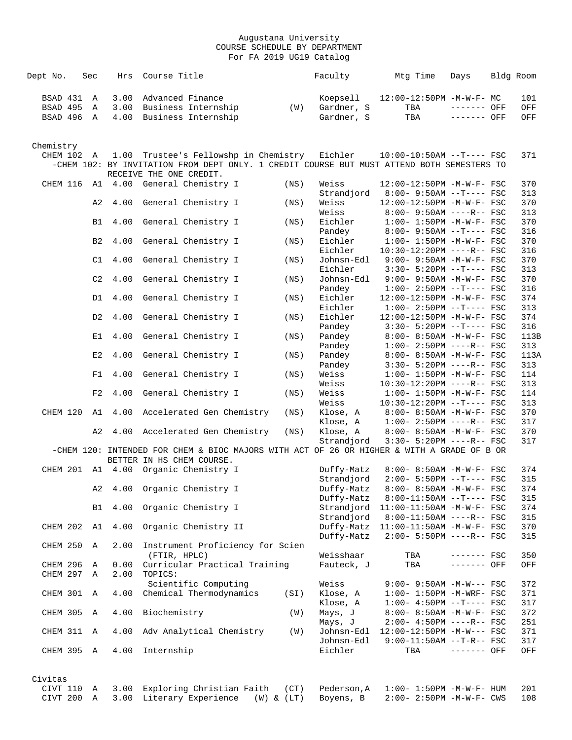| Dept No.              | Sec            | Hrs  | Course Title                                                                                                            |      | Faculty             | Mtg Time                                                         | Days         | Bldg Room |            |
|-----------------------|----------------|------|-------------------------------------------------------------------------------------------------------------------------|------|---------------------|------------------------------------------------------------------|--------------|-----------|------------|
| BSAD 431              | Α              | 3.00 | Advanced Finance                                                                                                        |      | Koepsell            | 12:00-12:50PM -M-W-F- MC                                         |              |           | 101        |
| BSAD 495              | Α              | 3.00 | Business Internship                                                                                                     | (W)  | Gardner, S          | TBA                                                              | ------- OFF  |           | OFF        |
| BSAD 496 A            |                | 4.00 | Business Internship                                                                                                     |      | Gardner, S          | TBA                                                              | ------- OFF  |           | OFF        |
|                       |                |      |                                                                                                                         |      |                     |                                                                  |              |           |            |
| Chemistry             |                |      |                                                                                                                         |      |                     |                                                                  |              |           |            |
| CHEM 102 A            |                | 1.00 | Trustee's Fellowshp in Chemistry                                                                                        |      | Eichler             | $10:00-10:50AM$ --T---- FSC                                      |              |           | 371        |
|                       |                |      | -CHEM 102: BY INVITATION FROM DEPT ONLY. 1 CREDIT COURSE BUT MUST ATTEND BOTH SEMESTERS TO<br>RECEIVE THE ONE CREDIT.   |      |                     |                                                                  |              |           |            |
|                       |                |      | CHEM 116 A1 4.00 General Chemistry I                                                                                    | (NS) | Weiss               | 12:00-12:50PM -M-W-F- FSC                                        |              |           | 370        |
|                       |                |      |                                                                                                                         |      | Strandjord          | $8:00 - 9:50AM -T--- FSC$                                        |              |           | 313        |
|                       | A2             | 4.00 | General Chemistry I                                                                                                     | (NS) | Weiss               | 12:00-12:50PM -M-W-F- FSC                                        |              |           | 370        |
|                       |                |      |                                                                                                                         |      | Weiss               | $8:00 - 9:50AM$ ----R-- FSC                                      |              |           | 313        |
|                       | B1             | 4.00 | General Chemistry I                                                                                                     | (NS) | Eichler<br>Pandey   | $1:00 - 1:50PM - M - W - F - FSC$<br>$8:00 - 9:50AM$ --T---- FSC |              |           | 370<br>316 |
|                       | B <sub>2</sub> | 4.00 | General Chemistry I                                                                                                     | (NS) | Eichler             | $1:00 - 1:50PM -M-W-F - FSC$                                     |              |           | 370        |
|                       |                |      |                                                                                                                         |      | Eichler             | 10:30-12:20PM ----R-- FSC                                        |              |           | 316        |
|                       | C1             | 4.00 | General Chemistry I                                                                                                     | (NS) | Johnsn-Edl          | 9:00- 9:50AM -M-W-F- FSC                                         |              |           | 370        |
|                       |                |      |                                                                                                                         |      | Eichler             | $3:30-5:20PM$ --T---- FSC                                        |              |           | 313        |
|                       | C2             | 4.00 | General Chemistry I                                                                                                     | (NS) | Johnsn-Edl          | $9:00 - 9:50AM - M - W - F - FSC$                                |              |           | 370        |
|                       |                |      |                                                                                                                         |      | Pandey              | $1:00-2:50PM -T---FSC$                                           |              |           | 316        |
|                       | D1             | 4.00 | General Chemistry I                                                                                                     | (NS) | Eichler             | 12:00-12:50PM -M-W-F- FSC                                        |              |           | 374        |
|                       |                |      |                                                                                                                         |      | Eichler             | $1:00-2:50PM -T---FSC$                                           |              |           | 313        |
|                       | D <sub>2</sub> | 4.00 | General Chemistry I                                                                                                     | (NS) | Eichler             | 12:00-12:50PM -M-W-F- FSC                                        |              |           | 374        |
|                       |                |      |                                                                                                                         |      | Pandey              | $3:30 - 5:20PM -T--- FSC$                                        |              |           | 316        |
|                       | E1             | 4.00 | General Chemistry I                                                                                                     | (NS) | Pandey              | 8:00- 8:50AM -M-W-F- FSC                                         |              |           | 113B       |
|                       |                |      |                                                                                                                         |      | Pandey              | $1:00 - 2:50PM$ ----R-- FSC                                      |              |           | 313        |
|                       | E2             | 4.00 | General Chemistry I                                                                                                     | (NS) | Pandey              | 8:00- 8:50AM -M-W-F- FSC                                         |              |           | 113A       |
|                       |                |      |                                                                                                                         |      | Pandey              | $3:30 - 5:20PM$ ----R-- FSC                                      |              |           | 313        |
|                       | F1             | 4.00 | General Chemistry I                                                                                                     | (NS) | Weiss               | $1:00 - 1:50PM - M - W - F - FSC$                                |              |           | 114        |
|                       | F2             | 4.00 |                                                                                                                         |      | Weiss<br>Weiss      | 10:30-12:20PM ----R-- FSC<br>$1:00 - 1:50PM - M - W - F - FSC$   |              |           | 313<br>114 |
|                       |                |      | General Chemistry I                                                                                                     | (NS) | Weiss               | $10:30-12:20PM$ --T---- FSC                                      |              |           | 313        |
| CHEM 120              | A1             | 4.00 | Accelerated Gen Chemistry                                                                                               | (NS) | Klose, A            | 8:00- 8:50AM -M-W-F- FSC                                         |              |           | 370        |
|                       |                |      |                                                                                                                         |      | Klose, A            | $1:00 - 2:50PM$ ----R-- FSC                                      |              |           | 317        |
|                       | A2             | 4.00 | Accelerated Gen Chemistry                                                                                               | (NS) | Klose, A            | 8:00- 8:50AM -M-W-F- FSC                                         |              |           | 370        |
|                       |                |      |                                                                                                                         |      | Strandjord          | $3:30 - 5:20PM$ ----R-- FSC                                      |              |           | 317        |
|                       |                |      | -CHEM 120: INTENDED FOR CHEM & BIOC MAJORS WITH ACT OF 26 OR HIGHER & WITH A GRADE OF B OR<br>BETTER IN HS CHEM COURSE. |      |                     |                                                                  |              |           |            |
|                       |                |      | CHEM 201 A1 4.00 Organic Chemistry I                                                                                    |      | Duffy-Matz          | 8:00- 8:50AM -M-W-F- FSC                                         |              |           | 374        |
|                       |                |      |                                                                                                                         |      | Strandjord          | $2:00 - 5:50PM -T--- FSC$                                        |              |           | 315        |
|                       | A2             | 4.00 | Organic Chemistry I                                                                                                     |      | Duffy-Matz          | 8:00- 8:50AM -M-W-F- FSC                                         |              |           | 374        |
|                       |                |      |                                                                                                                         |      | Duffy-Matz          | $8:00-11:50AM$ --T---- FSC                                       |              |           | 315        |
|                       | B1             | 4.00 | Organic Chemistry I                                                                                                     |      | Strandjord          | 11:00-11:50AM -M-W-F- FSC                                        |              |           | 374        |
|                       |                |      |                                                                                                                         |      | Strandjord          | $8:00-11:50AM$ ----R-- FSC                                       |              |           | 315        |
| CHEM 202              | A1             | 4.00 | Organic Chemistry II                                                                                                    |      | Duffy-Matz          | $11:00-11:50AM$ -M-W-F- FSC                                      |              |           | 370        |
|                       |                |      |                                                                                                                         |      | Duffy-Matz          | $2:00 - 5:50PM$ ----R-- FSC                                      |              |           | 315        |
| CHEM 250              | Α              | 2.00 | Instrument Proficiency for Scien                                                                                        |      |                     |                                                                  |              |           |            |
|                       |                |      | (FTIR, HPLC)                                                                                                            |      | Weisshaar           | TBA                                                              | $------$ FSC |           | 350        |
| CHEM 296              | Α              | 0.00 | Curricular Practical Training                                                                                           |      | Fauteck, J          | TBA                                                              | ------- OFF  |           | OFF        |
| CHEM 297              | Α              | 2.00 | TOPICS:                                                                                                                 |      |                     |                                                                  |              |           |            |
|                       |                |      | Scientific Computing                                                                                                    |      | Weiss               | $9:00 - 9:50AM - M-W--- FSC$                                     |              |           | 372        |
| CHEM 301              | Α              | 4.00 | Chemical Thermodynamics                                                                                                 | (SI) | Klose, A            | $1:00-1:50PM$ -M-WRF- FSC<br>$1:00-4:50PM --T---FSC$             |              |           | 371        |
| CHEM 305              | Α              | 4.00 | Biochemistry                                                                                                            | (W)  | Klose, A<br>Mays, J | 8:00- 8:50AM -M-W-F- FSC                                         |              |           | 317<br>372 |
|                       |                |      |                                                                                                                         |      | Mays, J             | $2:00-4:50PM$ ----R-- FSC                                        |              |           | 251        |
| CHEM 311              | A              | 4.00 | Adv Analytical Chemistry                                                                                                | (W)  | Johnsn-Edl          | $12:00-12:50PM -M-W--- FSC$                                      |              |           | 371        |
|                       |                |      |                                                                                                                         |      | Johnsn-Edl          | $9:00-11:50AM$ --T-R-- FSC                                       |              |           | 317        |
| CHEM 395              | A              | 4.00 | Internship                                                                                                              |      | Eichler             | TBA                                                              | ------- OFF  |           | OFF        |
|                       |                |      |                                                                                                                         |      |                     |                                                                  |              |           |            |
| Civitas<br>CIVT 110 A |                | 3.00 | Exploring Christian Faith                                                                                               | (CT) | Pederson, A         | $1:00 - 1:50PM -M-W-F - HUM$                                     |              |           | 201        |
|                       |                |      |                                                                                                                         |      |                     |                                                                  |              |           |            |

CIVT 200 A 3.00 Literary Experience (W) & (LT) Boyens, B 2:00- 2:50PM -M-W-F- CWS 108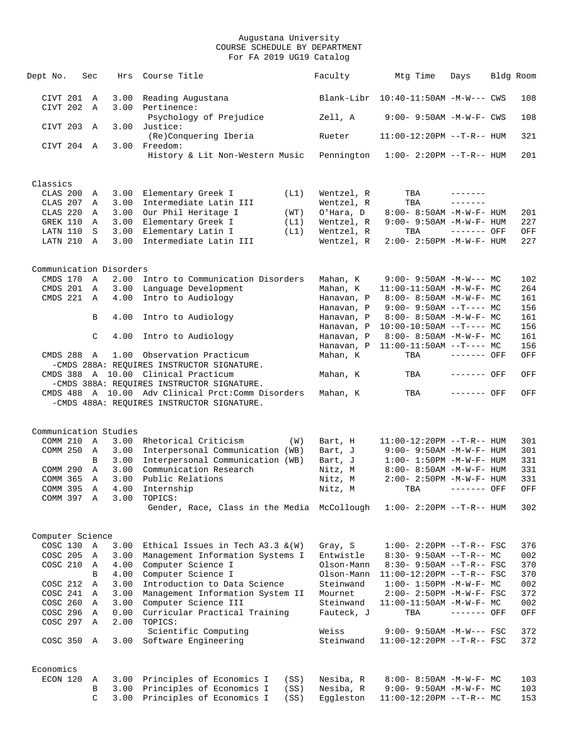| Dept No.                 | Sec               | Hrs          | Course Title                                                                                    | Faculty                 | Mtg Time                                                         | Days         | Bldg Room  |
|--------------------------|-------------------|--------------|-------------------------------------------------------------------------------------------------|-------------------------|------------------------------------------------------------------|--------------|------------|
| CIVT 201<br>CIVT 202     | A<br>$\mathbf{A}$ | 3.00<br>3.00 | Reading Augustana<br>Pertinence:                                                                | Blank-Libr              | 10:40-11:50AM -M-W--- CWS                                        |              | 108        |
| CIVT 203                 | A                 | 3.00         | Psychology of Prejudice<br>Justice:                                                             | Zell, A                 | $9:00 - 9:50AM - M - W - F - CWS$                                |              | 108        |
|                          |                   |              | (Re)Conquering Iberia                                                                           | Rueter                  | $11:00-12:20PM -T-R--HUM$                                        |              | 321        |
| CIVT 204 A               |                   | 3.00         | Freedom:<br>History & Lit Non-Western Music                                                     | Pennington              | $1:00 - 2:20PM -T-R--HUM$                                        |              | 201        |
| Classics                 |                   |              |                                                                                                 |                         |                                                                  |              |            |
| CLAS 200 A               |                   | 3.00         | Elementary Greek I<br>(L1)                                                                      | Wentzel, R              | TBA                                                              | --------     |            |
| CLAS 207 A               |                   | 3.00         | Intermediate Latin III                                                                          | Wentzel, R              | TBA                                                              | --------     |            |
| CLAS 220                 | A                 | 3.00         | Our Phil Heritage I<br>(WT)                                                                     | O'Hara, D               | 8:00- 8:50AM -M-W-F- HUM                                         |              | 201        |
| GREK 110                 | A                 | 3.00         | Elementary Greek I<br>(L1)                                                                      | Wentzel, R              | $9:00-9:50AM -M-W-F-HUM$                                         |              | 227        |
| LATN 110                 | S                 | 3.00         | Elementary Latin I<br>(L1)                                                                      | Wentzel, R              | TBA                                                              | ------- OFF  | OFF        |
| LATN 210 A               |                   | 3.00         | Intermediate Latin III                                                                          | Wentzel, R              | 2:00- 2:50PM -M-W-F- HUM                                         |              | 227        |
| Communication Disorders  |                   |              |                                                                                                 |                         |                                                                  |              |            |
| CMDS 170                 | $\mathbb{A}$      | 2.00         | Intro to Communication Disorders                                                                | Mahan, K                | $9:00 - 9:50AM - M-W--- MC$                                      |              | 102        |
| CMDS 201 A               |                   | 3.00         | Language Development                                                                            | Mahan, K                | $11:00-11:50AM$ -M-W-F- MC                                       |              | 264        |
| CMDS 221 A               |                   | 4.00         | Intro to Audiology                                                                              | Hanavan, P              | $8:00 - 8:50AM$ -M-W-F- MC                                       |              | 161        |
|                          |                   |              |                                                                                                 | Hanavan, P              | $9:00-9:50AM --T---MC$                                           |              | 156        |
|                          | B                 | 4.00         | Intro to Audiology                                                                              | Hanavan, P              | $8:00 - 8:50AM - M - W - F - MC$                                 |              | 161        |
|                          |                   |              |                                                                                                 | Hanavan, P              | $10:00-10:50AM$ --T---- MC                                       |              | 156        |
|                          | C                 | 4.00         | Intro to Audiology                                                                              | Hanavan, P              | 8:00- 8:50AM -M-W-F- MC                                          |              | 161        |
|                          |                   |              |                                                                                                 | Hanavan, P              | $11:00-11:50AM$ --T---- MC                                       |              | 156        |
| CMDS 288 A               |                   | 1.00         | Observation Practicum<br>-CMDS 288A: REOUIRES INSTRUCTOR SIGNATURE.                             | Mahan, K                | TBA                                                              | $------$ OFF | OFF        |
|                          |                   |              | CMDS 388 A 10.00 Clinical Practicum                                                             | Mahan, K                | TBA                                                              | ------- OFF  | OFF        |
|                          |                   |              | -CMDS 388A: REQUIRES INSTRUCTOR SIGNATURE.                                                      |                         |                                                                  |              |            |
|                          |                   |              | CMDS 488 A 10.00 Adv Clinical Prct:Comm Disorders<br>-CMDS 488A: REQUIRES INSTRUCTOR SIGNATURE. | Mahan, K                | TBA                                                              | ------- OFF  | OFF        |
| Communication Studies    |                   |              |                                                                                                 |                         |                                                                  |              |            |
| COMM 210                 | A                 | 3.00         | Rhetorical Criticism<br>(W)                                                                     | Bart, H                 | $11:00-12:20PM -T-R--HUM$                                        |              | 301        |
| COMM 250                 | A                 | 3.00         | Interpersonal Communication (WB)                                                                | Bart, J                 | $9:00 - 9:50AM - M - W - F - HUM$                                |              | 301        |
|                          | B                 | 3.00         | Interpersonal Communication (WB)                                                                | Bart, J                 | $1:00 - 1:50PM -M-W-F- HUM$                                      |              | 331        |
| COMM 290                 | A                 | 3.00         | Communication Research                                                                          | Nitz, M                 | $8:00 - 8:50AM - M - W - F - HUM$                                |              | 331        |
| COMM 365                 | A                 | 3.00         | Public Relations                                                                                | Nitz, M                 | $2:00 - 2:50PM - M - W - F - HUM$                                |              | 331        |
| COMM 395 A               |                   |              | 4.00 Internship                                                                                 | Nitz, M                 | TBA ------- OFF                                                  |              | OFF        |
| COMM 397 A               |                   |              | 3.00 TOPICS:<br>Gender, Race, Class in the Media McCollough                                     |                         | $1:00-2:20PM -T-R--HUM$                                          |              | 302        |
|                          |                   |              |                                                                                                 |                         |                                                                  |              |            |
| Computer Science         |                   |              |                                                                                                 |                         |                                                                  |              |            |
| COSC 130 A               |                   | 3.00         | Ethical Issues in Tech $A3.3 \& (W)$                                                            | Gray, S                 | $1:00-2:20PM -T-R--FSC$                                          |              | 376        |
| COSC 205 A               |                   | 3.00         | Management Information Systems I                                                                | Entwistle               | $8:30 - 9:50AM -T-R-- MC$                                        |              | 002        |
| COSC 210 A               |                   | 4.00         | Computer Science I                                                                              | Olson-Mann              | $8:30 - 9:50AM -T-R--FSC$                                        |              | 370        |
|                          | B                 | 4.00         | Computer Science I                                                                              | Olson-Mann              | $11:00-12:20PM -T-R--FSC$                                        |              | 370        |
| COSC 212 A               |                   | 3.00         | Introduction to Data Science                                                                    | Steinwand               | $1:00-1:50PM -M-W-F-MC$                                          |              | 002        |
| COSC 241 A               |                   | 3.00         | Management Information System II<br>Computer Science III                                        | Mournet                 | 2:00- 2:50PM -M-W-F- FSC                                         |              | 372        |
| COSC 260 A<br>COSC 296 A |                   | 3.00<br>0.00 | Curricular Practical Training                                                                   | Steinwand<br>Fauteck, J | $11:00-11:50AM$ -M-W-F- MC<br>TBA                                | ------- OFF  | 002<br>OFF |
| COSC 297 A               |                   | 2.00         | TOPICS:                                                                                         |                         |                                                                  |              |            |
|                          |                   |              | Scientific Computing                                                                            | Weiss                   | $9:00 - 9:50AM - M-W--- FSC$                                     |              | 372        |
| COSC 350 A               |                   | 3.00         | Software Engineering                                                                            | Steinwand               | 11:00-12:20PM --T-R-- FSC                                        |              | 372        |
|                          |                   |              |                                                                                                 |                         |                                                                  |              |            |
| Economics<br>ECON 120    |                   |              |                                                                                                 |                         |                                                                  |              |            |
|                          | A<br>В            |              | 3.00 Principles of Economics I<br>(SS)<br>3.00 Principles of Economics I<br>(SS)                | Nesiba, R<br>Nesiba, R  | $8:00 - 8:50AM - M - W - F - MC$<br>$9:00 - 9:50AM - M-W-F - MC$ |              | 103<br>103 |
|                          | C.                |              | 3.00 Principles of Economics I<br>(SS)                                                          | Eqqleston               | $11:00-12:20PM$ --T-R-- MC                                       |              | 153        |
|                          |                   |              |                                                                                                 |                         |                                                                  |              |            |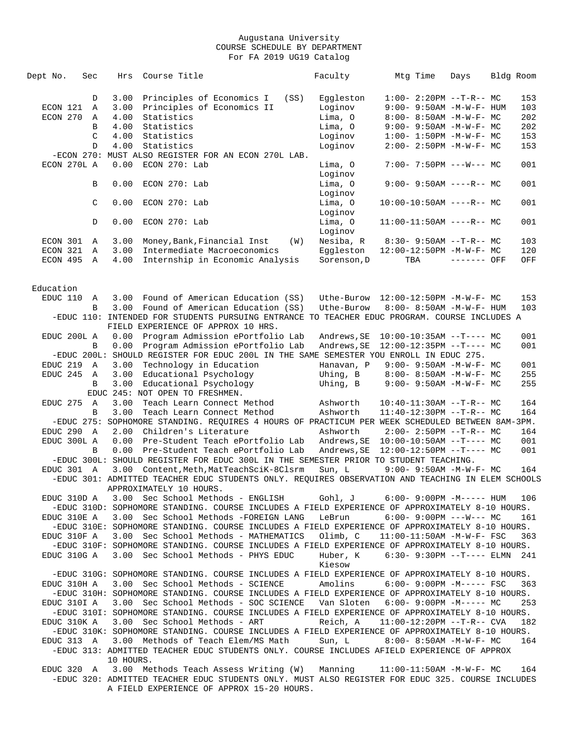| Dept No.    | Sec           | Hrs       | Course Title                                                                                      |      | Faculty                                | Mtg Time | Days                              | Bldg Room |
|-------------|---------------|-----------|---------------------------------------------------------------------------------------------------|------|----------------------------------------|----------|-----------------------------------|-----------|
|             | D             | 3.00      | Principles of Economics I                                                                         | (SS) | Eqqleston                              |          | $1:00-2:20PM -T-R--MC$            | 153       |
| ECON 121    | Α             | 3.00      | Principles of Economics II                                                                        |      | Loginov                                |          | 9:00- 9:50AM -M-W-F- HUM          | 103       |
| ECON 270    | Α             | 4.00      | Statistics                                                                                        |      | Lima, O                                |          | $8:00 - 8:50AM - M - W - F - MC$  | 202       |
|             | B             | 4.00      | Statistics                                                                                        |      | Lima, 0                                |          | $9:00 - 9:50AM - M-W-F - MC$      | 202       |
|             |               |           |                                                                                                   |      |                                        |          |                                   |           |
|             | C             | 4.00      | Statistics                                                                                        |      | Loginov                                |          | $1:00 - 1:50PM -M-W-F - MC$       | 153       |
|             | D             | 4.00      | Statistics                                                                                        |      | Loginov                                |          | $2:00-2:50PM -M-W-F-MC$           | 153       |
|             |               |           | -ECON 270: MUST ALSO REGISTER FOR AN ECON 270L LAB.                                               |      |                                        |          |                                   |           |
| ECON 270L A |               | 0.00      | $ECON$ 270: Lab                                                                                   |      | Lima, O                                |          | $7:00 - 7:50PM$ ---W--- MC        | 001       |
|             |               |           |                                                                                                   |      | Loginov                                |          |                                   |           |
|             | В             | 0.00      | ECON 270: Lab                                                                                     |      | Lima, 0                                |          | $9:00 - 9:50AM$ ----R-- MC        | 001       |
|             |               |           |                                                                                                   |      | Loginov                                |          |                                   |           |
|             | $\mathcal{C}$ | 0.00      | ECON 270: Lab                                                                                     |      | Lima, O                                |          | $10:00-10:50AM$ ----R-- MC        | 001       |
|             |               |           |                                                                                                   |      | Loginov                                |          |                                   |           |
|             | D             | 0.00      | ECON 270: Lab                                                                                     |      | Lima, O                                |          | $11:00-11:50AM$ ----R-- MC        | 001       |
|             |               |           |                                                                                                   |      | Loginov                                |          |                                   |           |
| ECON 301    | A             | 3.00      | Money, Bank, Financial Inst                                                                       | (W)  | Nesiba, R                              |          | $8:30 - 9:50AM -T-R-- MC$         | 103       |
| ECON 321    | A             | 3.00      | Intermediate Macroeconomics                                                                       |      | Eqqleston                              |          | 12:00-12:50PM -M-W-F- MC          | 120       |
| ECON 495 A  |               | 4.00      | Internship in Economic Analysis                                                                   |      | Sorenson, D                            | TBA      | ------- OFF                       | OFF       |
|             |               |           |                                                                                                   |      |                                        |          |                                   |           |
| Education   |               |           |                                                                                                   |      |                                        |          |                                   |           |
| EDUC 110 A  |               | 3.00      | Found of American Education (SS)                                                                  |      | Uthe-Burow                             |          | 12:00-12:50PM -M-W-F- MC          | 153       |
|             | B             | 3.00      | Found of American Education (SS)                                                                  |      | Uthe-Burow                             |          | $8:00 - 8:50AM - M - W - F - HUM$ | 103       |
|             |               |           | -EDUC 110: INTENDED FOR STUDENTS PURSUING ENTRANCE TO TEACHER EDUC PROGRAM. COURSE INCLUDES A     |      |                                        |          |                                   |           |
|             |               |           | FIELD EXPERIENCE OF APPROX 10 HRS.                                                                |      |                                        |          |                                   |           |
| EDUC 200L A |               | 0.00      | Program Admission ePortfolio Lab                                                                  |      | Andrews, SE                            |          | $10:00-10:35AM$ --T---- MC        | 001       |
|             | B             | 0.00      | Program Admission ePortfolio Lab                                                                  |      | Andrews, SE                            |          | $12:00-12:35PM$ --T---- MC        | 001       |
|             |               |           | -EDUC 200L: SHOULD REGISTER FOR EDUC 200L IN THE SAME SEMESTER YOU ENROLL IN EDUC 275.            |      |                                        |          |                                   |           |
|             |               |           |                                                                                                   |      |                                        |          |                                   |           |
| EDUC 219 A  |               | 3.00      | Technology in Education                                                                           |      | Hanavan, P                             |          | $9:00 - 9:50AM - M - W - F - MC$  | 001       |
| EDUC 245 A  |               | 3.00      | Educational Psychology                                                                            |      | Uhing, B                               |          | $8:00 - 8:50AM - M - W - F - MC$  | 255       |
|             | B             | 3.00      | Educational Psychology                                                                            |      | Uhing, B                               |          | $9:00 - 9:50AM - M - W - F - MC$  | 255       |
|             |               |           | EDUC 245: NOT OPEN TO FRESHMEN.                                                                   |      |                                        |          |                                   |           |
| EDUC 275    | $\mathbb{A}$  | 3.00      | Teach Learn Connect Method                                                                        |      | Ashworth                               |          | $10:40-11:30AM$ --T-R-- MC        | 164       |
|             | B             | 3.00      | Teach Learn Connect Method                                                                        |      | Ashworth                               |          | $11:40-12:30PM$ --T-R-- MC        | 164       |
|             |               |           | -EDUC 275: SOPHOMORE STANDING. REQUIRES 4 HOURS OF PRACTICUM PER WEEK SCHEDULED BETWEEN 8AM-3PM.  |      |                                        |          |                                   |           |
| EDUC 290 A  |               | 2.00      | Children's Literature                                                                             |      | Ashworth                               |          | $2:00 - 2:50PM -T-R-- MC$         | 164       |
| EDUC 300L A |               | 0.00      | Pre-Student Teach ePortfolio Lab                                                                  |      | Andrews, SE   10:00-10:50AM --T---- MC |          |                                   | 001       |
|             | B             | 0.00      | Pre-Student Teach ePortfolio Lab                                                                  |      | Andrews, SE                            |          | $12:00-12:50PM$ --T---- MC        | 001       |
|             |               |           | -EDUC 300L: SHOULD REGISTER FOR EDUC 300L IN THE SEMESTER PRIOR TO STUDENT TEACHING.              |      |                                        |          |                                   |           |
| EDUC 301 A  |               |           | 3.00 Content, Meth, MatTeachSciK-8Clsrm                                                           |      | Sun, L                                 |          | $9:00 - 9:50AM - M - W - F - MC$  | 164       |
|             |               |           | -EDUC 301: ADMITTED TEACHER EDUC STUDENTS ONLY. REQUIRES OBSERVATION AND TEACHING IN ELEM SCHOOLS |      |                                        |          |                                   |           |
|             |               |           | APPROXIMATELY 10 HOURS.                                                                           |      |                                        |          |                                   |           |
| EDUC 310D A |               |           | 3.00 Sec School Methods - ENGLISH                                                                 |      | Gohl, J                                |          | $6:00-9:00PM -M--- HUM$           | 106       |
|             |               |           | -EDUC 310D: SOPHOMORE STANDING. COURSE INCLUDES A FIELD EXPERIENCE OF APPROXIMATELY 8-10 HOURS.   |      |                                        |          |                                   |           |
| EDUC 310E A |               |           | 3.00 Sec School Methods - FOREIGN LANG                                                            |      | LeBrun                                 |          | $6:00 - 9:00PM$ ---W--- MC        | 161       |
|             |               |           | -EDUC 310E: SOPHOMORE STANDING. COURSE INCLUDES A FIELD EXPERIENCE OF APPROXIMATELY 8-10 HOURS.   |      |                                        |          |                                   |           |
| EDUC 310F A |               |           | 3.00 Sec School Methods - MATHEMATICS                                                             |      | Olimb, C                               |          | $11:00-11:50AM$ -M-W-F- FSC       | 363       |
|             |               |           | -EDUC 310F: SOPHOMORE STANDING. COURSE INCLUDES A FIELD EXPERIENCE OF APPROXIMATELY 8-10 HOURS.   |      |                                        |          |                                   |           |
| EDUC 310G A |               | 3.00      | Sec School Methods - PHYS EDUC                                                                    |      | Huber, K                               |          | $6:30 - 9:30PM -T--- ELMN$ 241    |           |
|             |               |           |                                                                                                   |      | Kiesow                                 |          |                                   |           |
|             |               |           | -EDUC 310G: SOPHOMORE STANDING. COURSE INCLUDES A FIELD EXPERIENCE OF APPROXIMATELY 8-10 HOURS.   |      |                                        |          |                                   |           |
|             |               |           | 3.00 Sec School Methods - SCIENCE                                                                 |      | Amolins                                |          | $6:00-9:00PM -M--- FSC$           | 363       |
| EDUC 310H A |               |           |                                                                                                   |      |                                        |          |                                   |           |
|             |               |           | -EDUC 310H: SOPHOMORE STANDING. COURSE INCLUDES A FIELD EXPERIENCE OF APPROXIMATELY 8-10 HOURS.   |      |                                        |          |                                   |           |
| EDUC 310I A |               |           | 3.00 Sec School Methods - SOC SCIENCE                                                             |      | Van Sloten                             |          | $6:00-9:00PM -M--- -$ MC          | 253       |
|             |               |           | -EDUC 3101: SOPHOMORE STANDING. COURSE INCLUDES A FIELD EXPERIENCE OF APPROXIMATELY 8-10 HOURS.   |      |                                        |          |                                   |           |
| EDUC 310K A |               |           | 3.00 Sec School Methods - ART                                                                     |      | Reich, A                               |          | $11:00-12:20PM -T-R--CVA$         | 182       |
|             |               |           | -EDUC 310K: SOPHOMORE STANDING. COURSE INCLUDES A FIELD EXPERIENCE OF APPROXIMATELY 8-10 HOURS.   |      |                                        |          |                                   |           |
| EDUC 313 A  |               |           | 3.00 Methods of Teach Elem/MS Math Sun, L                                                         |      |                                        |          | 8:00- 8:50AM -M-W-F- MC           | 164       |
|             |               |           | -EDUC 313: ADMITTED TEACHER EDUC STUDENTS ONLY. COURSE INCLUDES AFIELD EXPERIENCE OF APPROX       |      |                                        |          |                                   |           |
|             |               | 10 HOURS. |                                                                                                   |      |                                        |          |                                   |           |
|             |               |           | EDUC 320 A 3.00 Methods Teach Assess Writing (W) Manning                                          |      |                                        |          | $11:00-11:50AM$ -M-W-F- MC        | 164       |
|             |               |           | -EDUC 320: ADMITTED TEACHER EDUC STUDENTS ONLY. MUST ALSO REGISTER FOR EDUC 325. COURSE INCLUDES  |      |                                        |          |                                   |           |
|             |               |           | A FIELD EXPERIENCE OF APPROX 15-20 HOURS.                                                         |      |                                        |          |                                   |           |
|             |               |           |                                                                                                   |      |                                        |          |                                   |           |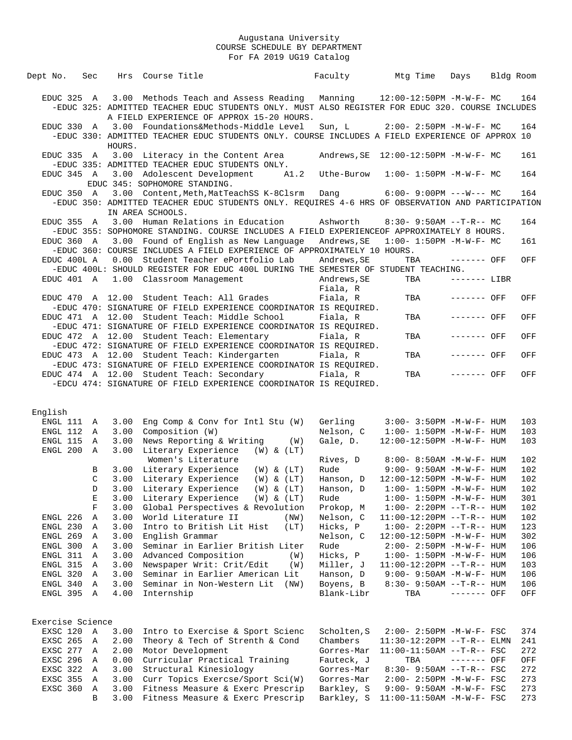| Dept No.             |          | Sec              |                  | Hrs Course Title                                                                                                                                                                       |                | Faculty                 | Mtg Time                                              | Days          | Bldg Room |            |
|----------------------|----------|------------------|------------------|----------------------------------------------------------------------------------------------------------------------------------------------------------------------------------------|----------------|-------------------------|-------------------------------------------------------|---------------|-----------|------------|
| EDUC 325 A           |          |                  |                  | 3.00 Methods Teach and Assess Reading<br>-EDUC 325: ADMITTED TEACHER EDUC STUDENTS ONLY. MUST ALSO REGISTER FOR EDUC 320. COURSE INCLUDES<br>A FIELD EXPERIENCE OF APPROX 15-20 HOURS. |                |                         | Manning $12:00-12:50PM -M-W-F-MC$                     |               |           | 164        |
|                      |          |                  | HOURS.           | EDUC 330 A 3.00 Foundations&Methods-Middle Level<br>-EDUC 330: ADMITTED TEACHER EDUC STUDENTS ONLY. COURSE INCLUDES A FIELD EXPERIENCE OF APPROX 10                                    |                |                         | Sun, L 2:00-2:50PM -M-W-F- MC                         |               |           | 164        |
| EDUC 335 A           |          |                  |                  | 3.00 Literacy in the Content Area<br>-EDUC 335: ADMITTED TEACHER EDUC STUDENTS ONLY.                                                                                                   |                |                         | Andrews, $SE$ 12:00-12:50PM -M-W-F- MC                |               |           | 161        |
|                      |          |                  |                  | EDUC 345 A 3.00 Adolescent Development<br>EDUC 345: SOPHOMORE STANDING.                                                                                                                | A1.2           | Uthe-Burow              | $1:00 - 1:50PM - M - W - F - MC$                      |               |           | 164        |
| EDUC 350 A           |          |                  |                  | 3.00 Content, Meth, MatTeachSS K-8Clsrm<br>-EDUC 350: ADMITTED TEACHER EDUC STUDENTS ONLY. REQUIRES 4-6 HRS OF OBSERVATION AND PARTICIPATION<br>IN AREA SCHOOLS.                       |                | <b>Dang</b>             | $6:00-9:00PM$ ---W--- MC                              |               |           | 164        |
| EDUC 355 A           |          |                  |                  | 3.00 Human Relations in Education<br>-EDUC 355: SOPHOMORE STANDING. COURSE INCLUDES A FIELD EXPERIENCEOF APPROXIMATELY 8 HOURS.                                                        |                | Ashworth                | $8:30 - 9:50AM -T-R-- MC$                             |               |           | 164        |
| EDUC 360 A           |          |                  |                  | 3.00 Found of English as New Language<br>-EDUC 360: COURSE INCLUDES A FIELD EXPERIENCE OF APPROXIMATELY 10 HOURS.                                                                      |                | Andrews, SE             | $1:00 - 1:50PM -M-W-F-MC$                             |               |           | 161        |
| EDUC 400L A          |          |                  |                  | 0.00 Student Teacher ePortfolio Lab<br>-EDUC 400L: SHOULD REGISTER FOR EDUC 400L DURING THE SEMESTER OF STUDENT TEACHING.                                                              |                | Andrews, SE             | TBA                                                   | ------- OFF   |           | OFF        |
| EDUC 401 A           |          |                  |                  | 1.00 Classroom Management                                                                                                                                                              |                | Andrews, SE<br>Fiala, R | TBA                                                   | $------$ LIBR |           |            |
|                      |          |                  |                  | EDUC 470 A 12.00 Student Teach: All Grades<br>-EDUC 470: SIGNATURE OF FIELD EXPERIENCE COORDINATOR IS REQUIRED.                                                                        |                | Fiala, R                | TBA                                                   | $------$ OFF  |           | OFF        |
|                      |          |                  | EDUC 471 A 12.00 | Student Teach: Middle School<br>-EDUC 471: SIGNATURE OF FIELD EXPERIENCE COORDINATOR IS REQUIRED.                                                                                      |                | Fiala, R                | TBA                                                   | $-----$ OFF   |           | OFF        |
|                      |          |                  |                  | EDUC 472 A 12.00 Student Teach: Elementary<br>-EDUC 472: SIGNATURE OF FIELD EXPERIENCE COORDINATOR IS REQUIRED.                                                                        |                | Fiala, R                | TBA                                                   | ------- OFF   |           | OFF        |
|                      |          |                  |                  | EDUC 473 A 12.00 Student Teach: Kindergarten<br>-EDUC 473: SIGNATURE OF FIELD EXPERIENCE COORDINATOR IS REQUIRED.                                                                      |                | Fiala, R                | TBA                                                   | ------- OFF   |           | OFF        |
|                      |          |                  |                  | EDUC 474 A 12.00 Student Teach: Secondary<br>-EDCU 474: SIGNATURE OF FIELD EXPERIENCE COORDINATOR IS REQUIRED.                                                                         |                | Fiala, R                | TBA                                                   | $------$ OFF  |           | OFF        |
| English              |          |                  |                  |                                                                                                                                                                                        |                |                         |                                                       |               |           |            |
| ENGL 111 A           |          |                  |                  | 3.00 Eng Comp & Conv for Intl Stu (W)                                                                                                                                                  |                |                         | Gerling $3:00-3:50PM -M-W-F-HUM$                      |               |           | 103        |
| ENGL 112<br>ENGL 115 |          | A                | 3.00<br>3.00     | Composition (W)                                                                                                                                                                        |                | Nelson, C<br>Gale, D.   | $1:00 - 1:50PM -M-W-F - HUM$                          |               |           | 103<br>103 |
| ENGL 200             |          | A<br>$\mathbb A$ | 3.00             | News Reporting & Writing<br>Literary Experience (W) & (LT)<br>Women's Literature                                                                                                       | (W)            | Rives, D                | 12:00-12:50PM -M-W-F- HUM<br>8:00- 8:50AM -M-W-F- HUM |               |           | 102        |
|                      |          | В                | 3.00             | Literary Experience<br>(W) & (LT)                                                                                                                                                      |                | Rude                    | 9:00- 9:50AM -M-W-F- HUM                              |               |           | 102        |
|                      |          | C                | 3.00             | Literary Experience                                                                                                                                                                    | $(W)$ & $(LT)$ | Hanson, D               | 12:00-12:50PM -M-W-F- HUM                             |               |           | 102        |
|                      |          | $\mathbf{D}$     |                  | 3.00 Literary Experience (W) & (LT)                                                                                                                                                    |                |                         | Hanson, D 1:00- 1:50PM -M-W-F- HUM                    |               |           | 102        |
|                      |          | Е                | 3.00             | Literary Experience                                                                                                                                                                    | $(W)$ & $(LT)$ | Rude                    | $1:00 - 1:50PM - M - W - F - HUM$                     |               |           | 301        |
|                      |          | F                | 3.00             | Global Perspectives & Revolution                                                                                                                                                       |                | Prokop, M               | $1:00-2:20PM -T-R--HUM$                               |               |           | 102        |
| ENGL 226             |          | Α                | 3.00             | World Literature II                                                                                                                                                                    | (NW)           | Nelson, C               | 11:00-12:20PM --T-R-- HUM                             |               |           | 102        |
| ENGL 230             |          | Α                | 3.00             | Intro to British Lit Hist                                                                                                                                                              | (LT)           | Hicks, P                | $1:00 - 2:20PM -T-R--HUM$                             |               |           | 123        |
| ENGL 269             |          | Α                | 3.00             | English Grammar                                                                                                                                                                        |                | Nelson, C               | 12:00-12:50PM -M-W-F- HUM                             |               |           | 302        |
| ENGL 300             |          | Α                | 3.00             | Seminar in Earlier British Liter                                                                                                                                                       |                | Rude                    | $2:00 - 2:50PM -M-W-F - HUM$                          |               |           | 106        |
| ENGL 311             |          | Α                | 3.00             | Advanced Composition                                                                                                                                                                   | (W)            | Hicks, P                | $1:00 - 1:50PM - M - W - F - HUM$                     |               |           | 106        |
| ENGL 315             |          | Α                | 3.00             | Newspaper Writ: Crit/Edit                                                                                                                                                              | (W)            | Miller, J               | $11:00-12:20PM --T-R--HUM$                            |               |           | 103        |
| ENGL 320             |          | Α                | 3.00             | Seminar in Earlier American Lit                                                                                                                                                        |                | Hanson, D               | 9:00- 9:50AM -M-W-F- HUM                              |               |           | 106        |
| ENGL 340             |          | Α                | 3.00             | Seminar in Non-Western Lit                                                                                                                                                             | (NW)           | Boyens, B               | $8:30 - 9:50AM -T-R-- HUM$                            |               |           | 106        |
| ENGL 395             |          | Α                | 4.00             | Internship                                                                                                                                                                             |                | Blank-Libr              | TBA                                                   | ------- OFF   |           | OFF        |
| Exercise Science     |          |                  |                  |                                                                                                                                                                                        |                |                         |                                                       |               |           |            |
| EXSC 120             |          | Α                | 3.00             | Intro to Exercise & Sport Scienc                                                                                                                                                       |                | Scholten, S             | 2:00- 2:50PM -M-W-F- FSC                              |               |           | 374        |
| EXSC 265             |          | Α                | 2.00             | Theory & Tech of Strenth & Cond                                                                                                                                                        |                | Chambers                | $11:30-12:20PM --T-R--ELMN$                           |               |           | 241        |
| EXSC 277             |          | Α                | 2.00             | Motor Development                                                                                                                                                                      |                | Gorres-Mar              | 11:00-11:50AM --T-R-- FSC                             |               |           | 272        |
| EXSC 296             |          | Α                | 0.00             | Curricular Practical Training                                                                                                                                                          |                | Fauteck, J              | TBA                                                   | ------- OFF   |           | OFF        |
| EXSC 322             |          | Α                | 3.00             | Structural Kinesiology                                                                                                                                                                 |                | Gorres-Mar              | 8:30- 9:50AM --T-R-- FSC                              |               |           | 272        |
| EXSC 355             |          | Α                | 3.00             | Curr Topics Exercse/Sport Sci(W)                                                                                                                                                       |                | Gorres-Mar              | 2:00- 2:50PM -M-W-F- FSC                              |               |           | 273        |
|                      | EXSC 360 | Α                | 3.00             | Fitness Measure & Exerc Prescrip                                                                                                                                                       |                | Barkley, S              | 9:00- 9:50AM -M-W-F- FSC                              |               |           | 273        |

B 3.00 Fitness Measure & Exerc Prescrip Barkley, S 11:00-11:50AM -M-W-F- FSC 273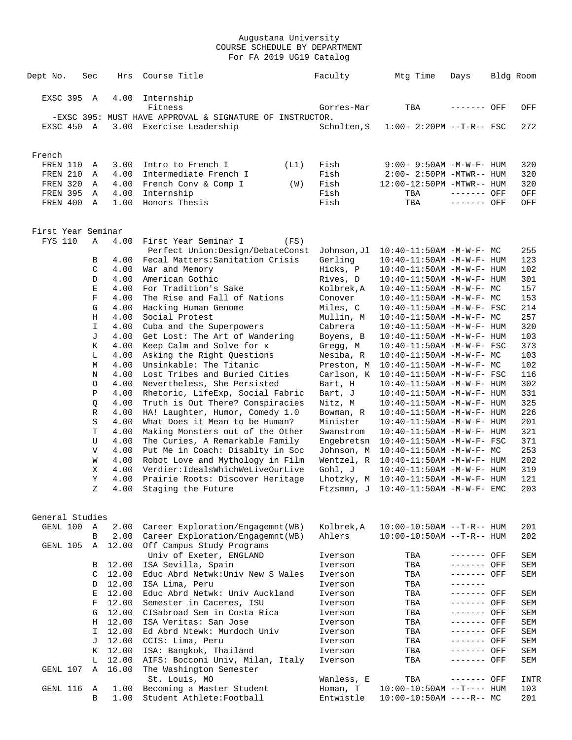| Dept No.           | Sec                       | Hrs            | Course Title                                                  | Faculty     | Mtg Time                                     | Days         | Bldg Room |
|--------------------|---------------------------|----------------|---------------------------------------------------------------|-------------|----------------------------------------------|--------------|-----------|
|                    |                           |                |                                                               |             |                                              |              |           |
| EXSC 395           | A                         | 4.00           | Internship<br>Fitness                                         |             |                                              |              |           |
|                    |                           |                |                                                               | Gorres-Mar  | TBA                                          | ------- OFF  | OFF       |
|                    |                           |                | -EXSC 395: MUST HAVE APPROVAL & SIGNATURE OF INSTRUCTOR.      |             |                                              |              |           |
| EXSC 450 A         |                           |                | 3.00 Exercise Leadership                                      | Scholten, S | $1:00-2:20PM -T-R--FSC$                      |              | 272       |
| French             |                           |                |                                                               |             |                                              |              |           |
| FREN 110           | Α                         | 3.00           | Intro to French I<br>(L1)                                     | Fish        | $9:00 - 9:50AM - M - W - F - HUM$            |              | 320       |
| FREN 210           | Α                         | 4.00           | Intermediate French I                                         | Fish        | $2:00 - 2:50PM - MTWR - - HUM$               |              | 320       |
| FREN 320           | Α                         | 4.00           | French Conv & Comp I<br>(W)                                   | Fish        | 12:00-12:50PM -MTWR-- HUM                    |              | 320       |
| FREN 395           | A                         | 4.00           | Internship                                                    | Fish        | TBA                                          | $------$ OFF | OFF       |
| FREN 400 A         |                           | 1.00           | Honors Thesis                                                 | Fish        | TBA                                          | ------- OFF  | OFF       |
| First Year Seminar |                           |                |                                                               |             |                                              |              |           |
| <b>FYS 110</b>     | Α                         | 4.00           | First Year Seminar I<br>(FS)                                  |             |                                              |              |           |
|                    |                           |                | Perfect Union: Design/DebateConst                             | Johnson,Jl  | $10:40-11:50AM$ -M-W-F- MC                   |              | 255       |
|                    | В                         | 4.00           | Fecal Matters: Sanitation Crisis                              | Gerling     | 10:40-11:50AM -M-W-F- HUM                    |              | 123       |
|                    | C                         | 4.00           | War and Memory                                                | Hicks, P    | 10:40-11:50AM -M-W-F- HUM                    |              | 102       |
|                    | D                         | 4.00           | American Gothic                                               | Rives, D    | 10:40-11:50AM -M-W-F- HUM                    |              | 301       |
|                    | $\mathbf E$               | 4.00           | For Tradition's Sake                                          | Kolbrek, A  | $10:40 - 11:50AM$ -M-W-F- MC                 |              | 157       |
|                    | $\mathbf F$               | 4.00           | The Rise and Fall of Nations                                  | Conover     | 10:40-11:50AM -M-W-F- MC                     |              | 153       |
|                    | G                         | 4.00           | Hacking Human Genome                                          | Miles, C    | $10:40 - 11:50$ AM $-M-W-F-$ FSC             |              | 214       |
|                    | Η                         | 4.00           | Social Protest                                                | Mullin, M   | $10:40-11:50AM$ -M-W-F- MC                   |              | 257       |
|                    | I                         | 4.00           | Cuba and the Superpowers                                      | Cabrera     | 10:40-11:50AM -M-W-F- HUM                    |              | 320       |
|                    | J                         | 4.00           | Get Lost: The Art of Wandering                                | Boyens, B   | 10:40-11:50AM -M-W-F- HUM                    |              | 103       |
|                    | Κ                         | 4.00           | Keep Calm and Solve for x                                     | Gregg, M    | $10:40 - 11:50$ AM $-M-W-F-$ FSC             |              | 373       |
|                    | L                         | 4.00           | Asking the Right Questions                                    | Nesiba, R   | $10:40 - 11:50AM$ -M-W-F- MC                 |              | 103       |
|                    | М                         | 4.00           | Unsinkable: The Titanic                                       | Preston, M  | $10:40-11:50AM$ -M-W-F- MC                   |              | 102       |
|                    | N                         | 4.00           | Lost Tribes and Buried Cities                                 | Carlson, K  | $10:40-11:50AM$ -M-W-F- FSC                  |              | 116       |
|                    | $\circ$                   | 4.00           | Nevertheless, She Persisted                                   | Bart, H     | $10:40 - 11:50$ AM $-M-W-F-$ HUM             |              | 302       |
|                    | Ρ                         | 4.00           | Rhetoric, LifeExp, Social Fabric                              | Bart, J     | 10:40-11:50AM -M-W-F- HUM                    |              | 331       |
|                    | Q                         | 4.00           | Truth is Out There? Conspiracies                              | Nitz, M     | 10:40-11:50AM -M-W-F- HUM                    |              | 325       |
|                    | R                         | 4.00           | HA! Laughter, Humor, Comedy 1.0                               | Bowman, R   | 10:40-11:50AM -M-W-F- HUM                    |              | 226       |
|                    | S                         | 4.00           | What Does it Mean to be Human?                                | Minister    | 10:40-11:50AM -M-W-F- HUM                    |              | 201       |
|                    | T                         | 4.00           | Making Monsters out of the Other                              | Swanstrom   | $10:40 - 11:50$ AM $-M-W-F-$ HUM             |              | 321       |
|                    | U                         | 4.00           | The Curies, A Remarkable Family                               | Engebretsn  | $10:40 - 11:50AM$ -M-W-F- FSC                |              | 371       |
|                    | $\boldsymbol{\mathrm{V}}$ | 4.00           | Put Me in Coach: Disablty in Soc                              | Johnson, M  | $10:40-11:50AM$ -M-W-F- MC                   |              | 253       |
|                    | W                         | 4.00           | Robot Love and Mythology in Film                              | Wentzel, R  | $10:40-11:50AM$ -M-W-F- HUM                  |              | 202       |
|                    | Χ                         | 4.00           | Verdier:IdealsWhichWeLiveOurLive                              | Gohl, J     | 10:40-11:50AM -M-W-F- HUM                    |              | 319       |
|                    | Y                         | 4.00           | Prairie Roots: Discover Heritage                              |             | Lhotzky, $M$ 10:40-11:50AM -M-W-F- HUM       |              | 121       |
|                    | Ζ                         | 4.00           | Staging the Future                                            |             | $F$ tzsmmn. J $10:40-11:50$ AM $-M-W-F-$ EMC |              | 203       |
| General Studies    |                           |                |                                                               |             |                                              |              |           |
| GENL 100           | Α                         | 2.00           | Career Exploration/Engagemnt(WB)                              | Kolbrek, A  | $10:00-10:50AM$ --T-R-- HUM                  |              | 201       |
| GENL 105           | B<br>Α                    | 2.00<br>12.00  | Career Exploration/Engagemnt(WB)<br>Off Campus Study Programs | Ahlers      | $10:00-10:50AM$ --T-R-- HUM                  |              | 202       |
|                    |                           |                | Univ of Exeter, ENGLAND                                       | Iverson     | TBA                                          | ------- OFF  | SEM       |
|                    | В                         | 12.00          | ISA Sevilla, Spain                                            | Iverson     | TBA                                          | ------- OFF  | SEM       |
|                    | C                         | 12.00          | Educ Abrd Netwk: Univ New S Wales                             | Iverson     | TBA                                          | ------- OFF  | SEM       |
|                    | D                         | 12.00          | ISA Lima, Peru                                                | Iverson     | TBA                                          | -------      |           |
|                    | Е                         | 12.00          | Educ Abrd Netwk: Univ Auckland                                | Iverson     | TBA                                          | ------- OFF  | SEM       |
|                    | F                         | 12.00          | Semester in Caceres, ISU                                      | Iverson     | TBA                                          | ------- OFF  | SEM       |
|                    | G                         | 12.00          | CISabroad Sem in Costa Rica                                   | Iverson     | TBA                                          | ------- OFF  | SEM       |
|                    | H                         | 12.00          | ISA Veritas: San Jose                                         | Iverson     | TBA                                          | ------- OFF  | SEM       |
|                    | I                         | 12.00          | Ed Abrd Ntewk: Murdoch Univ                                   | Iverson     | TBA                                          | ------- OFF  | SEM       |
|                    | J                         | 12.00          | CCIS: Lima, Peru                                              | Iverson     | TBA                                          | ------- OFF  | SEM       |
|                    | К                         | 12.00          | ISA: Bangkok, Thailand                                        | Iverson     | TBA                                          | ------- OFF  | SEM       |
| GENL 107           | L<br>Α                    | 12.00<br>16.00 | AIFS: Bocconi Univ, Milan, Italy<br>The Washington Semester   | Iverson     | TBA                                          | ------- OFF  | SEM       |
|                    |                           |                | St. Louis, MO                                                 | Wanless, E  | TBA                                          | ------- OFF  | INTR      |
| GENL 116           | Α                         | 1.00           | Becoming a Master Student                                     | Homan, T    | $10:00-10:50AM$ --T---- HUM                  |              | 103       |
|                    | B                         | 1.00           | Student Athlete: Football                                     | Entwistle   | $10:00-10:50AM$ ----R-- MC                   |              | 201       |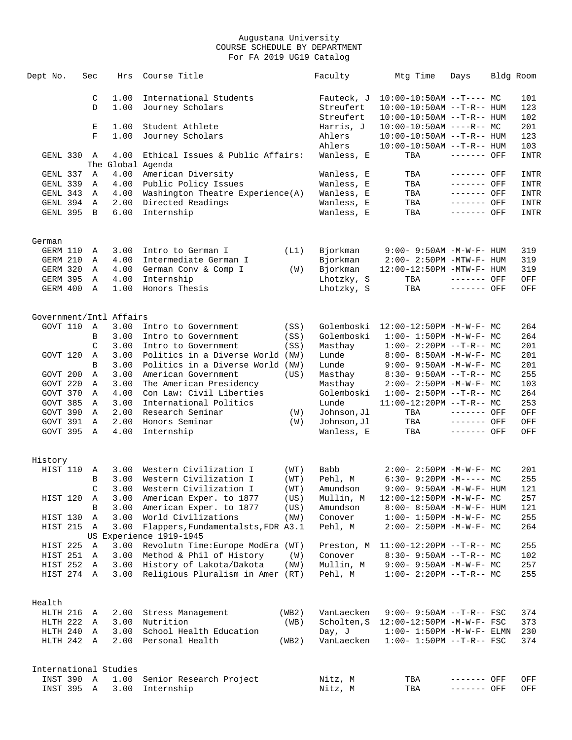| Dept No.                          | Sec           | Hrs               | Course Title                                                  |              | Faculty                  | Mtg Time                                                     | Days                       | Bldg Room           |
|-----------------------------------|---------------|-------------------|---------------------------------------------------------------|--------------|--------------------------|--------------------------------------------------------------|----------------------------|---------------------|
|                                   | C             | 1.00              | International Students                                        |              | Fauteck, J               | $10:00-10:50AM$ --T---- MC                                   |                            | 101                 |
|                                   | D             | 1.00              | Journey Scholars                                              |              | Streufert                | $10:00-10:50AM$ --T-R-- HUM                                  |                            | 123                 |
|                                   |               |                   |                                                               |              | Streufert                | $10:00-10:50AM$ --T-R-- HUM                                  |                            | 102                 |
|                                   | Е             | 1.00              | Student Athlete                                               |              | Harris, J                | $10:00-10:50AM$ ----R-- MC                                   |                            | 201                 |
|                                   | F             | 1.00              | Journey Scholars                                              |              | Ahlers                   | 10:00-10:50AM --T-R-- HUM                                    |                            | 123                 |
|                                   |               |                   |                                                               |              | Ahlers                   | 10:00-10:50AM --T-R-- HUM                                    |                            | 103                 |
| GENL 330                          | A             | 4.00              | Ethical Issues & Public Affairs:                              |              | Wanless, E               | TBA                                                          | ------- OFF                | <b>INTR</b>         |
|                                   |               | The Global Agenda |                                                               |              |                          |                                                              |                            |                     |
| GENL 337<br>GENL 339              | Α<br>Α        | 4.00<br>4.00      | American Diversity                                            |              | Wanless, E               | TBA<br>TBA                                                   | ------- OFF<br>------- OFF | INTR<br><b>INTR</b> |
| GENL 343                          | Α             | 4.00              | Public Policy Issues<br>Washington Theatre Experience(A)      |              | Wanless, E<br>Wanless, E | TBA                                                          | ------- OFF                | <b>INTR</b>         |
| GENL 394                          | Α             | 2.00              | Directed Readings                                             |              | Wanless, E               | TBA                                                          | ------- OFF                | <b>INTR</b>         |
| GENL 395                          | B             | 6.00              | Internship                                                    |              | Wanless, E               | TBA                                                          | ------- OFF                | <b>INTR</b>         |
|                                   |               |                   |                                                               |              |                          |                                                              |                            |                     |
| German                            |               |                   |                                                               |              |                          |                                                              |                            |                     |
| GERM 110                          | Α             | 3.00              | Intro to German I                                             | (L1)         | Bjorkman                 | $9:00 - 9:50AM - M - W - F - HUM$                            |                            | 319                 |
| GERM 210                          | Α             | 4.00              | Intermediate German I                                         |              | Bjorkman                 | $2:00 - 2:50PM - MTW - F - HUM$                              |                            | 319                 |
| GERM 320                          | Α             | 4.00              | German Conv & Comp I                                          | (W)          | Bjorkman                 | 12:00-12:50PM -MTW-F- HUM                                    |                            | 319                 |
| GERM 395                          | A             | 4.00              | Internship                                                    |              | Lhotzky, S               | TBA                                                          | ------- OFF                | OFF                 |
| GERM 400                          | $\mathbf{A}$  | 1.00              | Honors Thesis                                                 |              | Lhotzky, S               | TBA                                                          | ------- OFF                | OFF                 |
| Government/Intl Affairs           |               |                   |                                                               |              |                          |                                                              |                            |                     |
| GOVT 110                          | Α             | 3.00              |                                                               |              | Golemboski               |                                                              |                            | 264                 |
|                                   | B             | 3.00              | Intro to Government<br>Intro to Government                    | (SS)<br>(SS) | Golemboski               | 12:00-12:50PM -M-W-F- MC<br>$1:00 - 1:50PM - M - W - F - MC$ |                            | 264                 |
|                                   | $\mathcal{C}$ | 3.00              | Intro to Government                                           | (SS)         | Masthay                  | $1:00-2:20PM -T-R--MC$                                       |                            | 201                 |
| GOVT 120                          | Α             | 3.00              | Politics in a Diverse World (NW)                              |              | Lunde                    | $8:00 - 8:50AM - M - W - F - MC$                             |                            | 201                 |
|                                   | B             | 3.00              | Politics in a Diverse World (NW)                              |              | Lunde                    | $9:00 - 9:50AM - M - W - F - MC$                             |                            | 201                 |
| GOVT 200                          | Α             | 3.00              | American Government                                           | (US)         | Masthay                  | $8:30 - 9:50AM -T-R-- MC$                                    |                            | 255                 |
| GOVT 220                          | Α             | 3.00              | The American Presidency                                       |              | Masthay                  | $2:00 - 2:50PM -M-W-F - MC$                                  |                            | 103                 |
| GOVT 370                          | Α             | 4.00              | Con Law: Civil Liberties                                      |              | Golemboski               | $1:00-2:50PM -T-R--MC$                                       |                            | 264                 |
| GOVT 385                          | Α             | 3.00              | International Politics                                        |              | Lunde                    | $11:00-12:20PM -T-R-- MC$                                    |                            | 253                 |
| GOVT 390                          | Α             | 2.00              | Research Seminar                                              | (W)          | Johnson,Jl               | TBA                                                          | ------- OFF                | OFF                 |
| GOVT 391                          | Α             | 2.00              | Honors Seminar                                                | (W)          | Johnson, Jl              | TBA                                                          | ------- OFF                | OFF                 |
| GOVT 395                          | Α             | 4.00              | Internship                                                    |              | Wanless, E               | TBA                                                          | ------- OFF                | OFF                 |
|                                   |               |                   |                                                               |              |                          |                                                              |                            |                     |
| History                           |               |                   |                                                               |              |                          |                                                              |                            |                     |
| HIST 110                          | A             | 3.00              | Western Civilization I                                        | (WT)         | Babb                     | $2:00-2:50PM -M-W-F-MC$                                      |                            | 201                 |
|                                   | B             | 3.00              | Western Civilization I                                        | (WT)         | Pehl, M                  | $6:30 - 9:20PM -M--- MC$                                     |                            | 255                 |
|                                   | C             | 3.00              | Western Civilization I                                        | (WT)         | Amundson                 | 9:00- 9:50AM -M-W-F- HUM                                     |                            | 121                 |
| HIST 120                          | Α             | 3.00              | American Exper. to 1877                                       | (US)         | Mullin, M                | 12:00-12:50PM -M-W-F- MC                                     |                            | 257                 |
|                                   | B             | 3.00              | American Exper. to 1877                                       | (US)         | Amundson                 | 8:00- 8:50AM -M-W-F- HUM                                     |                            | 121                 |
| HIST 130                          | Α             | 3.00              | World Civilizations                                           | (NW)         | Conover                  | $1:00 - 1:50PM - M - W - F - MC$                             |                            | 255                 |
| HIST 215                          | Α             | 3.00              | Flappers, Fundamentalsts, FDR A3.1<br>US Experience 1919-1945 |              | Pehl, M                  | 2:00- 2:50PM -M-W-F- MC                                      |                            | 264                 |
| HIST 225                          | Α             | 3.00              | Revolutn Time: Europe ModEra (WT)                             |              | Preston, M               | $11:00-12:20PM$ --T-R-- MC                                   |                            | 255                 |
| HIST 251                          | Α             | 3.00              | Method & Phil of History                                      | (W)          | Conover                  | $8:30 - 9:50AM -T-R--MC$                                     |                            | 102                 |
| HIST 252                          | Α             | 3.00              | History of Lakota/Dakota                                      | (NW)         | Mullin, M                | $9:00 - 9:50AM - M - W - F - MC$                             |                            | 257                 |
| HIST 274 A                        |               | 3.00              | Religious Pluralism in Amer (RT)                              |              | Pehl, M                  | $1:00-2:20PM -T-R--MC$                                       |                            | 255                 |
|                                   |               |                   |                                                               |              |                          |                                                              |                            |                     |
| Health                            |               |                   |                                                               |              |                          |                                                              |                            |                     |
| HLTH 216                          | Α             | 2.00              | Stress Management                                             | (WB2)        | VanLaecken               | $9:00 - 9:50AM -T-R--FSC$                                    |                            | 374                 |
| HLTH 222                          | Α             | 3.00              | Nutrition                                                     | (WB)         | Scholten, S              | 12:00-12:50PM -M-W-F- FSC                                    |                            | 373                 |
| HLTH 240                          | Α             | 3.00              | School Health Education                                       |              | Day, J                   | $1:00-1:50PM -M-W-F-ELMN$                                    |                            | 230                 |
| HLTH 242                          | Α             | 2.00              | Personal Health                                               | (WB2)        | VanLaecken               | $1:00 - 1:50PM -T-R--FSC$                                    |                            | 374                 |
|                                   |               |                   |                                                               |              |                          |                                                              |                            |                     |
| International Studies<br>INST 390 | Α             |                   |                                                               |              |                          |                                                              |                            |                     |
| INST 395                          | Α             | 1.00<br>3.00      | Senior Research Project<br>Internship                         |              | Nitz, M<br>Nitz, M       | TBA<br>TBA                                                   | ------- OFF<br>------- OFF | OFF<br>OFF          |
|                                   |               |                   |                                                               |              |                          |                                                              |                            |                     |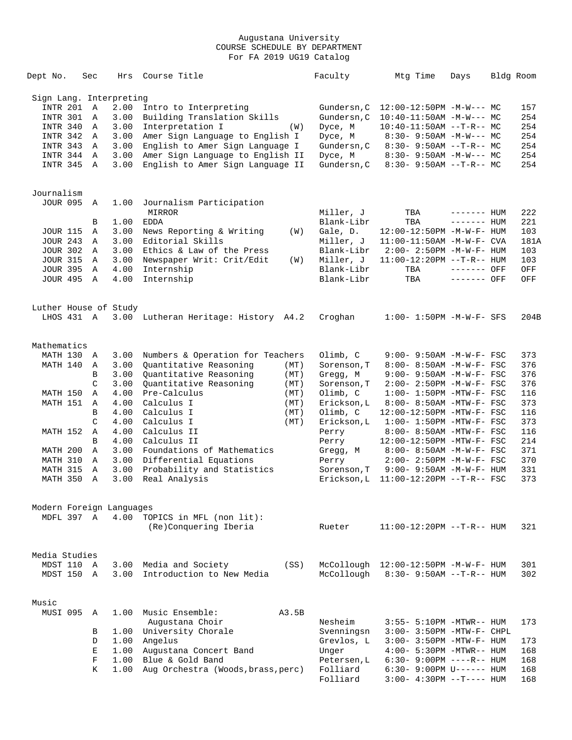| Dept No.                 | Sec           | Hrs  | Course Title                         |      | Faculty     | Mtg Time                             | Days        | Bldg Room |
|--------------------------|---------------|------|--------------------------------------|------|-------------|--------------------------------------|-------------|-----------|
| Sign Lang. Interpreting  |               |      |                                      |      |             |                                      |             |           |
| <b>INTR 201</b>          | Α             | 2.00 | Intro to Interpreting                |      | Gundersn, C | $12:00-12:50PM -M-W--- MC$           |             | 157       |
| INTR 301                 | Α             | 3.00 | Building Translation Skills          |      | Gundersn, C | $10:40-11:50AM$ -M-W--- MC           |             | 254       |
| INTR 340                 | Α             | 3.00 | Interpretation I                     |      | Dyce, M     | $10:40-11:50AM$ --T-R-- MC           |             | 254       |
|                          |               |      |                                      | (W)  |             |                                      |             |           |
| INTR 342                 | A             | 3.00 | Amer Sign Language to English I      |      | Dyce, M     | $8:30 - 9:50AM - M-W--- MC$          |             | 254       |
| INTR 343                 | Α             | 3.00 | English to Amer Sign Language I      |      | Gundersn, C | $8:30 - 9:50AM -T-R-- MC$            |             | 254       |
| INTR 344                 | A             | 3.00 | Amer Sign Language to English II     |      | Dyce, M     | $8:30 - 9:50AM - M-W--- MC$          |             | 254       |
| INTR 345                 | A             | 3.00 | English to Amer Sign Language II     |      | Gundersn, C | $8:30 - 9:50AM -T-R-- MC$            |             | 254       |
|                          |               |      |                                      |      |             |                                      |             |           |
| Journalism               |               |      |                                      |      |             |                                      |             |           |
| <b>JOUR 095</b>          | Α             | 1.00 | Journalism Participation             |      |             |                                      |             |           |
|                          |               |      | MIRROR                               |      | Miller, J   | TBA                                  | ------- HUM | 222       |
|                          | В             | 1.00 | <b>EDDA</b>                          |      | Blank-Libr  | TBA                                  | $------HUM$ | 221       |
| <b>JOUR 115</b>          | Α             | 3.00 | News Reporting & Writing             | (W)  | Gale, D.    | 12:00-12:50PM -M-W-F- HUM            |             | 103       |
| <b>JOUR 243</b>          | Α             | 3.00 | Editorial Skills                     |      | Miller, J   | $11:00-11:50AM$ -M-W-F- CVA          |             | 181A      |
| <b>JOUR 302</b>          | A             | 3.00 | Ethics & Law of the Press            |      | Blank-Libr  | $2:00-2:50PM -M-W-F- HUM$            |             | 103       |
| <b>JOUR 315</b>          | A             | 3.00 | Newspaper Writ: Crit/Edit            | (W)  | Miller, J   | 11:00-12:20PM --T-R-- HUM            |             | 103       |
| <b>JOUR 395</b>          | Α             | 4.00 | Internship                           |      | Blank-Libr  | TBA                                  | ------- OFF | OFF       |
| <b>JOUR 495</b>          | $\mathbb A$   | 4.00 | Internship                           |      | Blank-Libr  | TBA                                  | ------- OFF | OFF       |
|                          |               |      |                                      |      |             |                                      |             |           |
| Luther House of Study    |               |      |                                      |      |             |                                      |             |           |
| LHOS 431 A               |               |      | 3.00 Lutheran Heritage: History A4.2 |      | Croghan     | $1:00 - 1:50PM - M - W - F - SFS$    |             | 204B      |
| Mathematics              |               |      |                                      |      |             |                                      |             |           |
| MATH 130 A               |               | 3.00 | Numbers & Operation for Teachers     |      | Olimb, C    | $9:00 - 9:50AM - M - W - F - FSC$    |             | 373       |
|                          |               |      |                                      |      |             |                                      |             |           |
| MATH 140                 | Α             | 3.00 | Quantitative Reasoning               | (MT) | Sorenson, T | 8:00- 8:50AM -M-W-F- FSC             |             | 376       |
|                          | B             | 3.00 | Quantitative Reasoning               | (MT) | Gregg, M    | 9:00- 9:50AM -M-W-F- FSC             |             | 376       |
|                          | $\mathcal{C}$ | 3.00 | Quantitative Reasoning               | (MT) | Sorenson, T | $2:00 - 2:50PM -M-W-F - FSC$         |             | 376       |
| MATH 150                 | Α             | 4.00 | Pre-Calculus                         | (MT) | Olimb, C    | $1:00-1:50PM -MTW-F-FSC$             |             | 116       |
| MATH 151                 | Α             | 4.00 | Calculus I                           | (MT) | Erickson, L | 8:00- 8:50AM -MTW-F- FSC             |             | 373       |
|                          | B             | 4.00 | Calculus I                           | (MT) | Olimb, C    | 12:00-12:50PM -MTW-F- FSC            |             | 116       |
|                          | C             | 4.00 | Calculus I                           | (MT) | Erickson, L | $1:00-1:50PM -MTW-F-FSC$             |             | 373       |
| MATH 152                 | Α             | 4.00 | Calculus II                          |      | Perry       | 8:00- 8:50AM -MTW-F- FSC             |             | 116       |
|                          | B             | 4.00 | Calculus II                          |      |             |                                      |             | 214       |
|                          |               |      |                                      |      | Perry       | 12:00-12:50PM -MTW-F- FSC            |             |           |
| MATH 200                 | Α             | 3.00 | Foundations of Mathematics           |      | Gregg, M    | 8:00- 8:50AM -M-W-F- FSC             |             | 371       |
| MATH 310                 | Α             | 3.00 | Differential Equations               |      | Perry       | $2:00 - 2:50PM - M - W - F - FSC$    |             | 370       |
| MATH 315                 | Α             | 3.00 | Probability and Statistics           |      | Sorenson, T | $9:00 - 9:50AM - M - W - F - HUM$    |             | 331       |
| MATH 350                 | A             | 3.00 | Real Analysis                        |      | Erickson,L  | $11:00-12:20PM$ --T-R-- FSC          |             | 373       |
| Modern Foreign Languages |               |      |                                      |      |             |                                      |             |           |
| MDFL 397 A               |               | 4.00 | TOPICS in MFL (non lit):             |      |             |                                      |             |           |
|                          |               |      | (Re)Conquering Iberia                |      | Rueter      | $11:00-12:20PM -T-R--HUM$            |             | 321       |
|                          |               |      |                                      |      |             |                                      |             |           |
| Media Studies            |               |      |                                      |      |             |                                      |             |           |
| MDST 110                 | A             |      | 3.00 Media and Society               | (SS) |             | McCollough 12:00-12:50PM -M-W-F- HUM |             | 301       |
| MDST 150                 | A             | 3.00 | Introduction to New Media            |      | McCollough  | $8:30 - 9:50AM -T-R-- HUM$           |             | 302       |
|                          |               |      |                                      |      |             |                                      |             |           |
| Music                    |               |      |                                      |      |             |                                      |             |           |
| MUSI 095                 | Α             | 1.00 | Music Ensemble:<br>A3.5B             |      |             |                                      |             |           |
|                          |               |      | Augustana Choir                      |      | Nesheim     | 3:55- 5:10PM -MTWR-- HUM             |             | 173       |
|                          | В             |      | 1.00 University Chorale              |      | Svenningsn  | 3:00- 3:50PM -MTW-F- CHPL            |             |           |
|                          | D             | 1.00 | Angelus                              |      | Grevlos, L  | 3:00- 3:50PM -MTW-F- HUM             |             | 173       |
|                          | Е             | 1.00 | Augustana Concert Band               |      | Unger       | 4:00- 5:30PM -MTWR-- HUM             |             | 168       |
|                          | F             | 1.00 | Blue & Gold Band                     |      | Petersen, L | 6:30- 9:00PM ----R-- HUM             |             | 168       |
|                          | K             | 1.00 | Aug Orchestra (Woods, brass, perc)   |      | Folliard    | $6:30 - 9:00 \text{PM U----- HUM}$   |             | 168       |
|                          |               |      |                                      |      | Folliard    | $3:00-4:30PM -T--- HUM$              |             | 168       |
|                          |               |      |                                      |      |             |                                      |             |           |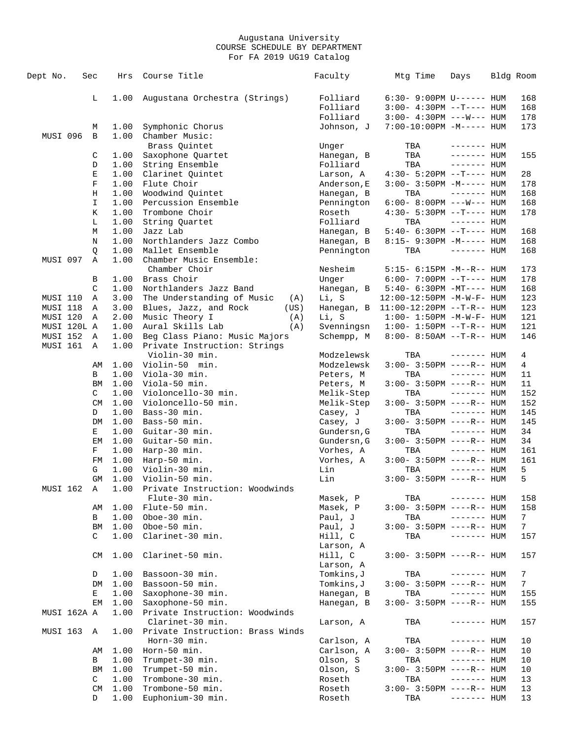| Dept No.    | Sec          | Hrs  | Course Title                      | Faculty     | Mtg Time                           | Days         | Bldg Room       |
|-------------|--------------|------|-----------------------------------|-------------|------------------------------------|--------------|-----------------|
|             | L            | 1.00 | Augustana Orchestra (Strings)     | Folliard    | $6:30 - 9:00 \text{PM U----- HUM}$ |              | 168             |
|             |              |      |                                   | Folliard    | $3:00-4:30PM -T--- HUM$            |              | 168             |
|             |              |      |                                   | Folliard    | $3:00-4:30PM$ ---W--- HUM          |              | 178             |
|             | М            | 1.00 | Symphonic Chorus                  | Johnson, J  | 7:00-10:00PM -M----- HUM           |              | 173             |
| MUSI 096    | B            | 1.00 | Chamber Music:                    |             |                                    |              |                 |
|             |              |      | Brass Quintet                     | Unger       | TBA                                | ------- HUM  |                 |
|             | C            | 1.00 | Saxophone Quartet                 | Hanegan, B  | TBA                                | ------- HUM  | 155             |
|             | D            | 1.00 | String Ensemble                   | Folliard    | TBA                                | $------$ HUM |                 |
|             | Е            | 1.00 | Clarinet Quintet                  | Larson, A   | $4:30 - 5:20PM -T--- HUM$          |              | 28              |
|             | F            | 1.00 | Flute Choir                       | Anderson, E | $3:00 - 3:50PM -M-----$ HUM        |              | 178             |
|             | Η            | 1.00 | Woodwind Quintet                  | Hanegan, B  | TBA                                | $------$ HUM | 168             |
|             | I            | 1.00 | Percussion Ensemble               |             |                                    |              | 168             |
|             |              | 1.00 | Trombone Choir                    | Pennington  | $6:00-8:00PM$ ---W--- HUM          |              |                 |
|             | Κ            |      |                                   | Roseth      | 4:30- 5:30PM --T---- HUM           |              | 178             |
|             | L            | 1.00 | String Quartet                    | Folliard    | TBA                                | $------$ HUM |                 |
|             | M            | 1.00 | Jazz Lab                          | Hanegan, B  | 5:40- 6:30PM --T---- HUM           |              | 168             |
|             | Ν            | 1.00 | Northlanders Jazz Combo           | Hanegan, B  | 8:15- 9:30PM -M----- HUM           |              | 168             |
|             | Q            | 1.00 | Mallet Ensemble                   | Pennington  | TBA                                | $------$ HUM | 168             |
| MUSI 097    | Α            | 1.00 | Chamber Music Ensemble:           |             |                                    |              |                 |
|             |              |      | Chamber Choir                     | Nesheim     | 5:15- 6:15PM -M--R-- HUM           |              | 173             |
|             | В            | 1.00 | Brass Choir                       | Unger       | $6:00 - 7:00PM -T--- HUM$          |              | 178             |
|             | C            | 1.00 | Northlanders Jazz Band            | Hanegan, B  | $5:40-6:30PM -MT--- HUM$           |              | 168             |
| MUSI 110    | Α            | 3.00 | The Understanding of Music<br>(A) | Li, S       | 12:00-12:50PM -M-W-F- HUM          |              | 123             |
| MUSI 118    | Α            | 3.00 | Blues, Jazz, and Rock<br>(US)     | Hanegan, B  | $11:00-12:20PM -T-R--HUM$          |              | 123             |
| MUSI 120    | Α            | 2.00 | Music Theory I<br>(A)             | Li, S       | $1:00 - 1:50PM -M-W-F - HUM$       |              | 121             |
| MUSI 120L A |              | 1.00 | Aural Skills Lab<br>(A)           | Svenningsn  | $1:00 - 1:50PM -T-R-- HUM$         |              | 121             |
| MUSI 152    | A            | 1.00 | Beg Class Piano: Music Majors     | Schempp, M  | $8:00 - 8:50AM -T-R-- HUM$         |              | 146             |
| MUSI 161    | $\mathbb{A}$ | 1.00 | Private Instruction: Strings      |             |                                    |              |                 |
|             |              |      | Violin-30 min.                    | Modzelewsk  | TBA                                | $------$ HUM | 4               |
|             | AΜ           | 1.00 | Violin-50 min.                    | Modzelewsk  | $3:00 - 3:50PM$ ----R-- HUM        |              | 4               |
|             | В            | 1.00 | Viola-30 min.                     | Peters, M   | TBA                                | $------$ HUM | 11              |
|             | BM           | 1.00 | Viola-50 min.                     | Peters, M   | $3:00-3:50PM$ ----R-- HUM          |              | 11              |
|             | C            | 1.00 | Violoncello-30 min.               | Melik-Step  | TBA                                | $------$ HUM | 152             |
|             | CM           | 1.00 | Violoncello-50 min.               | Melik-Step  | $3:00-3:50PM$ ----R-- HUM          |              | 152             |
|             | D            | 1.00 | Bass-30 min.                      | Casey, J    | TBA                                | $------$ HUM | 145             |
|             | DM           | 1.00 | Bass-50 min.                      | Casey, J    | $3:00-3:50PM$ ----R-- HUM          |              | 145             |
|             | Е            | 1.00 | Guitar-30 min.                    | Gundersn, G | TBA                                | $------$ HUM | 34              |
|             | EМ           | 1.00 | Guitar-50 min.                    | Gundersn, G | $3:00-3:50PM$ ----R-- HUM          |              | 34              |
|             | F            | 1.00 | Harp-30 min.                      | Vorhes, A   | TBA                                | $------$ HUM | 161             |
|             | FM           | 1.00 | Harp-50 min.                      | Vorhes, A   | $3:00-3:50PM$ ----R-- HUM          |              | 161             |
|             | G            | 1.00 | Violin-30 min.                    | Lin         | TBA                                | $------$ HUM | 5               |
|             | GM           | 1.00 | Violin-50 min.                    | Lin         | $3:00-3:50PM$ ----R-- HUM          |              | 5               |
| MUSI 162    | Α            | 1.00 | Private Instruction: Woodwinds    |             |                                    |              |                 |
|             |              |      | Flute-30 min.                     | Masek, P    | TBA                                | $------$ HUM | 158             |
|             | AΜ           | 1.00 | Flute-50 min.                     | Masek, P    | $3:00 - 3:50PM$ ----R-- HUM        |              | 158             |
|             | В            | 1.00 | Oboe-30 min.                      | Paul, J     | TBA                                | $------$ HUM | 7 <sup>7</sup>  |
|             | BM           | 1.00 | Oboe-50 min.                      | Paul, J     | $3:00 - 3:50PM$ ----R-- HUM        |              | $7\overline{ }$ |
|             | C            |      |                                   |             |                                    | $------$ HUM |                 |
|             |              | 1.00 | Clarinet-30 min.                  | Hill, C     | TBA                                |              | 157             |
|             |              |      |                                   | Larson, A   |                                    |              |                 |
|             | <b>CM</b>    | 1.00 | Clarinet-50 min.                  | Hill, C     | $3:00-3:50PM$ ----R-- HUM          |              | 157             |
|             |              |      |                                   | Larson, A   |                                    |              |                 |
|             | D            | 1.00 | Bassoon-30 min.                   | Tomkins,J   | TBA                                | $------$ HUM | $7\phantom{.0}$ |
|             | DM           | 1.00 | Bassoon-50 min.                   | Tomkins, J  | $3:00 - 3:50PM$ ----R-- HUM        |              | $7\phantom{.}$  |
|             | Е            | 1.00 | Saxophone-30 min.                 | Hanegan, B  | TBA                                | $------HH$   | 155             |
|             | EМ           | 1.00 | Saxophone-50 min.                 | Hanegan, B  | $3:00 - 3:50PM$ ----R-- HUM        |              | 155             |
| MUSI 162A A |              | 1.00 | Private Instruction: Woodwinds    |             |                                    |              |                 |
|             |              |      | Clarinet-30 min.                  | Larson, A   | TBA                                | $------$ HUM | 157             |
| MUSI 163    | Α            | 1.00 | Private Instruction: Brass Winds  |             |                                    |              |                 |
|             |              |      | Horn-30 min.                      | Carlson, A  | TBA                                | $------$ HUM | 10              |
|             | AΜ           | 1.00 | Horn-50 min.                      | Carlson, A  | 3:00- 3:50PM ----R-- HUM           |              | 10              |
|             | В            | 1.00 | Trumpet-30 min.                   | Olson, S    | TBA                                | $------$ HUM | 10              |
|             | ΒM           | 1.00 | Trumpet-50 min.                   | Olson, S    | $3:00 - 3:50PM$ ----R-- HUM        |              | 10              |
|             | C            | 1.00 | Trombone-30 min.                  | Roseth      | TBA                                | $------HUM$  | 13              |
|             | CM           | 1.00 | Trombone-50 min.                  | Roseth      | $3:00 - 3:50PM$ ----R-- HUM        |              | 13              |
|             | D            | 1.00 | Euphonium-30 min.                 | Roseth      | TBA                                | $------$ HUM | 13              |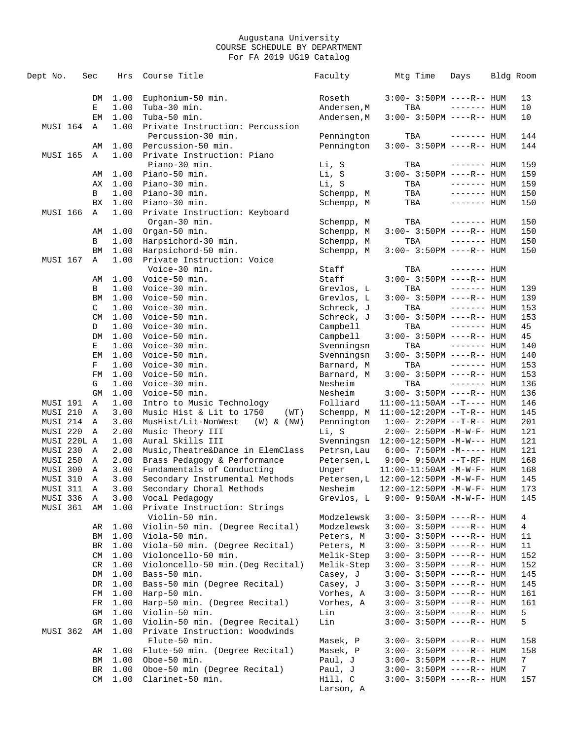| Dept No.             | Sec |                   | Hrs          | Course Title                                               | Faculty                | Mtg Time                                               | Days                        | Bldg Room |                |
|----------------------|-----|-------------------|--------------|------------------------------------------------------------|------------------------|--------------------------------------------------------|-----------------------------|-----------|----------------|
|                      |     | DM                | 1.00         | Euphonium-50 min.                                          | Roseth                 | $3:00 - 3:50PM$ ----R-- HUM                            |                             |           | 13             |
|                      |     | Е                 | 1.00         | Tuba-30 min.                                               | Andersen, M            | TBA                                                    | $------$ HUM                |           | 10             |
|                      |     | EM                | 1.00         | Tuba-50 min.                                               | Andersen, M            | $3:00-3:50PM$ ----R-- HUM                              |                             |           | 10             |
| MUSI 164             |     | A                 | 1.00         | Private Instruction: Percussion                            |                        |                                                        |                             |           |                |
|                      |     |                   |              | Percussion-30 min.                                         | Pennington             | TBA                                                    | $------$ HUM                |           | 144            |
|                      |     | AΜ                | 1.00         | Percussion-50 min.                                         | Pennington             | $3:00 - 3:50PM$ ----R-- HUM                            |                             |           | 144            |
| <b>MUSI 165</b>      |     | Α                 | 1.00         | Private Instruction: Piano                                 |                        |                                                        |                             |           |                |
|                      |     |                   |              | Piano-30 min.                                              | Li, S                  | TBA                                                    | $------$ HUM                |           | 159            |
|                      |     | AΜ<br>АX          | 1.00         | Piano-50 min.<br>Piano-30 min.                             | Li, S<br>Li, S         | $3:00-3:50PM$ ----R-- HUM<br>TBA                       | $------$ HUM                |           | 159            |
|                      |     |                   | 1.00         | Piano-30 min.                                              | Schempp, M             |                                                        |                             |           | 159            |
|                      |     | В<br>BX           | 1.00<br>1.00 | Piano-30 min.                                              | Schempp, M             | TBA<br>TBA                                             | $------$ HUM<br>------- HUM |           | 150<br>150     |
| MUSI 166             |     | Α                 | 1.00         | Private Instruction: Keyboard                              |                        |                                                        |                             |           |                |
|                      |     |                   |              | Organ-30 min.                                              | Schempp, M             | TBA                                                    | $------$ HUM                |           | 150            |
|                      |     | AΜ                | 1.00         | Organ-50 min.                                              | Schempp, M             | $3:00-3:50PM$ ----R-- HUM                              |                             |           | 150            |
|                      |     | В                 | 1.00         | Harpsichord-30 min.                                        | Schempp, M             | TBA                                                    | $------$ HUM                |           | 150            |
|                      |     | ΒM                | 1.00         | Harpsichord-50 min.                                        | Schempp, M             | $3:00-3:50PM$ ----R-- HUM                              |                             |           | 150            |
| MUSI 167             |     | Α                 | 1.00         | Private Instruction: Voice                                 |                        |                                                        |                             |           |                |
|                      |     |                   |              | Voice-30 min.                                              | Staff                  | TBA                                                    | $------$ HUM                |           |                |
|                      |     | AΜ                | 1.00         | Voice-50 min.                                              | Staff                  | $3:00 - 3:50PM$ ----R-- HUM                            |                             |           |                |
|                      |     | В                 | 1.00         | Voice-30 min.                                              | Grevlos, L             | TBA                                                    | $------HH$                  |           | 139            |
|                      |     | BM                | 1.00         | Voice-50 min.                                              | Grevlos, L             | $3:00 - 3:50PM$ ----R-- HUM                            |                             |           | 139            |
|                      |     | C                 | 1.00         | Voice-30 min.                                              | Schreck, J             | TBA                                                    | $------$ HUM                |           | 153            |
|                      |     | CM                | 1.00         | Voice-50 min.                                              | Schreck, J             | $3:00 - 3:50PM$ ----R-- HUM                            |                             |           | 153            |
|                      |     | D                 | 1.00         | Voice-30 min.                                              | Campbell               | TBA                                                    | $------$ HUM                |           | 45             |
|                      |     | DM                | 1.00         | Voice-50 min.                                              | Campbell               | $3:00 - 3:50PM$ ----R-- HUM                            |                             |           | 45             |
|                      |     | Е                 | 1.00         | Voice-30 min.                                              | Svenningsn             | TBA                                                    | $------$ HUM                |           | 140            |
|                      |     | EM                | 1.00         | Voice-50 min.                                              | Svenningsn             | $3:00 - 3:50PM$ ----R-- HUM                            |                             |           | 140            |
|                      |     | F                 | 1.00         | Voice-30 min.                                              | Barnard, M             | TBA                                                    | $------$ HUM                |           | 153            |
|                      |     | FM                | 1.00         | Voice-50 min.                                              | Barnard, M             | $3:00-3:50PM$ ----R-- HUM                              |                             |           | 153            |
|                      |     | G                 | 1.00         | Voice-30 min.                                              | Nesheim                | TBA                                                    | $------$ HUM                |           | 136            |
|                      |     | <b>GM</b>         | 1.00         | Voice-50 min.                                              | Nesheim                | $3:00 - 3:50PM$ ----R-- HUM                            |                             |           | 136            |
| MUSI 191             |     | Α                 | 1.00         | Intro to Music Technology                                  | Folliard               | $11:00-11:50AM$ --T---- HUM                            |                             |           | 146            |
| <b>MUSI 210</b>      |     | Α                 | 3.00         | Music Hist & Lit to 1750<br>(WT)                           | Schempp, M             | $11:00-12:20PM$ --T-R-- HUM                            |                             |           | 145            |
| MUSI 214             |     | Α                 | 3.00         | MusHist/Lit-NonWest<br>$(W)$ & $(NW)$                      | Pennington             | $1:00-2:20PM -T-R--HUM$                                |                             |           | 201            |
| MUSI 220             |     | Α                 | 2.00         | Music Theory III                                           | Li, S                  | $2:00 - 2:50PM - M - W - F - HUM$                      |                             |           | 121            |
| MUSI 220L A          |     |                   | 1.00         | Aural Skills III                                           | Svenningsn             | $12:00-12:50PM -M-W---$ HUM                            |                             |           | 121            |
| MUSI 230             |     | Α                 | 2.00         | Music, Theatre&Dance in ElemClass                          | Petrsn, Lau            | $6:00 - 7:50PM -M-----$ HUM                            |                             |           | 121            |
| MUSI 250             |     | Α                 | 2.00         | Brass Pedagogy & Performance                               | Petersen, L            | $9:00 - 9:50AM -T-RF - HUM$                            |                             |           | 168            |
| MUSI 300             |     | Α                 | 3.00         | Fundamentals of Conducting                                 | Unger                  | $11:00-11:50AM$ -M-W-F- HUM                            |                             |           | 168            |
| MUSI 310<br>MUSI 311 |     | Α<br>$\mathsf{A}$ | 3.00<br>3.00 | Secondary Instrumental Methods<br>Secondary Choral Methods | Petersen, L<br>Nesheim | 12:00-12:50PM -M-W-F- HUM<br>12:00-12:50PM -M-W-F- HUM |                             |           | 145<br>173     |
| MUSI 336             |     | A                 | 3.00         | Vocal Pedagogy                                             | Grevlos, L             | $9:00 - 9:50AM - M - W - F - HUM$                      |                             |           | 145            |
| MUSI 361             |     | AM                | 1.00         | Private Instruction: Strings                               |                        |                                                        |                             |           |                |
|                      |     |                   |              | Violin-50 min.                                             | Modzelewsk             | $3:00-3:50PM$ ----R-- HUM                              |                             |           | 4              |
|                      |     | AR                | 1.00         | Violin-50 min. (Degree Recital)                            | Modzelewsk             | 3:00- 3:50PM ----R-- HUM                               |                             |           | 4              |
|                      |     | ΒM                | 1.00         | Viola-50 min.                                              | Peters, M              | 3:00- 3:50PM ----R-- HUM                               |                             |           | 11             |
|                      |     | BR                | 1.00         | Viola-50 min. (Degree Recital)                             | Peters, M              | 3:00- 3:50PM ----R-- HUM                               |                             |           | 11             |
|                      |     | CM                | 1.00         | Violoncello-50 min.                                        | Melik-Step             | $3:00-3:50PM$ ----R-- HUM                              |                             |           | 152            |
|                      |     | CR                | 1.00         | Violoncello-50 min. (Deg Recital)                          | Melik-Step             | 3:00- 3:50PM ----R-- HUM                               |                             |           | 152            |
|                      |     | DM                | 1.00         | Bass-50 min.                                               | Casey, J               | 3:00- 3:50PM ----R-- HUM                               |                             |           | 145            |
|                      |     | DR                | 1.00         | Bass-50 min (Degree Recital)                               | Casey, J               | 3:00- 3:50PM ----R-- HUM                               |                             |           | 145            |
|                      |     | FM                | 1.00         | Harp-50 min.                                               | Vorhes, A              | 3:00- 3:50PM ----R-- HUM                               |                             |           | 161            |
|                      |     | FR                | 1.00         | Harp-50 min. (Degree Recital)                              | Vorhes, A              | 3:00- 3:50PM ----R-- HUM                               |                             |           | 161            |
|                      |     | GM                | 1.00         | Violin-50 min.                                             | Lin                    | 3:00- 3:50PM ----R-- HUM                               |                             |           | 5              |
|                      |     | GR                | 1.00         | Violin-50 min. (Degree Recital)                            | Lin                    | 3:00- 3:50PM ----R-- HUM                               |                             |           | 5              |
| MUSI 362             |     | AΜ                | 1.00         | Private Instruction: Woodwinds<br>Flute-50 min.            | Masek, P               |                                                        |                             |           | 158            |
|                      |     | AR                | 1.00         | Flute-50 min. (Degree Recital)                             | Masek, P               | 3:00- 3:50PM ----R-- HUM<br>3:00- 3:50PM ----R-- HUM   |                             |           | 158            |
|                      |     | ΒM                | 1.00         | Oboe-50 min.                                               | Paul, J                | 3:00- 3:50PM ----R-- HUM                               |                             |           | 7              |
|                      |     | BR                | 1.00         | Oboe-50 min (Degree Recital)                               | Paul, J                | 3:00- 3:50PM ----R-- HUM                               |                             |           | $7\phantom{.}$ |
|                      |     | CM                | 1.00         | Clarinet-50 min.                                           | Hill, C                | 3:00- 3:50PM ----R-- HUM                               |                             |           | 157            |
|                      |     |                   |              |                                                            | Larson, A              |                                                        |                             |           |                |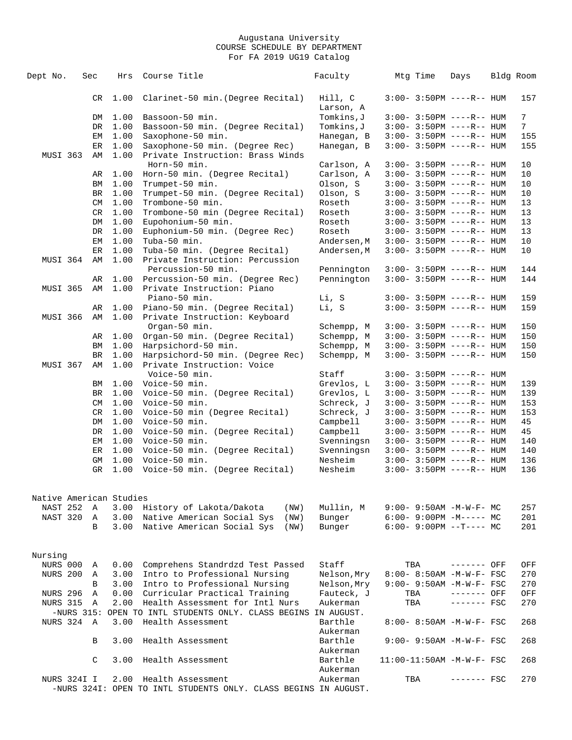| Dept No.                | Sec       | Hrs          | Course Title                                                             | Faculty                  | Mtg Time | Days                                                   | Bldg Room       |
|-------------------------|-----------|--------------|--------------------------------------------------------------------------|--------------------------|----------|--------------------------------------------------------|-----------------|
|                         | CR        | 1.00         | Clarinet-50 min. (Degree Recital)                                        | Hill, C                  |          | $3:00 - 3:50PM$ ----R-- HUM                            | 157             |
|                         |           |              |                                                                          | Larson, A                |          |                                                        |                 |
|                         | DM        | 1.00         | Bassoon-50 min.                                                          | Tomkins, J               |          | $3:00-3:50PM$ ----R-- HUM                              | $7\phantom{.0}$ |
|                         | DR        | 1.00         | Bassoon-50 min. (Degree Recital)                                         | Tomkins, J               |          | $3:00 - 3:50PM$ ----R-- HUM                            | $7\phantom{.}$  |
|                         | EМ        | 1.00         | Saxophone-50 min.                                                        | Hanegan, B               |          | $3:00 - 3:50PM$ ----R-- HUM                            | 155             |
|                         | ER        | 1.00         | Saxophone-50 min. (Degree Rec)                                           | Hanegan, B               |          | $3:00-3:50PM$ ----R-- HUM                              | 155             |
| MUSI 363                | AΜ        | 1.00         | Private Instruction: Brass Winds                                         |                          |          |                                                        |                 |
|                         |           |              | Horn-50 min.                                                             | Carlson, A               |          | $3:00 - 3:50PM$ ----R-- HUM                            | 10              |
|                         | AR        | 1.00         | Horn-50 min. (Degree Recital)                                            | Carlson, A               |          | $3:00 - 3:50PM$ ----R-- HUM                            | 10              |
|                         | ΒM        | 1.00         | Trumpet-50 min.                                                          | Olson, S                 |          | $3:00-3:50PM$ ----R-- HUM                              | 10              |
|                         | BR        | 1.00         | Trumpet-50 min. (Degree Recital)                                         | Olson, S                 |          | $3:00 - 3:50PM$ ----R-- HUM                            | 10              |
|                         | CM        | 1.00         | Trombone-50 min.                                                         | Roseth                   |          | $3:00-3:50PM$ ----R-- HUM                              | 13              |
|                         | CR        | 1.00         | Trombone-50 min (Degree Recital)                                         | Roseth                   |          | $3:00-3:50PM$ ----R-- HUM                              | 13              |
|                         | DM        | 1.00         | Eupohonium-50 min.                                                       | Roseth                   |          | $3:00-3:50PM$ ----R-- HUM                              | 13              |
|                         | DR        | 1.00         | Euphonium-50 min. (Degree Rec)                                           | Roseth                   |          | $3:00-3:50PM$ ----R-- HUM                              | 13              |
|                         | ΕM        | 1.00         | Tuba-50 min.                                                             | Andersen, M              |          | $3:00 - 3:50PM$ ----R-- HUM                            | 10              |
|                         | ER        | 1.00         | Tuba-50 min. (Degree Recital)                                            | Andersen, M              |          | $3:00-3:50PM$ ----R-- HUM                              | 10              |
| MUSI 364                | AΜ        | 1.00         | Private Instruction: Percussion                                          |                          |          |                                                        |                 |
|                         |           |              | Percussion-50 min.                                                       | Pennington               |          | $3:00-3:50PM$ ----R-- HUM                              | 144             |
|                         | AR        | 1.00         | Percussion-50 min. (Degree Rec)                                          | Pennington               |          | $3:00-3:50PM$ ----R-- HUM                              | 144             |
| MUSI 365                | AΜ        | 1.00         | Private Instruction: Piano                                               |                          |          |                                                        |                 |
|                         |           |              | Piano-50 min.                                                            | Li, S                    |          | $3:00-3:50PM$ ----R-- HUM                              | 159             |
|                         | AR        | 1.00         | Piano-50 min. (Degree Recital)                                           | Li, S                    |          | $3:00-3:50PM$ ----R-- HUM                              | 159             |
| <b>MUSI 366</b>         | AΜ        | 1.00         | Private Instruction: Keyboard                                            |                          |          |                                                        |                 |
|                         |           |              | Organ-50 min.                                                            | Schempp, M               |          | $3:00-3:50PM$ ----R-- HUM                              | 150             |
|                         | AR        | 1.00         | Organ-50 min. (Degree Recital)                                           | Schempp, M               |          | $3:00-3:50PM$ ----R-- HUM                              | 150             |
|                         | ΒM        | 1.00         | Harpsichord-50 min.                                                      | Schempp, M               |          | $3:00-3:50PM$ ----R-- HUM                              | 150             |
|                         | <b>BR</b> | 1.00         | Harpsichord-50 min. (Degree Rec)                                         | Schempp, M               |          | $3:00-3:50PM$ ----R-- HUM                              | 150             |
| MUSI 367                | AM        | 1.00         | Private Instruction: Voice                                               |                          |          |                                                        |                 |
|                         |           |              | Voice-50 min.                                                            | Staff                    |          | $3:00-3:50PM$ ----R-- HUM                              |                 |
|                         | BM        | 1.00         | Voice-50 min.                                                            | Grevlos, L               |          | $3:00 - 3:50PM$ ----R-- HUM                            | 139             |
|                         | BR<br>CM  | 1.00<br>1.00 | Voice-50 min. (Degree Recital)<br>Voice-50 min.                          | Grevlos, L<br>Schreck, J |          | $3:00-3:50PM$ ----R-- HUM<br>$3:00-3:50PM$ ----R-- HUM | 139             |
|                         | CR        | 1.00         | Voice-50 min (Degree Recital)                                            | Schreck, J               |          | $3:00-3:50PM$ ----R-- HUM                              | 153<br>153      |
|                         | DM        | 1.00         | Voice-50 min.                                                            | Campbell                 |          | $3:00-3:50PM$ ----R-- HUM                              | 45              |
|                         | DR        | 1.00         | Voice-50 min. (Degree Recital)                                           | Campbell                 |          | $3:00-3:50PM$ ----R-- HUM                              | 45              |
|                         | EМ        | 1.00         | Voice-50 min.                                                            | Svenningsn               |          | $3:00-3:50PM$ ----R-- HUM                              | 140             |
|                         | ER        | 1.00         | Voice-50 min. (Degree Recital)                                           | Svenningsn               |          | $3:00-3:50PM$ ----R-- HUM                              | 140             |
|                         | GM        | 1.00         | Voice-50 min.                                                            | Nesheim                  |          | $3:00-3:50PM$ ----R-- HUM                              | 136             |
|                         | GR        | 1.00         | Voice-50 min. (Degree Recital)                                           | Nesheim                  |          | $3:00 - 3:50PM$ ----R-- HUM                            | 136             |
|                         |           |              |                                                                          |                          |          |                                                        |                 |
|                         |           |              |                                                                          |                          |          |                                                        |                 |
| Native American Studies |           |              |                                                                          |                          |          |                                                        |                 |
| NAST 252<br>NAST 320    | A         |              | 3.00 History of Lakota/Dakota<br>(NW)<br>3.00 Native American Social Sys | Mullin, M                |          | $9:00 - 9:50AM - M - W - F - MC$                       | 257             |
|                         | A<br>B    |              | (NW)<br>3.00 Native American Social Sys                                  | Bunger<br>Bunger         |          | $6:00-9:00PM -M--- MC$<br>$6:00-9:00PM --T---MC$       | 201<br>201      |
|                         |           |              | (NW)                                                                     |                          |          |                                                        |                 |
|                         |           |              |                                                                          |                          |          |                                                        |                 |
| Nursing                 |           |              |                                                                          |                          |          |                                                        |                 |
| NURS 000                | Α         | 0.00         | Comprehens Standrdzd Test Passed                                         | Staff                    | TBA      | ------- OFF                                            | OFF             |
| <b>NURS 200</b>         | Α         | 3.00         | Intro to Professional Nursing                                            | Nelson, Mry              |          | 8:00- 8:50AM -M-W-F- FSC                               | 270             |
|                         | В         | 3.00         | Intro to Professional Nursing                                            | Nelson, Mry              |          | 9:00- 9:50AM -M-W-F- FSC                               | 270             |
| <b>NURS 296</b>         | Α         | 0.00         | Curricular Practical Training                                            | Fauteck, J               | TBA      | ------- OFF                                            | OFF             |
| <b>NURS 315</b>         | A         | 2.00         | Health Assessment for Intl Nurs                                          | Aukerman                 | TBA      | $------$ FSC                                           | 270             |
|                         |           | 3.00         | -NURS 315: OPEN TO INTL STUDENTS ONLY. CLASS BEGINS IN AUGUST.           | Barthle                  |          |                                                        |                 |
| NURS 324 A              |           |              | Health Assessment                                                        | Aukerman                 |          | 8:00- 8:50AM -M-W-F- FSC                               | 268             |
|                         | B         | 3.00         | Health Assessment                                                        | Barthle                  |          | 9:00- 9:50AM -M-W-F- FSC                               | 268             |
|                         |           |              |                                                                          | Aukerman                 |          |                                                        |                 |
|                         | C         | 3.00         | Health Assessment                                                        | Barthle                  |          | $11:00-11:50AM$ -M-W-F- FSC                            | 268             |
|                         |           |              |                                                                          | Aukerman                 |          |                                                        |                 |
| NURS 324I I             |           | 2.00         | Health Assessment                                                        | Aukerman                 | TBA      | ------- FSC                                            | 270             |
|                         |           |              | -NURS 324I: OPEN TO INTL STUDENTS ONLY. CLASS BEGINS IN AUGUST.          |                          |          |                                                        |                 |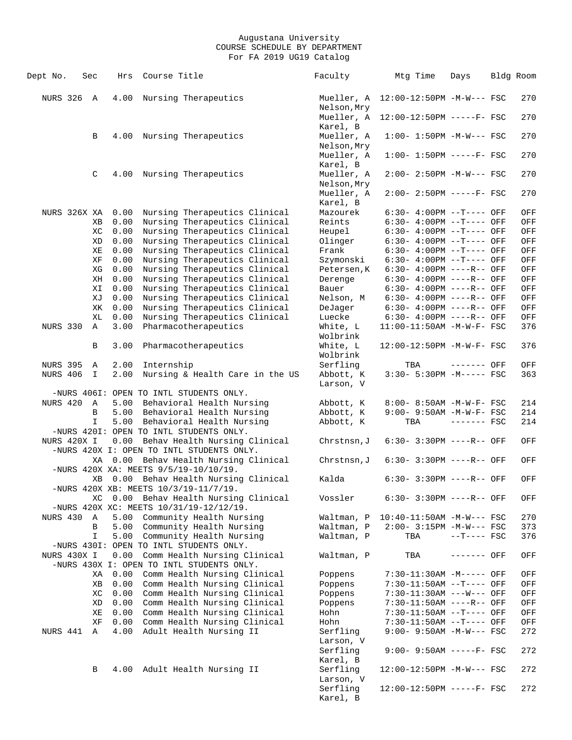| Dept No.          | Sec |             | Hrs  | Course Title                                                                  | Faculty                           | Mtg Time                             | Days         | Bldg Room |     |
|-------------------|-----|-------------|------|-------------------------------------------------------------------------------|-----------------------------------|--------------------------------------|--------------|-----------|-----|
| <b>NURS 326 A</b> |     |             | 4.00 | Nursing Therapeutics                                                          | Nelson, Mry                       | Mueller, A 12:00-12:50PM -M-W--- FSC |              |           | 270 |
|                   |     |             |      |                                                                               | Karel, B                          | Mueller, A 12:00-12:50PM -----F- FSC |              |           | 270 |
|                   |     | В           | 4.00 | Nursing Therapeutics                                                          | Mueller, A<br>Nelson, Mry         | $1:00 - 1:50PM -M-W--- FSC$          |              |           | 270 |
|                   |     |             |      |                                                                               | Mueller, A                        | $1:00-1:50PM$ -----F- FSC            |              |           | 270 |
|                   |     | C           | 4.00 | Nursing Therapeutics                                                          | Karel, B<br>Mueller, A            | $2:00 - 2:50PM -M-W--- FSC$          |              |           | 270 |
|                   |     |             |      |                                                                               | Nelson, Mry<br>Mueller, A         | 2:00- 2:50PM -----F- FSC             |              |           | 270 |
| NURS 326X XA      |     |             | 0.00 | Nursing Therapeutics Clinical                                                 | Karel, B<br>Mazourek              | 6:30- 4:00PM --T---- OFF             |              |           | OFF |
|                   |     | XВ          | 0.00 | Nursing Therapeutics Clinical                                                 | Reints                            | $6:30-4:00PM$ --T---- OFF            |              |           | OFF |
|                   |     | ХC          | 0.00 | Nursing Therapeutics Clinical                                                 | Heupel                            | $6:30-4:00PM$ --T---- OFF            |              |           | OFF |
|                   |     | XD          | 0.00 | Nursing Therapeutics Clinical                                                 | Olinger                           | $6:30-4:00PM -T---$ OFF              |              |           | OFF |
|                   |     | ΧE          | 0.00 | Nursing Therapeutics Clinical                                                 | Frank                             | $6:30-4:00PM -T---$ OFF              |              |           | OFF |
|                   |     | ΧF          | 0.00 | Nursing Therapeutics Clinical                                                 | Szymonski                         | $6:30-4:00PM$ --T---- OFF            |              |           | OFF |
|                   |     | ΧG          | 0.00 | Nursing Therapeutics Clinical                                                 | Petersen, K                       | 6:30- 4:00PM ----R-- OFF             |              |           | OFF |
|                   |     | ΧH          | 0.00 | Nursing Therapeutics Clinical                                                 | Derenge                           | 6:30- 4:00PM ----R-- OFF             |              |           | OFF |
|                   |     | ΧI          | 0.00 | Nursing Therapeutics Clinical                                                 | Bauer                             | $6:30-4:00PM$ ----R-- OFF            |              |           | OFF |
|                   |     | ΧJ          | 0.00 | Nursing Therapeutics Clinical                                                 | Nelson, M                         | 6:30- 4:00PM ----R-- OFF             |              |           | OFF |
|                   |     | ΧK          | 0.00 | Nursing Therapeutics Clinical                                                 | DeJager                           | 6:30- 4:00PM ----R-- OFF             |              |           | OFF |
|                   |     | XL          | 0.00 | Nursing Therapeutics Clinical                                                 | Luecke                            | $6:30-4:00PM$ ----R-- OFF            |              |           | OFF |
| NURS 330          |     | A           | 3.00 | Pharmacotherapeutics                                                          | White, L<br>Wolbrink              | 11:00-11:50AM -M-W-F- FSC            |              |           | 376 |
|                   |     | В           | 3.00 | Pharmacotherapeutics                                                          | White, L<br>Wolbrink              | 12:00-12:50PM -M-W-F- FSC            |              |           | 376 |
| <b>NURS 395</b>   |     | Α           | 2.00 | Internship                                                                    | Serfling                          | TBA                                  | ------- OFF  |           | OFF |
| NURS 406          |     | $\mathbf I$ | 2.00 | Nursing & Health Care in the US                                               | Abbott, K                         | 3:30- 5:30PM -M----- FSC             |              |           | 363 |
|                   |     |             |      |                                                                               | Larson, V                         |                                      |              |           |     |
|                   |     |             |      | -NURS 406I: OPEN TO INTL STUDENTS ONLY.                                       |                                   |                                      |              |           |     |
| NURS 420          |     | A           |      | 5.00 Behavioral Health Nursing                                                | Abbott, K                         | 8:00- 8:50AM -M-W-F- FSC             |              |           | 214 |
|                   |     | В           | 5.00 | Behavioral Health Nursing                                                     | Abbott, K                         | 9:00- 9:50AM -M-W-F- FSC             |              |           | 214 |
|                   |     | I           | 5.00 | Behavioral Health Nursing<br>-NURS 4201: OPEN TO INTL STUDENTS ONLY.          | Abbott, K                         | TBA                                  | $------$ FSC |           | 214 |
| NURS 420X I       |     |             |      | 0.00 Behav Health Nursing Clinical                                            | Chrstnsn, J                       | $6:30 - 3:30PM$ ----R-- OFF          |              |           | OFF |
|                   |     |             |      | -NURS 420X I: OPEN TO INTL STUDENTS ONLY.                                     |                                   |                                      |              |           |     |
|                   |     | XA          |      | 0.00 Behav Health Nursing Clinical<br>-NURS 420X XA: MEETS 9/5/19-10/10/19.   | Chrstnsn, J                       | 6:30- 3:30PM ----R-- OFF             |              |           | OFF |
|                   |     | XВ          |      | 0.00 Behav Health Nursing Clinical<br>-NURS 420X XB: MEETS 10/3/19-11/7/19.   | Kalda                             | $6:30 - 3:30PM$ ----R-- OFF          |              |           | OFF |
|                   |     | ХC          |      | 0.00 Behav Health Nursing Clinical<br>-NURS 420X XC: MEETS 10/31/19-12/12/19. | Vossler                           | $6:30 - 3:30PM$ ----R-- OFF          |              |           | OFF |
| NURS 430          |     | Α           | 5.00 | Community Health Nursing                                                      | Waltman, P                        | $10:40-11:50AM$ -M-W--- FSC          |              |           | 270 |
|                   |     | В           | 5.00 | Community Health Nursing                                                      | Waltman, P                        | $2:00 - 3:15PM - M-W--- FSC$         |              |           | 373 |
|                   |     | $\mathbf I$ | 5.00 | Community Health Nursing<br>-NURS 430I: OPEN TO INTL STUDENTS ONLY.           | Waltman, P                        | TBA                                  | $--T---$ FSC |           | 376 |
| NURS 430X I       |     |             | 0.00 | Comm Health Nursing Clinical                                                  | Waltman, P                        | TBA                                  | ------- OFF  |           | OFF |
|                   |     |             |      | -NURS 430X I: OPEN TO INTL STUDENTS ONLY.                                     |                                   |                                      |              |           |     |
|                   |     | ΧA          | 0.00 | Comm Health Nursing Clinical                                                  | Poppens                           | 7:30-11:30AM -M----- OFF             |              |           | OFF |
|                   |     | ΧB          | 0.00 | Comm Health Nursing Clinical                                                  | Poppens                           | 7:30-11:50AM --T---- OFF             |              |           | OFF |
|                   |     | ХC          | 0.00 | Comm Health Nursing Clinical                                                  | Poppens                           | 7:30-11:30AM ---W--- OFF             |              |           | OFF |
|                   |     | ΧD          | 0.00 | Comm Health Nursing Clinical                                                  | Poppens                           | 7:30-11:50AM ----R-- OFF             |              |           | OFF |
|                   |     | ΧE          | 0.00 | Comm Health Nursing Clinical                                                  | Hohn                              | 7:30-11:50AM --T---- OFF             |              |           | OFF |
|                   |     | ΧF          | 0.00 | Comm Health Nursing Clinical                                                  | Hohn                              | 7:30-11:50AM --T---- OFF             |              |           | OFF |
| NURS 441          |     | Α           | 4.00 | Adult Health Nursing II                                                       | Serfling                          | 9:00- 9:50AM -M-W--- FSC             |              |           | 272 |
|                   |     |             |      |                                                                               | Larson, V<br>Serfling             | $9:00 - 9:50AM$ -----F- FSC          |              |           | 272 |
|                   |     | В           | 4.00 | Adult Health Nursing II                                                       | Karel, B<br>Serfling              | 12:00-12:50PM -M-W--- FSC            |              |           | 272 |
|                   |     |             |      |                                                                               | Larson, V<br>Serfling<br>Karel, B | 12:00-12:50PM -----F- FSC            |              |           | 272 |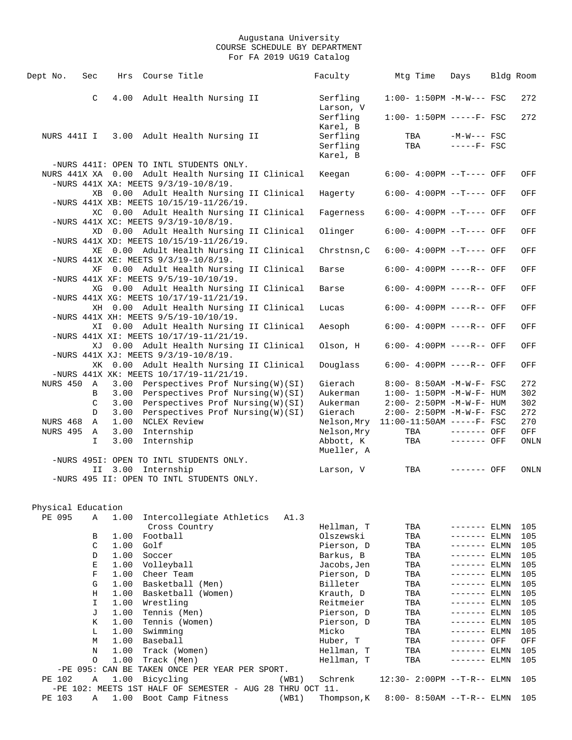| Dept No.           | Sec         |      | Hrs Course Title                                                                     |  |       | Faculty                               | Mtg Time   | Days                                                     | Bldg Room  |
|--------------------|-------------|------|--------------------------------------------------------------------------------------|--|-------|---------------------------------------|------------|----------------------------------------------------------|------------|
|                    | C           | 4.00 | Adult Health Nursing II                                                              |  |       | Serfling<br>Larson, V                 |            | $1:00-1:50PM -M-W--- FSC$                                | 272        |
|                    |             |      |                                                                                      |  |       | Serfling<br>Karel, B                  |            | $1:00 - 1:50PM$ -----F- FSC                              | 272        |
|                    |             |      | NURS 441I I 3.00 Adult Health Nursing II                                             |  |       | Serfling<br>Serfling<br>Karel, B      | TBA<br>TBA | $-M-W---$ FSC<br>$---FF-$ FSC                            |            |
|                    |             |      | -NURS 441I: OPEN TO INTL STUDENTS ONLY.                                              |  |       |                                       |            |                                                          |            |
|                    |             |      | NURS 441X XA 0.00 Adult Health Nursing II Clinical                                   |  |       | Keegan                                |            | $6:00-4:00PM -T---$ OFF                                  | OFF        |
|                    |             |      | -NURS 441X XA: MEETS 9/3/19-10/8/19.<br>XB 0.00 Adult Health Nursing II Clinical     |  |       | Hagerty                               |            | $6:00-4:00PM$ --T---- OFF                                | OFF        |
|                    |             |      | -NURS 441X XB: MEETS 10/15/19-11/26/19.                                              |  |       |                                       |            |                                                          |            |
|                    |             |      | XC 0.00 Adult Health Nursing II Clinical<br>-NURS 441X XC: MEETS 9/3/19-10/8/19.     |  |       | Fagerness                             |            | $6:00-4:00PM -T---$ OFF                                  | OFF        |
|                    |             |      | XD 0.00 Adult Health Nursing II Clinical                                             |  |       | Olinger                               |            | $6:00-4:00PM -T---$ OFF                                  | OFF        |
|                    |             |      | -NURS 441X XD: MEETS 10/15/19-11/26/19.                                              |  |       |                                       |            |                                                          |            |
|                    |             |      | XE 0.00 Adult Health Nursing II Clinical<br>-NURS 441X XE: MEETS 9/3/19-10/8/19.     |  |       | Chrstnsn, C                           |            | $6:00-4:00PM -T---$ OFF                                  | OFF        |
|                    |             |      | XF 0.00 Adult Health Nursing II Clinical                                             |  |       | Barse                                 |            | $6:00-4:00PM$ ----R-- OFF                                | OFF        |
|                    |             |      | -NURS 441X XF: MEETS $9/5/19-10/10/19$ .                                             |  |       |                                       |            |                                                          |            |
|                    |             |      | XG 0.00 Adult Health Nursing II Clinical<br>-NURS 441X XG: MEETS 10/17/19-11/21/19.  |  |       | Barse                                 |            | $6:00-4:00PM$ ----R-- OFF                                | OFF        |
|                    |             |      | XH 0.00 Adult Health Nursing II Clinical                                             |  |       | Lucas                                 |            | $6:00-4:00PM$ ----R-- OFF                                | OFF        |
|                    |             |      | -NURS 441X XH: MEETS $9/5/19-10/10/19$ .<br>XI 0.00 Adult Health Nursing II Clinical |  |       | Aesoph                                |            | $6:00-4:00PM$ ----R-- OFF                                | OFF        |
|                    |             |      | -NURS 441X XI: MEETS 10/17/19-11/21/19.                                              |  |       |                                       |            |                                                          |            |
|                    |             |      | XJ 0.00 Adult Health Nursing II Clinical<br>-NURS 441X XJ: MEETS 9/3/19-10/8/19.     |  |       | Olson, H                              |            | $6:00-4:00PM$ ----R-- OFF                                | OFF        |
|                    |             |      | XK 0.00 Adult Health Nursing II Clinical                                             |  |       | Douglass                              |            | $6:00-4:00PM$ ----R-- OFF                                | OFF        |
|                    |             |      | -NURS 441X XK: MEETS 10/17/19-11/21/19.                                              |  |       |                                       |            |                                                          |            |
| NURS 450 A         | B           |      | 3.00 Perspectives Prof Nursing(W)(SI)<br>3.00 Perspectives Prof Nursing(W)(SI)       |  |       | Gierach<br>Aukerman                   |            | 8:00- 8:50AM -M-W-F- FSC<br>$1:00 - 1:50PM -M-W-F - HUM$ | 272<br>302 |
|                    | C           |      | 3.00 Perspectives Prof Nursing(W)(SI)                                                |  |       | Aukerman                              |            | $2:00 - 2:50PM -M-W-F- HUM$                              | 302        |
|                    | D           |      | 3.00 Perspectives Prof Nursing(W)(SI)                                                |  |       | Gierach                               |            | $2:00 - 2:50PM -M-W-F - FSC$                             | 272        |
| NURS 468 A         |             |      | 1.00 NCLEX Review                                                                    |  |       | Nelson, Mry 11:00-11:50AM -----F- FSC |            |                                                          | 270        |
| NURS 495 A         |             | 3.00 | Internship                                                                           |  |       | Nelson, Mry                           |            | TBA ------- OFF                                          | OFF        |
|                    | I.          | 3.00 | Internship                                                                           |  |       | Abbott, K                             | TBA        | $-----$ OFF                                              | ONLN       |
|                    |             |      |                                                                                      |  |       | Mueller, A                            |            |                                                          |            |
|                    |             |      | -NURS 4951: OPEN TO INTL STUDENTS ONLY.                                              |  |       |                                       |            |                                                          |            |
|                    | II          |      | 3.00 Internship                                                                      |  |       | Larson, V                             | TBA        | ------- OFF                                              | ONLN       |
|                    |             |      | -NURS 495 II: OPEN TO INTL STUDENTS ONLY.                                            |  |       |                                       |            |                                                          |            |
| Physical Education |             |      |                                                                                      |  |       |                                       |            |                                                          |            |
| PE 095             | Α           | 1.00 | Intercollegiate Athletics                                                            |  | A1.3  |                                       |            |                                                          |            |
|                    |             |      | Cross Country                                                                        |  |       | Hellman, T                            | TBA        | ------- ELMN                                             | 105        |
|                    | В           | 1.00 | Football                                                                             |  |       | Olszewski                             | TBA        | $------ELMN$                                             | 105        |
|                    | C           | 1.00 | Golf                                                                                 |  |       | Pierson, D                            | TBA        | $------ELMN$                                             | 105        |
|                    | D           | 1.00 | Soccer                                                                               |  |       | Barkus, B                             | TBA        | $------ELMN$                                             | 105        |
|                    | Е           | 1.00 | Volleyball                                                                           |  |       | Jacobs, Jen                           | TBA        | $------ELMN$                                             | 105        |
|                    | $\mathbf F$ | 1.00 | Cheer Team                                                                           |  |       | Pierson, D                            | TBA        | ------- ELMN                                             | 105        |
|                    | G           | 1.00 | Basketball (Men)                                                                     |  |       | Billeter                              | TBA        | ------- ELMN                                             | 105        |
|                    | Н           | 1.00 | Basketball (Women)                                                                   |  |       | Krauth, D                             | TBA        | $------ELMN$                                             | 105        |
|                    | I           | 1.00 | Wrestling                                                                            |  |       | Reitmeier                             | TBA        | $------ELMN$                                             | 105        |
|                    | J           | 1.00 | Tennis (Men)                                                                         |  |       | Pierson, D                            | TBA        | $------ELMN$                                             | 105        |
|                    | К           | 1.00 | Tennis (Women)                                                                       |  |       | Pierson, D                            | TBA        | ------- ELMN                                             | 105        |
|                    | L           | 1.00 | Swimming                                                                             |  |       | Micko                                 | TBA        | ------- ELMN                                             | 105        |
|                    | М           | 1.00 | Baseball                                                                             |  |       | Huber, T                              | TBA        | ------- OFF                                              | OFF        |
|                    | N           | 1.00 | Track (Women)                                                                        |  |       | Hellman, T                            | TBA        | $------$ ELMN                                            | 105        |
|                    | O           | 1.00 | Track (Men)                                                                          |  |       | Hellman, T                            | TBA        | $------$ ELMN                                            | 105        |
|                    |             |      | -PE 095: CAN BE TAKEN ONCE PER YEAR PER SPORT.                                       |  |       |                                       |            |                                                          |            |
| PE 102             | Α           | 1.00 | Bicycling                                                                            |  | (WB1) | Schrenk                               |            | 12:30- 2:00PM --T-R-- ELMN                               | 105        |
|                    |             |      | -PE 102: MEETS 1ST HALF OF SEMESTER - AUG 28 THRU OCT 11.                            |  |       |                                       |            |                                                          |            |
| PE 103             | Α           | 1.00 | Boot Camp Fitness                                                                    |  | (WB1) | Thompson, K                           |            | $8:00 - 8:50AM -T-R--ELMN$                               | 105        |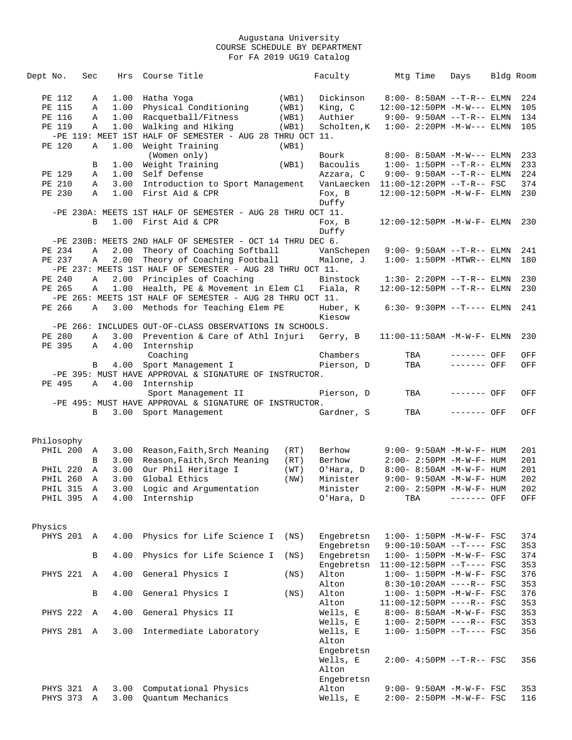| Dept No.             | Sec          | Hrs          | Course Title                                               |       | Faculty           | Mtg Time                                             | Days         | Bldg Room |            |
|----------------------|--------------|--------------|------------------------------------------------------------|-------|-------------------|------------------------------------------------------|--------------|-----------|------------|
| PE 112               | Α            | 1.00         | Hatha Yoga                                                 | (WB1) | Dickinson         | $8:00 - 8:50AM -T-R--ELMN$                           |              |           | 224        |
| PE 115               | Α            | 1.00         | Physical Conditioning                                      | (WB1) | King, C           | 12:00-12:50PM -M-W--- ELMN                           |              |           | 105        |
| PE 116               | Α            | 1.00         | Racquetball/Fitness                                        | (WB1) | Authier           | $9:00 - 9:50AM -T-R--ELMN$                           |              |           | 134        |
| PE 119               | Α            | 1.00         | Walking and Hiking                                         | (WB1) | Scholten, K       | $1:00 - 2:20PM -M-W---$ ELMN                         |              |           | 105        |
|                      |              |              | -PE 119: MEET 1ST HALF OF SEMESTER - AUG 28 THRU OCT 11.   |       |                   |                                                      |              |           |            |
| PE 120               | Α            | 1.00         | Weight Training                                            | (WB1) |                   |                                                      |              |           |            |
|                      |              |              | (Women only)                                               |       | Bourk             | 8:00- 8:50AM -M-W--- ELMN                            |              |           | 233        |
|                      | В            | 1.00         | Weight Training                                            | (WB1) | Bacoulis          | $1:00-1:50PM$ --T-R-- ELMN                           |              |           | 233        |
| PE 129               | Α            | 1.00         | Self Defense                                               |       | Azzara, C         | $9:00 - 9:50AM -T-R--ELMN$                           |              |           | 224        |
| PE 210               | Α            | 3.00         | Introduction to Sport Management                           |       | VanLaecken        | $11:00-12:20PM$ --T-R-- FSC                          |              |           | 374        |
| PE 230               | Α            | 1.00         | First Aid & CPR                                            |       | Fox, B            | 12:00-12:50PM -M-W-F- ELMN                           |              |           | 230        |
|                      |              |              |                                                            |       | Duffy             |                                                      |              |           |            |
|                      |              |              | -PE 230A: MEETS 1ST HALF OF SEMESTER - AUG 28 THRU OCT 11. |       |                   |                                                      |              |           |            |
|                      | B            |              | 1.00 First Aid & CPR                                       |       | Fox, B            | $12:00 - 12:50$ PM $-M-W-F-$ ELMN                    |              |           | 230        |
|                      |              |              |                                                            |       | Duffy             |                                                      |              |           |            |
|                      |              |              | -PE 230B: MEETS 2ND HALF OF SEMESTER - OCT 14 THRU DEC 6.  |       |                   |                                                      |              |           |            |
| PE 234               | Α            | 2.00         | Theory of Coaching Softball                                |       | VanSchepen        | $9:00-9:50AM --T-R--ELMN$                            |              |           | 241        |
| PE 237               | Α            | 2.00         | Theory of Coaching Football                                |       | Malone, J         | $1:00 - 1:50PM - MTWR-- ELMN$                        |              |           | 180        |
|                      |              |              | -PE 237: MEETS 1ST HALF OF SEMESTER - AUG 28 THRU OCT 11.  |       |                   |                                                      |              |           |            |
| PE 240               | A            | 2.00         | Principles of Coaching                                     |       | Binstock          | $1:30 - 2:20PM -T-R--ELMN$                           |              |           | 230        |
| PE 265               | Α            | 1.00         | Health, PE & Movement in Elem Cl                           |       | Fiala, R          | 12:00-12:50PM --T-R-- ELMN                           |              |           | 230        |
|                      |              |              | -PE 265: MEETS 1ST HALF OF SEMESTER - AUG 28 THRU OCT 11.  |       |                   |                                                      |              |           |            |
| PE 266               | Α            |              | 3.00 Methods for Teaching Elem PE                          |       | Huber, K          | $6:30 - 9:30PM -T--- ELMN$                           |              |           | 241        |
|                      |              |              |                                                            |       | Kiesow            |                                                      |              |           |            |
|                      |              |              | -PE 266: INCLUDES OUT-OF-CLASS OBSERVATIONS IN SCHOOLS.    |       |                   |                                                      |              |           |            |
| PE 280               | Α            | 3.00         | Prevention & Care of Athl Injuri                           |       | Gerry, B          | $11:00-11:50AM - M-W-F- ELMN$                        |              |           | 230        |
| PE 395               | $\mathbb A$  | 4.00         | Internship                                                 |       |                   |                                                      |              |           |            |
|                      |              |              | Coaching                                                   |       | Chambers          | TBA                                                  | $------$ OFF |           | OFF        |
|                      | B            | 4.00         | Sport Management I                                         |       | Pierson, D        | TBA                                                  | ------- OFF  |           | OFF        |
|                      |              |              | -PE 395: MUST HAVE APPROVAL & SIGNATURE OF INSTRUCTOR.     |       |                   |                                                      |              |           |            |
| PE 495               | Α            | 4.00         | Internship                                                 |       |                   |                                                      |              |           |            |
|                      |              |              | Sport Management II                                        |       | Pierson, D        | TBA                                                  | ------- OFF  |           | OFF        |
|                      |              |              | -PE 495: MUST HAVE APPROVAL & SIGNATURE OF INSTRUCTOR.     |       |                   |                                                      |              |           |            |
|                      | B            | 3.00         | Sport Management                                           |       | Gardner, S        | TBA                                                  | ------- OFF  |           | OFF        |
|                      |              |              |                                                            |       |                   |                                                      |              |           |            |
|                      |              |              |                                                            |       |                   |                                                      |              |           |            |
| Philosophy           |              |              |                                                            |       |                   |                                                      |              |           |            |
| PHIL 200             | A            | 3.00         | Reason, Faith, Srch Meaning                                | (RT)  | Berhow            | 9:00- 9:50AM -M-W-F- HUM                             |              |           | 201        |
|                      | B            | 3.00         | Reason, Faith, Srch Meaning                                | (RT)  | Berhow            | $2:00 - 2:50PM -M-W-F - HUM$                         |              |           | 201        |
| PHIL 220             | A            | 3.00         | Our Phil Heritage I                                        | (WT)  | O'Hara, D         | 8:00- 8:50AM -M-W-F- HUM                             |              |           | 201        |
| <b>PHIL 260</b>      | Α            | 3.00         | Global Ethics                                              | (NW)  | Minister          | $9:00 - 9:50AM - M - W - F - HUM$                    |              |           | 202        |
| PHIL 315             | $\mathsf{A}$ | 3.00         | Logic and Argumentation                                    |       | Minister          | 2:00- 2:50PM -M-W-F- HUM                             |              |           | 202        |
| PHIL 395 A           |              | 4.00         | Internship                                                 |       | O'Hara, D         | TBA                                                  | ------- OFF  |           | OFF        |
|                      |              |              |                                                            |       |                   |                                                      |              |           |            |
|                      |              |              |                                                            |       |                   |                                                      |              |           |            |
| Physics              |              |              |                                                            |       |                   |                                                      |              |           |            |
| PHYS 201 A           |              | 4.00         | Physics for Life Science I                                 | (NS)  | Engebretsn        | $1:00 - 1:50PM -M-W-F - FSC$                         |              |           | 374        |
|                      |              |              |                                                            |       | Engebretsn        | $9:00-10:50AM$ --T---- FSC                           |              |           | 353        |
|                      | В            | 4.00         | Physics for Life Science I                                 | (NS)  | Engebretsn        | $1:00 - 1:50PM - M - W - F - FSC$                    |              |           | 374        |
|                      |              |              |                                                            |       | Engebretsn        | $11:00-12:50PM$ --T---- FSC                          |              |           | 353        |
| PHYS 221             | A            | 4.00         | General Physics I                                          | (NS)  | Alton             | $1:00 - 1:50PM - M - W - F - FSC$                    |              |           | 376        |
|                      |              |              |                                                            |       | Alton             | $8:30-10:20AM$ ----R-- FSC                           |              |           | 353        |
|                      | В            | 4.00         | General Physics I                                          | (NS)  | Alton             | $1:00 - 1:50PM - M - W - F - FSC$                    |              |           | 376        |
|                      |              |              |                                                            |       | Alton             | $11:00-12:50PM$ ----R-- FSC                          |              |           | 353        |
| PHYS 222             | Α            | 4.00         | General Physics II                                         |       | Wells, E          | 8:00- 8:50AM -M-W-F- FSC                             |              |           | 353        |
|                      |              |              |                                                            |       | Wells, E          | $1:00-2:50PM$ ----R-- FSC                            |              |           | 353        |
| PHYS 281 A           |              | 3.00         | Intermediate Laboratory                                    |       | Wells, E          | $1:00 - 1:50PM -T--- FSC$                            |              |           | 356        |
|                      |              |              |                                                            |       | Alton             |                                                      |              |           |            |
|                      |              |              |                                                            |       | Engebretsn        |                                                      |              |           |            |
|                      |              |              |                                                            |       | Wells, E          | 2:00- 4:50PM --T-R-- FSC                             |              |           | 356        |
|                      |              |              |                                                            |       |                   |                                                      |              |           |            |
|                      |              |              |                                                            |       | Alton             |                                                      |              |           |            |
|                      |              |              |                                                            |       | Engebretsn        |                                                      |              |           |            |
| PHYS 321<br>PHYS 373 | A<br>Α       | 3.00<br>3.00 | Computational Physics<br>Quantum Mechanics                 |       | Alton<br>Wells, E | 9:00- 9:50AM -M-W-F- FSC<br>2:00- 2:50PM -M-W-F- FSC |              |           | 353<br>116 |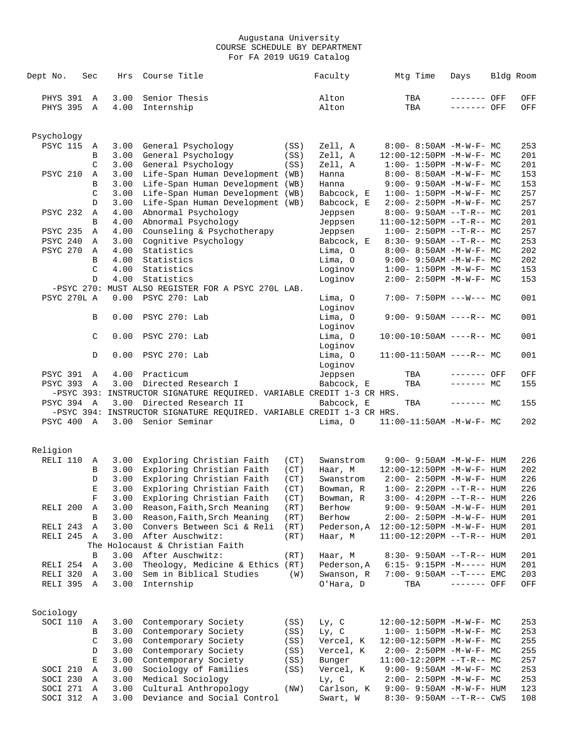| Dept No.          | Sec            | Hrs          | Course Title                                                          |              | Faculty             | Mtg Time                                                       | Days        | Bldg Room  |
|-------------------|----------------|--------------|-----------------------------------------------------------------------|--------------|---------------------|----------------------------------------------------------------|-------------|------------|
| PHYS 391          | $\overline{A}$ | 3.00         | Senior Thesis                                                         |              | Alton               | TBA                                                            | ------- OFF | OFF        |
| <b>PHYS 395</b>   | Α              | 4.00         | Internship                                                            |              | Alton               | TBA                                                            | ------- OFF | OFF        |
| Psychology        |                |              |                                                                       |              |                     |                                                                |             |            |
| <b>PSYC 115</b>   | Α              | 3.00         | General Psychology                                                    | (SS)         | Zell, A             | $8:00 - 8:50AM - M - W - F - MC$                               |             | 253        |
|                   | В              | 3.00         | General Psychology                                                    | (SS)         | Zell, A             | 12:00-12:50PM -M-W-F- MC                                       |             | 201        |
|                   | C              | 3.00         | General Psychology                                                    | (SS)         | Zell, A             | $1:00 - 1:50PM -M-W-F - MC$                                    |             | 201        |
| <b>PSYC 210</b>   | Α              | 3.00         | Life-Span Human Development (WB)                                      |              | Hanna               | $8:00 - 8:50AM - M - W - F - MC$                               |             | 153        |
|                   | B              | 3.00         | Life-Span Human Development (WB)                                      |              | Hanna               | $9:00 - 9:50AM - M - W - F - MC$                               |             | 153        |
|                   | C              | 3.00         | Life-Span Human Development (WB)                                      |              | Babcock, E          | $1:00 - 1:50PM -M-W-F - MC$                                    |             | 257        |
|                   | D              | 3.00         | Life-Span Human Development (WB)                                      |              | Babcock, E          | $2:00-2:50PM -M-W-F-MC$                                        |             | 257        |
| PSYC 232          | Α              | 4.00         | Abnormal Psychology                                                   |              | Jeppsen             | $8:00-9:50AM --T-R--MC$                                        |             | 201        |
|                   | B              | 4.00         | Abnormal Psychology                                                   |              | Jeppsen             | $11:00-12:50PM$ --T-R-- MC                                     |             | 201        |
| <b>PSYC 235</b>   | Α              | 4.00         | Counseling & Psychotherapy                                            |              | Jeppsen             | $1:00-2:50PM -T-R--MC$                                         |             | 257        |
| PSYC 240          | Α              | 3.00         | Cognitive Psychology                                                  |              | Babcock, E          | $8:30-9:50AM --T-R--MC$                                        |             | 253        |
| <b>PSYC 270</b>   | Α              | 4.00         | Statistics                                                            |              | Lima, 0             | $8:00 - 8:50AM - M - W - F - MC$                               |             | 202        |
|                   | B              | 4.00         | Statistics                                                            |              | Lima, 0             | $9:00 - 9:50AM - M - W - F - MC$                               |             | 202        |
|                   | C              | 4.00         | Statistics                                                            |              | Loginov             | $1:00 - 1:50PM -M-W-F-MC$                                      |             | 153        |
|                   | D              | 4.00         | Statistics                                                            |              | Loginov             | $2:00 - 2:50PM -M-W-F-MC$                                      |             | 153        |
|                   |                |              | -PSYC 270: MUST ALSO REGISTER FOR A PSYC 270L LAB.                    |              |                     |                                                                |             |            |
| PSYC 270L A       |                | 0.00         | PSYC 270: Lab                                                         |              | Lima, 0<br>Loginov  | $7:00-7:50PM$ ---W--- MC                                       |             | 001        |
|                   | B              | 0.00         | PSYC 270: Lab                                                         |              | Lima, O<br>Loginov  | $9:00 - 9:50AM$ ----R-- MC                                     |             | 001        |
|                   | C              | 0.00         | PSYC 270: Lab                                                         |              | Lima, O<br>Loginov  | $10:00-10:50AM$ ----R-- MC                                     |             | 001        |
|                   | D              | 0.00         | PSYC 270: Lab                                                         |              | Lima, O<br>Loginov  | $11:00-11:50AM$ ----R-- MC                                     |             | 001        |
| <b>PSYC 391</b>   | $\mathbb A$    | 4.00         | Practicum                                                             |              | Jeppsen             | TBA                                                            | ------- OFF | OFF        |
| PSYC 393 A        |                | 3.00         | Directed Research I                                                   |              | Babcock, E          | TBA                                                            | $------MC$  | 155        |
|                   |                |              | -PSYC 393: INSTRUCTOR SIGNATURE REQUIRED. VARIABLE CREDIT 1-3 CR HRS. |              |                     |                                                                |             |            |
| <b>PSYC 394 A</b> |                | 3.00         | Directed Research II                                                  |              | Babcock, E          | TBA                                                            | $-----MC$   | 155        |
|                   |                |              | -PSYC 394: INSTRUCTOR SIGNATURE REQUIRED. VARIABLE CREDIT 1-3 CR HRS. |              |                     |                                                                |             |            |
| PSYC 400 A        |                | 3.00         | Senior Seminar                                                        |              | Lima, O             | $11:00-11:50AM$ -M-W-F- MC                                     |             | 202        |
|                   |                |              |                                                                       |              |                     |                                                                |             |            |
| Religion          |                |              |                                                                       |              |                     |                                                                |             |            |
| RELI 110          | Α              | 3.00         | Exploring Christian Faith                                             | (CT)         | Swanstrom           | $9:00 - 9:50AM - M - W - F - HUM$                              |             | 226        |
|                   | В              | 3.00         | Exploring Christian Faith                                             | (CT)         | Haar, M             | 12:00-12:50PM -M-W-F- HUM                                      |             | 202        |
|                   | D              | 3.00         | Exploring Christian Faith                                             | (CT)         | Swanstrom           | $2:00 - 2:50PM -M-W-F- HUM$                                    |             | 226        |
|                   | Е              | 3.00         | Exploring Christian Faith                                             | (CT)         | Bowman, R           | $1:00-2:20PM -T-R--HUM$                                        |             | 226        |
|                   | F              | 3.00         | Exploring Christian Faith                                             | (CT)         | Bowman, R           | $3:00 - 4:20PM -T-R--HUM$                                      |             | 226        |
| RELI 200          | Α              | 3.00         | Reason, Faith, Srch Meaning                                           | (RT)         | Berhow              | 9:00- 9:50AM -M-W-F- HUM                                       |             | 201        |
|                   | В              | 3.00         | Reason, Faith, Srch Meaning                                           | (RT)         | Berhow              | 2:00- 2:50PM -M-W-F- HUM                                       |             | 201        |
| RELI 243          | Α              | 3.00         | Convers Between Sci & Reli                                            | (RT)         | Pederson, A         | $12:00-12:50PM -M-W-F- HUM$                                    |             | 201        |
| RELI 245          | Α              | 3.00         | After Auschwitz:                                                      | (RT)         | Haar, M             | 11:00-12:20PM --T-R-- HUM                                      |             | 201        |
|                   |                |              | The Holocaust & Christian Faith                                       |              |                     |                                                                |             |            |
|                   | B              | 3.00         | After Auschwitz:                                                      | (RT)         | Haar, M             | $8:30 - 9:50AM -T-R--HUM$                                      |             | 201        |
| RELI 254          | Α              | 3.00         | Theology, Medicine & Ethics (RT)                                      |              | Pederson, A         | $6:15-9:15PM -M-----$ HUM                                      |             | 201        |
| RELI 320          | Α              | 3.00         | Sem in Biblical Studies                                               | (W)          | Swanson, R          | $7:00-9:50AM -T---EMC$                                         |             | 203        |
| RELI 395          | Α              | 3.00         | Internship                                                            |              | O'Hara, D           | TBA                                                            | ------- OFF | OFF        |
|                   |                |              |                                                                       |              |                     |                                                                |             |            |
| Sociology         |                |              |                                                                       |              |                     |                                                                |             |            |
| SOCI 110          | Α              | 3.00         | Contemporary Society                                                  | (SS)         | $Ly$ , $C$          | $12:00-12:50PM -M-W-F-MC$                                      |             | 253        |
|                   | В              | 3.00         | Contemporary Society                                                  | (SS)         | $Ly$ , $C$          | $1:00-1:50PM -M-W-F-MC$                                        |             | 253        |
|                   | C              | 3.00         | Contemporary Society                                                  | (SS)         | Vercel, K           | $12:00-12:50PM -M-W-F-MC$                                      |             | 255        |
|                   | D<br>Е         | 3.00<br>3.00 | Contemporary Society                                                  | (SS)         | Vercel, K           | $2:00-2:50PM -M-W-F-MC$                                        |             | 255        |
| SOCI 210          | Α              | 3.00         | Contemporary Society<br>Sociology of Families                         | (SS)<br>(SS) | Bunger<br>Vercel, K | $11:00-12:20PM$ --T-R-- MC<br>$9:00 - 9:50AM - M - W - F - MC$ |             | 257<br>253 |
| SOCI 230          | Α              | 3.00         | Medical Sociology                                                     |              | Ly, C               | $2:00 - 2:50PM -M-W-F - MC$                                    |             | 253        |
| SOCI 271          | Α              | 3.00         | Cultural Anthropology                                                 | (NW)         | Carlson, K          | 9:00- 9:50AM -M-W-F- HUM                                       |             | 123        |
| SOCI 312          | Α              | 3.00         | Deviance and Social Control                                           |              | Swart, W            | 8:30- 9:50AM --T-R-- CWS                                       |             | 108        |
|                   |                |              |                                                                       |              |                     |                                                                |             |            |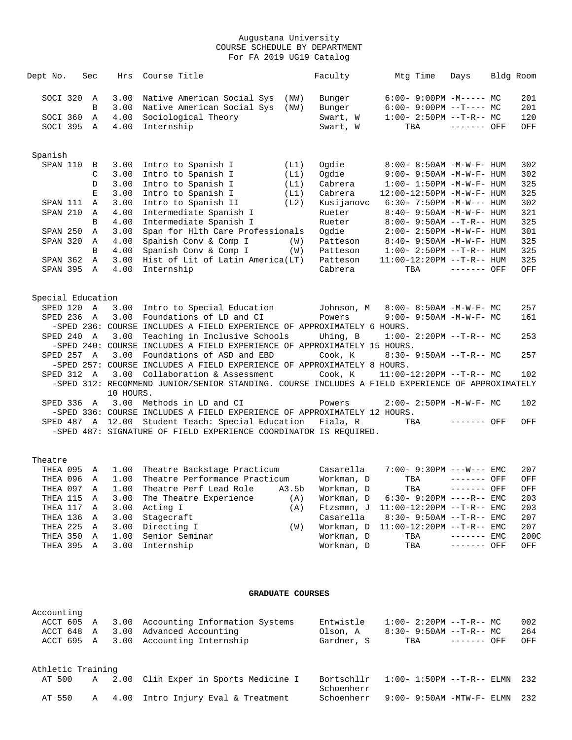| Dept No.          |            | Sec            | Hrs       | Course Title                                                                                           |      | Faculty                                | Mtg Time | Days                              | Bldg Room |               |
|-------------------|------------|----------------|-----------|--------------------------------------------------------------------------------------------------------|------|----------------------------------------|----------|-----------------------------------|-----------|---------------|
|                   | SOCI 320 A |                | 3.00      | Native American Social Sys                                                                             | (NW) | Bunger                                 |          | $6:00-9:00PM -M----- MC$          |           | 201           |
|                   |            | B              | 3.00      | Native American Social Sys                                                                             | (NW) | Bunger                                 |          | $6:00-9:00PM --T---MC$            |           | 201           |
|                   | SOCI 360 A |                | 4.00      | Sociological Theory                                                                                    |      | Swart, W                               |          | $1:00 - 2:50PM -T-R-- MC$         |           | 120           |
|                   | SOCI 395 A |                | 4.00      | Internship                                                                                             |      | Swart, W                               |          | TBA ------- OFF                   |           | OFF           |
| Spanish           |            |                |           |                                                                                                        |      |                                        |          |                                   |           |               |
| SPAN 110          |            | $\overline{B}$ | 3.00      | Intro to Spanish I                                                                                     | (L1) | Oqdie                                  |          | 8:00- 8:50AM -M-W-F- HUM          |           | 302           |
|                   |            | C              | 3.00      | Intro to Spanish I                                                                                     | (L1) | Oqdie                                  |          | $9:00 - 9:50AM - M - W - F - HUM$ |           | 302           |
|                   |            | D              | 3.00      | Intro to Spanish I                                                                                     | (L1) | Cabrera                                |          | $1:00 - 1:50PM - M - W - F - HUM$ |           | 325           |
|                   |            | $\mathbf{E}$   | 3.00      | Intro to Spanish I                                                                                     | (L1) | Cabrera                                |          | 12:00-12:50PM -M-W-F- HUM         |           | 325           |
|                   | SPAN 111 A |                | 3.00      | Intro to Spanish II                                                                                    | (L2) | Kusijanovc                             |          | $6:30 - 7:50PM -M-W--- HUM$       |           | 302           |
| SPAN 210          |            | A              | 4.00      | Intermediate Spanish I                                                                                 |      | Rueter                                 |          | $8:40 - 9:50AM - M - W - F - HUM$ |           | 321           |
|                   |            | B              | 4.00      | Intermediate Spanish I                                                                                 |      | Rueter                                 |          | $8:00 - 9:50AM -T-R--HUM$         |           | 325           |
| SPAN 250          |            | A              | 3.00      | Span for Hlth Care Professionals                                                                       |      | Ogdie                                  |          | $2:00 - 2:50PM -M-W-F - HUM$      |           | 301           |
| SPAN 320          |            | $\overline{A}$ | 4.00      | Spanish Conv & Comp I                                                                                  | (W)  | Patteson                               |          | $8:40 - 9:50AM - M - W - F - HUM$ |           | 325           |
|                   |            | B              | 4.00      | Spanish Conv & Comp I                                                                                  | (W)  | Patteson                               |          | $1:00 - 2:50PM -T-R--HUM$         |           | 325           |
| SPAN 362          |            | A              | 3.00      | Hist of Lit of Latin America(LT)                                                                       |      | Patteson                               |          | 11:00-12:20PM --T-R-- HUM         |           | 325           |
|                   | SPAN 395 A |                | 4.00      | Internship                                                                                             |      | Cabrera                                | TBA      | ------- OFF                       |           | OFF           |
|                   |            |                |           |                                                                                                        |      |                                        |          |                                   |           |               |
| Special Education |            |                |           |                                                                                                        |      |                                        |          |                                   |           |               |
|                   | SPED 120 A |                |           | 3.00 Intro to Special Education Johnson, M                                                             |      |                                        |          | 8:00- 8:50AM -M-W-F- MC           |           | 257           |
|                   | SPED 236 A |                |           | 3.00 Foundations of LD and CI                                                                          |      | Powers                                 |          | $9:00 - 9:50AM - M - W - F - MC$  |           | 161           |
|                   |            |                |           | -SPED 236: COURSE INCLUDES A FIELD EXPERIENCE OF APPROXIMATELY 6 HOURS.                                |      |                                        |          |                                   |           |               |
|                   | SPED 240 A |                | 3.00      | Teaching in Inclusive Schools                                                                          |      | Uhing, B                               |          | $1:00-2:20PM -T-R--MC$            |           | 253           |
|                   |            |                |           | -SPED 240: COURSE INCLUDES A FIELD EXPERIENCE OF APPROXIMATELY 15 HOURS.                               |      |                                        |          |                                   |           |               |
|                   | SPED 257 A |                |           | 3.00 Foundations of ASD and EBD                                                                        |      | Cook, K                                |          | $8:30 - 9:50AM -T-R-- MC$         |           | 257           |
|                   |            |                |           | -SPED 257: COURSE INCLUDES A FIELD EXPERIENCE OF APPROXIMATELY 8 HOURS.                                |      |                                        |          |                                   |           |               |
|                   | SPED 312 A |                | 3.00      | Collaboration & Assessment                                                                             |      | Cook, K                                |          | $11:00-12:20PM$ --T-R-- MC        |           | 102           |
|                   |            |                | 10 HOURS. | -SPED 312: RECOMMEND JUNIOR/SENIOR STANDING. COURSE INCLUDES A FIELD EXPERIENCE OF APPROXIMATELY       |      |                                        |          |                                   |           |               |
|                   |            |                |           | SPED 336 A 3.00 Methods in LD and CI                                                                   |      | Powers                                 |          | $2:00-2:50PM -M-W-F-MC$           |           | 102           |
|                   |            |                |           | -SPED 336: COURSE INCLUDES A FIELD EXPERIENCE OF APPROXIMATELY 12 HOURS.                               |      |                                        |          |                                   |           |               |
|                   |            |                |           | SPED 487 A 12.00 Student Teach: Special Education Fiala, R                                             |      |                                        |          | TBA ------- OFF                   |           | OFF           |
|                   |            |                |           | -SPED 487: SIGNATURE OF FIELD EXPERIENCE COORDINATOR IS REQUIRED.                                      |      |                                        |          |                                   |           |               |
|                   |            |                |           |                                                                                                        |      |                                        |          |                                   |           |               |
| Theatre           |            |                |           |                                                                                                        |      |                                        |          |                                   |           |               |
|                   |            |                |           | THEA 095 A 1.00 Theatre Backstage Practicum<br>TUFA 096 A 1.00 Theatre Derformange Practicum Workman D |      | Casarella     7:00- 9:30PM ---W--- EMC |          | $TTD \wedge$ $-- -- OPT$          |           | 207<br>$\cap$ |
|                   |            |                |           |                                                                                                        |      |                                        |          |                                   |           |               |

|  |  | THEA 095 A T.OO INEALLE BACKSLAGE PLACLICUM   |       | Casarella  | /・UU- 9・3UPM ---W--- ELMC              |  | 20 L |
|--|--|-----------------------------------------------|-------|------------|----------------------------------------|--|------|
|  |  | THEA 096 A 1.00 Theatre Performance Practicum |       | Workman, D | TBA ------- OFF                        |  | OFF  |
|  |  | THEA 097 A 1.00 Theatre Perf Lead Role        | A3.5b | Workman, D | $TBA$ ------- $OFF$                    |  | OFF  |
|  |  | THEA 115 A 3.00 The Theatre Experience        | (A)   |            | Workman, $D$ 6:30-9:20PM ----R-- EMC   |  | 203  |
|  |  | THEA 117 A 3.00 Acting I                      | (A)   |            | Ftzsmmn, J 11:00-12:20PM --T-R-- EMC   |  | 203  |
|  |  | THEA 136 A 3.00 Stagecraft                    |       |            | $Casarella$ $8:30-9:50AM$ --T-R-- EMC  |  | 207  |
|  |  | THEA 225 A 3.00 Directing I                   | (W)   |            | Workman, $D = 11:00-12:20PM -T-R--EMC$ |  | 207  |
|  |  | THEA 350 A 1.00 Senior Seminar                |       | Workman, D | $TBA$ $--- - -  EMC$                   |  | 200C |
|  |  | THEA 395 A 3.00 Internship                    |       |            | Workman, D TBA ------- OFF             |  | OFF  |
|  |  |                                               |       |            |                                        |  |      |

### **GRADUATE COURSES**

| Accounting        |  |                                                |                          |                                 |     |
|-------------------|--|------------------------------------------------|--------------------------|---------------------------------|-----|
|                   |  | ACCT 605 A 3.00 Accounting Information Systems | Entwistle                | $1:00-2:20PM --T-R--MC$         | 002 |
| ACCT 648 A        |  | 3.00 Advanced Accounting                       | Olson, A                 | $8:30 - 9:50AM -T-R--MC$        | 264 |
|                   |  | ACCT 695 A 3.00 Accounting Internship          | Gardner, S               | TBA<br>------- OFF              | OFF |
| Athletic Training |  |                                                |                          |                                 |     |
| AT 500            |  | A 2.00 Clin Exper in Sports Medicine I         | Bortschllr<br>Schoenherr | $1:00 - 1:50PM -T-R-- ELMN$ 232 |     |
| AT 550            |  | A 4.00 Intro Injury Eval & Treatment           | Schoenherr               | $9:00-9:50$ AM $-MTW-F-ELMN$    | 232 |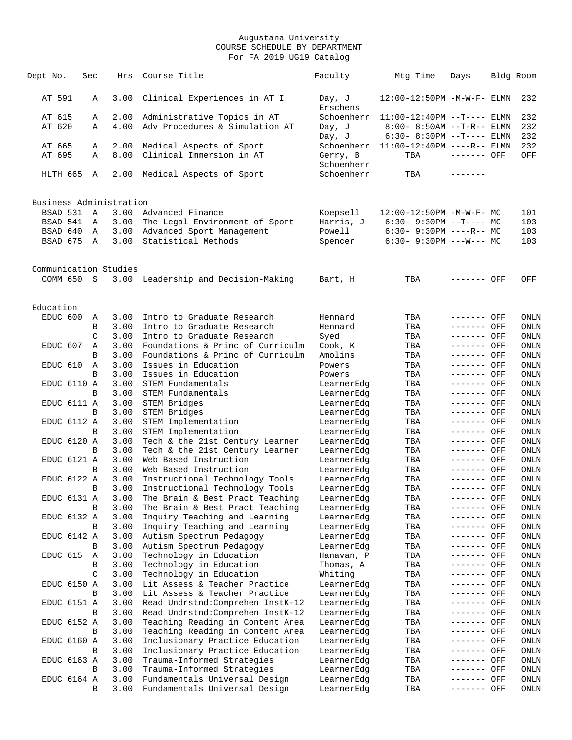| Dept No.                            | Sec    | Hrs          | Course Title                                            | Faculty               | Mtg Time                                           | Days                       | Bldg Room    |
|-------------------------------------|--------|--------------|---------------------------------------------------------|-----------------------|----------------------------------------------------|----------------------------|--------------|
| AT 591                              | A      | 3.00         | Clinical Experiences in AT I                            | Day, J<br>Erschens    | 12:00-12:50PM -M-W-F- ELMN                         |                            | 232          |
| AT 615                              | Α      | 2.00         | Administrative Topics in AT                             | Schoenherr            | $11:00-12:40PM$ --T---- ELMN                       |                            | 232          |
| AT 620                              | A      | 4.00         | Adv Procedures & Simulation AT                          | Day, J                | $8:00 - 8:50AM$ --T-R-- ELMN                       |                            | 232          |
|                                     |        |              |                                                         | Day, J                | $6:30 - 8:30PM -T--- ELMN$                         |                            | 232          |
| AT 665                              | Α      | 2.00         | Medical Aspects of Sport                                | Schoenherr            | $11:00-12:40PM$ ----R-- ELMN                       |                            | 232          |
| AT 695                              | Α      | 8.00         | Clinical Immersion in AT                                | Gerry, B              | TBA                                                | ------- OFF                | OFF          |
|                                     |        |              |                                                         | Schoenherr            |                                                    |                            |              |
| HLTH 665                            | A      | 2.00         | Medical Aspects of Sport                                | Schoenherr            | TBA                                                | --------                   |              |
|                                     |        |              |                                                         |                       |                                                    |                            |              |
| Business Administration<br>BSAD 531 | Α      |              |                                                         |                       |                                                    |                            |              |
| BSAD 541                            | A      | 3.00<br>3.00 | Advanced Finance<br>The Legal Environment of Sport      | Koepsell<br>Harris, J | 12:00-12:50PM -M-W-F- MC<br>$6:30-9:30PM --T---MC$ |                            | 101<br>103   |
| BSAD 640                            | A      | 3.00         | Advanced Sport Management                               | Powell                | $6:30 - 9:30PM$ ----R-- MC                         |                            | 103          |
| BSAD 675                            | A      | 3.00         | Statistical Methods                                     | Spencer               | $6:30 - 9:30PM$ ---W--- MC                         |                            | 103          |
|                                     |        |              |                                                         |                       |                                                    |                            |              |
| Communication Studies               |        |              |                                                         |                       |                                                    |                            |              |
| COMM 650                            | S.     | 3.00         | Leadership and Decision-Making                          | Bart, H               | TBA                                                | ------- OFF                | OFF          |
|                                     |        |              |                                                         |                       |                                                    |                            |              |
| Education                           |        |              |                                                         |                       |                                                    |                            |              |
| EDUC 600                            | Α      | 3.00         | Intro to Graduate Research                              | Hennard               | TBA                                                | ------- OFF                | ONLN         |
|                                     | В      | 3.00         | Intro to Graduate Research                              | Hennard               | TBA                                                | ------- OFF                | ONLN         |
|                                     | C      | 3.00         | Intro to Graduate Research                              | Syed                  | TBA                                                | ------- OFF                | ONLN         |
| EDUC 607                            | Α      | 3.00         | Foundations & Princ of Curriculm                        | Cook, K               | TBA                                                | ------- OFF<br>$-----$ OFF | ONLN         |
| EDUC 610                            | B      | 3.00<br>3.00 | Foundations & Princ of Curriculm<br>Issues in Education | Amolins               | TBA                                                |                            | ONLN         |
|                                     | Α<br>B | 3.00         | Issues in Education                                     | Powers<br>Powers      | TBA<br>TBA                                         | ------- OFF<br>------- OFF | ONLN<br>ONLN |
| EDUC 6110 A                         |        | 3.00         | STEM Fundamentals                                       | LearnerEdg            | TBA                                                | ------- OFF                | ONLN         |
|                                     | B      | 3.00         | STEM Fundamentals                                       | LearnerEdg            | TBA                                                | ------- OFF                | ONLN         |
| EDUC 6111 A                         |        | 3.00         | STEM Bridges                                            | LearnerEdg            | TBA                                                | ------- OFF                | ONLN         |
|                                     | B      | 3.00         | STEM Bridges                                            | LearnerEdg            | TBA                                                | ------- OFF                | ONLN         |
| EDUC 6112 A                         |        | 3.00         | STEM Implementation                                     | LearnerEdg            | TBA                                                | ------- OFF                | ONLN         |
|                                     | В      | 3.00         | STEM Implementation                                     | LearnerEdg            | TBA                                                | ------- OFF                | ONLN         |
| EDUC 6120 A                         |        | 3.00         | Tech & the 21st Century Learner                         | LearnerEdg            | TBA                                                | ------- OFF                | ONLN         |
|                                     | В      | 3.00         | Tech & the 21st Century Learner                         | LearnerEdg            | TBA                                                | ------- OFF                | ONLN         |
| EDUC 6121 A                         |        | 3.00         | Web Based Instruction                                   | LearnerEdg            | TBA                                                | ------- OFF                | ONLN         |
|                                     | B      | 3.00         | Web Based Instruction                                   | LearnerEdq            | TBA                                                | ------- OFF                | ONLN         |
| EDUC 6122 A                         |        | 3.00         | Instructional Technology Tools                          | LearnerEdg            | TBA                                                | $-----$ OFF                | ONLN         |
|                                     | В      | 3.00         | Instructional Technology Tools                          | LearnerEdg            | TBA                                                | ------- OFF                | ONLN         |
| EDUC 6131 A                         |        | 3.00         | The Brain & Best Pract Teaching                         | LearnerEdg            | TBA                                                | ------- OFF                | ONLN         |
|                                     | B      | 3.00         | The Brain & Best Pract Teaching                         | LearnerEdg            | TBA                                                | ------- OFF                | ONLN         |
| EDUC 6132 A                         |        | 3.00         | Inquiry Teaching and Learning                           | LearnerEdg            | TBA                                                | ------- OFF                | ONLN         |
|                                     | В      | 3.00         | Inquiry Teaching and Learning                           | LearnerEdg            | TBA                                                | ------- OFF                | ONLN         |
| EDUC 6142 A                         |        | 3.00         | Autism Spectrum Pedagogy                                | LearnerEdg            | TBA                                                | ------- OFF                | ONLN         |
|                                     | B      | 3.00         | Autism Spectrum Pedagogy                                | LearnerEdg            | TBA                                                | ------- OFF                | ONLN         |
| EDUC 615                            | Α      | 3.00         | Technology in Education                                 | Hanavan, P            | TBA                                                | ------- OFF                | ONLN         |
|                                     | В      | 3.00         | Technology in Education                                 | Thomas, A             | TBA                                                | ------- OFF                | ONLN         |
|                                     | C      | 3.00         | Technology in Education                                 | Whiting               | TBA                                                | ------- OFF                | ONLN         |
| EDUC 6150 A                         |        | 3.00         | Lit Assess & Teacher Practice                           | LearnerEdg            | TBA                                                | ------- OFF                | ONLN         |
|                                     | B      | 3.00         | Lit Assess & Teacher Practice                           | LearnerEdg            | TBA                                                | ------- OFF                | ONLN         |
| EDUC 6151 A                         |        | 3.00         | Read Undrstnd: Comprehen InstK-12                       | LearnerEdg            | TBA                                                | ------- OFF                | ONLN         |
|                                     | B      | 3.00         | Read Undrstnd: Comprehen InstK-12                       | LearnerEdg            | TBA                                                | ------- OFF                | ONLN         |
| EDUC 6152 A                         |        | 3.00         | Teaching Reading in Content Area                        | LearnerEdg            | TBA                                                | ------- OFF                | ONLN         |
|                                     | B      | 3.00         | Teaching Reading in Content Area                        | LearnerEdg            | TBA                                                | ------- OFF                | ONLN         |
| EDUC 6160 A                         |        | 3.00         | Inclusionary Practice Education                         | LearnerEdg            | TBA                                                | ------- OFF                | ONLN         |
|                                     | B      | 3.00         | Inclusionary Practice Education                         | LearnerEdg            | TBA                                                | ------- OFF                | ONLN         |
| EDUC 6163 A                         |        | 3.00         | Trauma-Informed Strategies                              | LearnerEdg            | TBA                                                | ------- OFF                | ONLN         |
|                                     | B      | 3.00         | Trauma-Informed Strategies                              | LearnerEdg            | TBA                                                | ------- OFF                | ONLN         |
| EDUC 6164 A                         |        | 3.00         | Fundamentals Universal Design                           | LearnerEdg            | TBA                                                | ------- OFF                | ONLN         |
|                                     | В      | 3.00         | Fundamentals Universal Design                           | LearnerEdg            | TBA                                                | ------- OFF                | ONLN         |